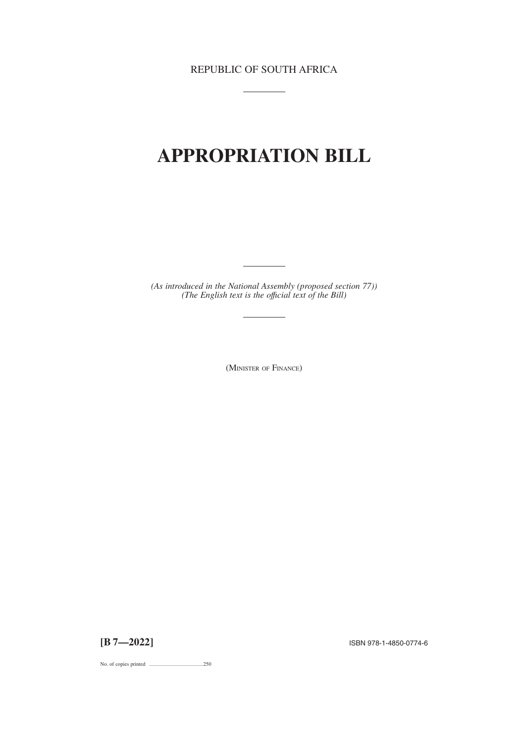REPUBLIC OF SOUTH AFRICA

 $\overline{\phantom{a}}$ 

# **APPROPRIATION BILL**

*(As introduced in the National Assembly (proposed section 77)) (The English text is the offıcial text of the Bill)*

(MINISTER OF FINANCE)

**[B 7—2022]** ISBN 978-1-4850-0774-6

No. of copies printed .........................................250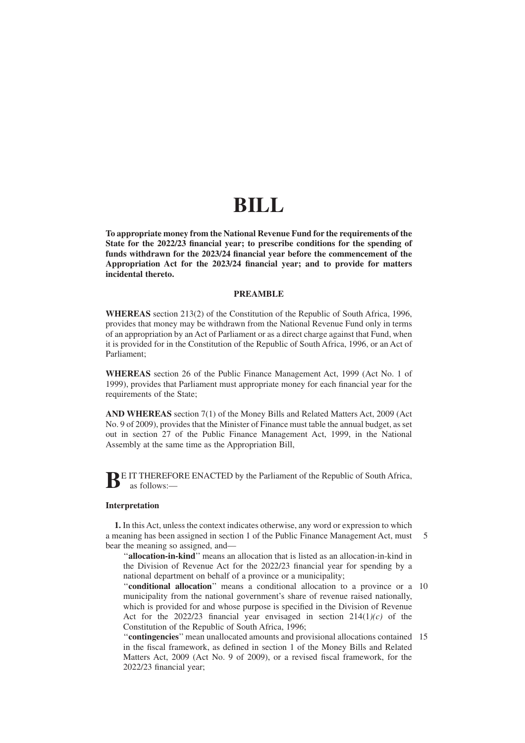# **BILL**

**To appropriate money from the National Revenue Fund for the requirements of the State for the 2022/23 financial year; to prescribe conditions for the spending of funds withdrawn for the 2023/24 financial year before the commencement of the Appropriation Act for the 2023/24 financial year; and to provide for matters incidental thereto.**

#### **PREAMBLE**

**WHEREAS** section 213(2) of the Constitution of the Republic of South Africa, 1996, provides that money may be withdrawn from the National Revenue Fund only in terms of an appropriation by an Act of Parliament or as a direct charge against that Fund, when it is provided for in the Constitution of the Republic of South Africa, 1996, or an Act of Parliament;

**WHEREAS** section 26 of the Public Finance Management Act, 1999 (Act No. 1 of 1999), provides that Parliament must appropriate money for each financial year for the requirements of the State;

**AND WHEREAS** section 7(1) of the Money Bills and Related Matters Act, 2009 (Act No. 9 of 2009), provides that the Minister of Finance must table the annual budget, as set out in section 27 of the Public Finance Management Act, 1999, in the National Assembly at the same time as the Appropriation Bill,

**BE** IT THEREFORE ENACTED by the Parliament of the Republic of South Africa, as follows:—

#### **Interpretation**

**1.** In this Act, unless the context indicates otherwise, any word or expression to which a meaning has been assigned in section 1 of the Public Finance Management Act, must bear the meaning so assigned, and— 5

''**allocation-in-kind**'' means an allocation that is listed as an allocation-in-kind in the Division of Revenue Act for the 2022/23 financial year for spending by a national department on behalf of a province or a municipality;

"conditional allocation" means a conditional allocation to a province or a 10 municipality from the national government's share of revenue raised nationally, which is provided for and whose purpose is specified in the Division of Revenue Act for the 2022/23 financial year envisaged in section  $214(1)/(c)$  of the Constitution of the Republic of South Africa, 1996;

''**contingencies**'' mean unallocated amounts and provisional allocations contained 15in the fiscal framework, as defined in section 1 of the Money Bills and Related Matters Act, 2009 (Act No. 9 of 2009), or a revised fiscal framework, for the 2022/23 financial year;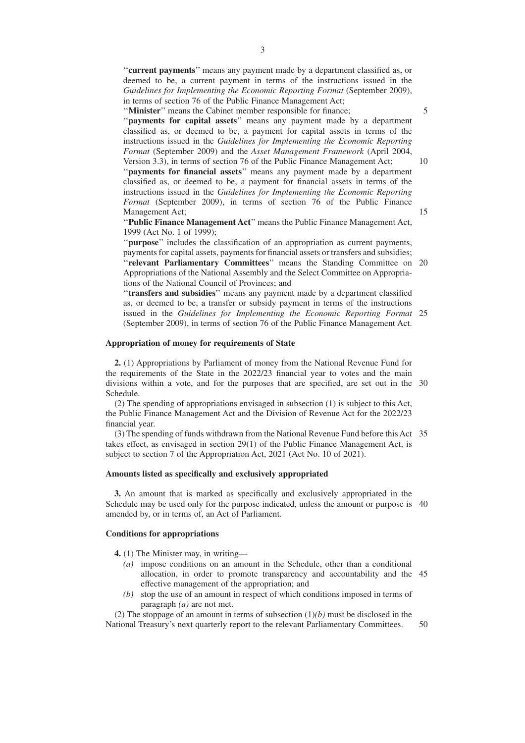''**current payments**'' means any payment made by a department classified as, or deemed to be, a current payment in terms of the instructions issued in the *Guidelines for Implementing the Economic Reporting Format* (September 2009), in terms of section 76 of the Public Finance Management Act;

''**Minister**'' means the Cabinet member responsible for finance;

5

10

15

''**payments for capital assets**'' means any payment made by a department classified as, or deemed to be, a payment for capital assets in terms of the instructions issued in the *Guidelines for Implementing the Economic Reporting Format* (September 2009) and the *Asset Management Framework* (April 2004, Version 3.3), in terms of section 76 of the Public Finance Management Act;

"payments for financial assets" means any payment made by a department classified as, or deemed to be, a payment for financial assets in terms of the instructions issued in the *Guidelines for Implementing the Economic Reporting Format* (September 2009), in terms of section 76 of the Public Finance Management Act;

''**Public Finance Management Act**'' means the Public Finance Management Act, 1999 (Act No. 1 of 1999);

''**purpose**'' includes the classification of an appropriation as current payments, payments for capital assets, payments for financial assets or transfers and subsidies; "relevant Parliamentary Committees" means the Standing Committee on 20 Appropriations of the National Assembly and the Select Committee on Appropria-

tions of the National Council of Provinces; and

''**transfers and subsidies**'' means any payment made by a department classified as, or deemed to be, a transfer or subsidy payment in terms of the instructions issued in the *Guidelines for Implementing the Economic Reporting Format* 25 (September 2009), in terms of section 76 of the Public Finance Management Act.

#### **Appropriation of money for requirements of State**

**2.** (1) Appropriations by Parliament of money from the National Revenue Fund for the requirements of the State in the 2022/23 financial year to votes and the main divisions within a vote, and for the purposes that are specified, are set out in the 30 Schedule.

(2) The spending of appropriations envisaged in subsection (1) is subject to this Act, the Public Finance Management Act and the Division of Revenue Act for the 2022/23 financial year.

(3) The spending of funds withdrawn from the National Revenue Fund before this Act 35 takes effect, as envisaged in section 29(1) of the Public Finance Management Act, is subject to section 7 of the Appropriation Act, 2021 (Act No. 10 of 2021).

#### **Amounts listed as specifically and exclusively appropriated**

**3.** An amount that is marked as specifically and exclusively appropriated in the Schedule may be used only for the purpose indicated, unless the amount or purpose is 40 amended by, or in terms of, an Act of Parliament.

#### **Conditions for appropriations**

**4.** (1) The Minister may, in writing—

- *(a)* impose conditions on an amount in the Schedule, other than a conditional allocation, in order to promote transparency and accountability and the 45 effective management of the appropriation; and
- *(b)* stop the use of an amount in respect of which conditions imposed in terms of paragraph *(a)* are not met.

(2) The stoppage of an amount in terms of subsection  $(1)(b)$  must be disclosed in the National Treasury's next quarterly report to the relevant Parliamentary Committees. 50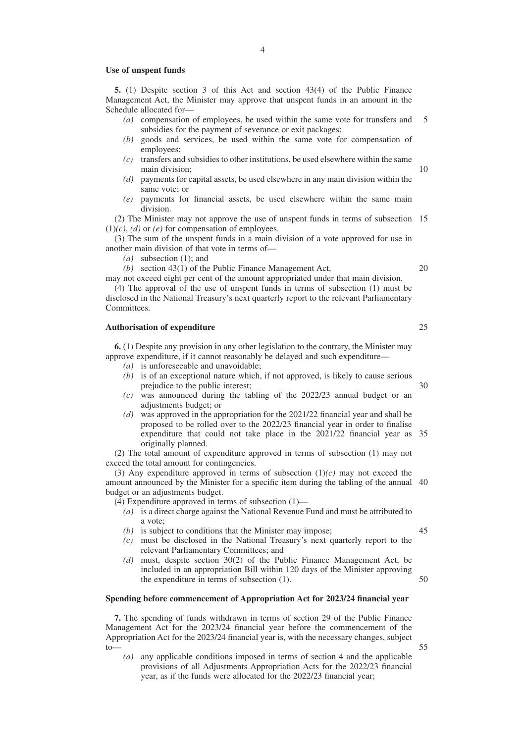#### **Use of unspent funds**

**5.** (1) Despite section 3 of this Act and section 43(4) of the Public Finance Management Act, the Minister may approve that unspent funds in an amount in the Schedule allocated for—

- *(a)* compensation of employees, be used within the same vote for transfers and subsidies for the payment of severance or exit packages; 5
- *(b)* goods and services, be used within the same vote for compensation of employees;
- *(c)* transfers and subsidies to other institutions, be used elsewhere within the same main division;
- *(d)* payments for capital assets, be used elsewhere in any main division within the same vote; or
- *(e)* payments for financial assets, be used elsewhere within the same main division.

(2) The Minister may not approve the use of unspent funds in terms of subsection 15  $(1)(c)$ , *(d)* or *(e)* for compensation of employees.

(3) The sum of the unspent funds in a main division of a vote approved for use in another main division of that vote in terms of—

*(a)* subsection (1); and

*(b)* section 43(1) of the Public Finance Management Act,

may not exceed eight per cent of the amount appropriated under that main division. (4) The approval of the use of unspent funds in terms of subsection (1) must be

disclosed in the National Treasury's next quarterly report to the relevant Parliamentary Committees.

#### **Authorisation of expenditure**

**6.** (1) Despite any provision in any other legislation to the contrary, the Minister may approve expenditure, if it cannot reasonably be delayed and such expenditure—

- *(a)* is unforeseeable and unavoidable;
- *(b)* is of an exceptional nature which, if not approved, is likely to cause serious prejudice to the public interest;
- *(c)* was announced during the tabling of the 2022/23 annual budget or an adjustments budget; or
- *(d)* was approved in the appropriation for the 2021/22 financial year and shall be proposed to be rolled over to the 2022/23 financial year in order to finalise expenditure that could not take place in the 2021/22 financial year as 35 originally planned.

(2) The total amount of expenditure approved in terms of subsection (1) may not exceed the total amount for contingencies.

(3) Any expenditure approved in terms of subsection  $(1)(c)$  may not exceed the amount announced by the Minister for a specific item during the tabling of the annual 40 budget or an adjustments budget.

(4) Expenditure approved in terms of subsection (1)—

- *(a)* is a direct charge against the National Revenue Fund and must be attributed to a vote;
- *(b)* is subject to conditions that the Minister may impose;
- *(c)* must be disclosed in the National Treasury's next quarterly report to the relevant Parliamentary Committees; and
- *(d)* must, despite section 30(2) of the Public Finance Management Act, be included in an appropriation Bill within 120 days of the Minister approving the expenditure in terms of subsection (1).

#### **Spending before commencement of Appropriation Act for 2023/24 financial year**

**7.** The spending of funds withdrawn in terms of section 29 of the Public Finance Management Act for the 2023/24 financial year before the commencement of the Appropriation Act for the 2023/24 financial year is, with the necessary changes, subject  $t_0$ 

*(a)* any applicable conditions imposed in terms of section 4 and the applicable provisions of all Adjustments Appropriation Acts for the 2022/23 financial year, as if the funds were allocated for the 2022/23 financial year;

10

25

30

20

45

50

55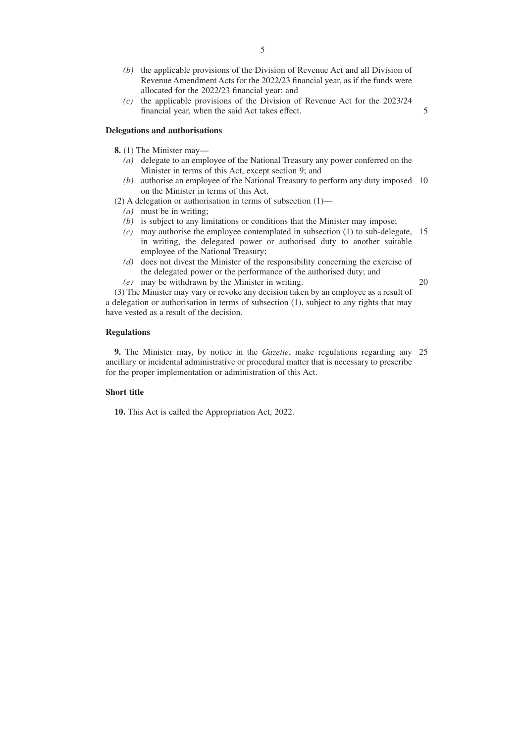- *(b)* the applicable provisions of the Division of Revenue Act and all Division of Revenue Amendment Acts for the 2022/23 financial year, as if the funds were allocated for the 2022/23 financial year; and
- *(c)* the applicable provisions of the Division of Revenue Act for the 2023/24 financial year, when the said Act takes effect.

#### **Delegations and authorisations**

- **8.** (1) The Minister may—
	- *(a)* delegate to an employee of the National Treasury any power conferred on the Minister in terms of this Act, except section 9; and
	- *(b)* authorise an employee of the National Treasury to perform any duty imposed 10 on the Minister in terms of this Act.
- (2) A delegation or authorisation in terms of subsection (1)—
	- *(a)* must be in writing;
	- *(b)* is subject to any limitations or conditions that the Minister may impose;
	- *(c)* may authorise the employee contemplated in subsection (1) to sub-delegate, 15 in writing, the delegated power or authorised duty to another suitable employee of the National Treasury;
	- *(d)* does not divest the Minister of the responsibility concerning the exercise of the delegated power or the performance of the authorised duty; and
	- *(e)* may be withdrawn by the Minister in writing.

20

5

(3) The Minister may vary or revoke any decision taken by an employee as a result of a delegation or authorisation in terms of subsection (1), subject to any rights that may have vested as a result of the decision.

#### **Regulations**

**9.** The Minister may, by notice in the *Gazette*, make regulations regarding any 25ancillary or incidental administrative or procedural matter that is necessary to prescribe for the proper implementation or administration of this Act.

#### **Short title**

**10.** This Act is called the Appropriation Act, 2022.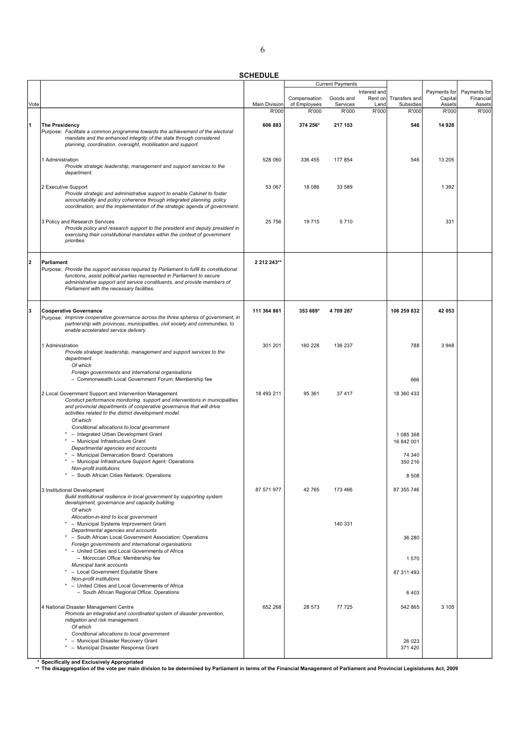|      |                                                                                                                                                                                                                                                                                                            |                      |                              | <b>Current Payments</b> |                 |                            |                   |                     |
|------|------------------------------------------------------------------------------------------------------------------------------------------------------------------------------------------------------------------------------------------------------------------------------------------------------------|----------------------|------------------------------|-------------------------|-----------------|----------------------------|-------------------|---------------------|
|      |                                                                                                                                                                                                                                                                                                            |                      |                              |                         | Interest and    |                            | Payments for      | Payments for        |
| Vote |                                                                                                                                                                                                                                                                                                            | <b>Main Division</b> | Compensation<br>of Employees | Goods and<br>Services   | Rent on<br>Land | Transfers and<br>Subsidies | Capital<br>Assets | Financial<br>Assets |
|      |                                                                                                                                                                                                                                                                                                            | R'000                | R'000                        | R'000                   | R'000           | R'000                      | R'000             | R'000               |
| 1    | <b>The Presidency</b>                                                                                                                                                                                                                                                                                      | 606 883              | 374 256*                     | 217 153                 |                 | 546                        | 14 928            |                     |
|      | Purpose: Facilitate a common programme towards the achievement of the electoral<br>mandate and the enhanced integrity of the state through considered<br>planning, coordination, oversight, mobilisation and support.                                                                                      |                      |                              |                         |                 |                            |                   |                     |
|      | 1 Administration<br>Provide strategic leadership, management and support services to the<br>department.                                                                                                                                                                                                    | 528 060              | 336 455                      | 177854                  |                 | 546                        | 13 205            |                     |
|      | 2 Executive Support<br>Provide strategic and administrative support to enable Cabinet to foster<br>accountability and policy coherence through integrated planning, policy<br>coordination, and the implementation of the strategic agenda of government.                                                  | 53 067               | 18 0 86                      | 33 589                  |                 |                            | 1 3 9 2           |                     |
|      | 3 Policy and Research Services<br>Provide policy and research support to the president and deputy president in<br>exercising their constitutional mandates within the context of government<br>priorities.                                                                                                 | 25 7 56              | 19 715                       | 5710                    |                 |                            | 331               |                     |
|      |                                                                                                                                                                                                                                                                                                            |                      |                              |                         |                 |                            |                   |                     |
| 12   | Parliament<br>Purpose: Provide the support services required by Parliament to fulfil its constitutional<br>functions, assist political parties represented in Parliament to secure<br>administrative support and service constituents, and provide members of<br>Parliament with the necessary facilities. | 2 212 243**          |                              |                         |                 |                            |                   |                     |
| lз   | <b>Cooperative Governance</b>                                                                                                                                                                                                                                                                              | 111 364 861          | 353 689*                     | 4709287                 |                 | 106 259 832                | 42 053            |                     |
|      | Purpose: Improve cooperative governance across the three spheres of government, in<br>partnership with provinces, municipalities, civil society and communities, to<br>enable accelerated service delivery.                                                                                                |                      |                              |                         |                 |                            |                   |                     |
|      | 1 Administration<br>Provide strategic leadership, management and support services to the<br>department.<br>Of which                                                                                                                                                                                        | 301 201              | 160 228                      | 136 237                 |                 | 788                        | 3948              |                     |
|      | Foreign governments and international organisations<br>- Commonwealth Local Government Forum: Membership fee                                                                                                                                                                                               |                      |                              |                         |                 | 666                        |                   |                     |
|      | 2 Local Government Support and Intervention Management<br>Conduct performance monitoring, support and interventions in municipalities<br>and provincial departments of cooperative governance that will drive<br>activities related to the district development model.<br>Of which                         | 18 493 211           | 95 361                       | 37 417                  |                 | 18 360 433                 |                   |                     |
|      | Conditional allocations to local government<br>* - Integrated Urban Development Grant<br>* - Municipal Infrastructure Grant                                                                                                                                                                                |                      |                              |                         |                 | 1 085 368<br>16 842 001    |                   |                     |
|      | Departmental agencies and accounts<br>- Municipal Demarcation Board: Operations                                                                                                                                                                                                                            |                      |                              |                         |                 | 74 340                     |                   |                     |
|      | - Municipal Infrastructure Support Agent: Operations<br>Non-profit institutions<br>South African Cities Network: Operations                                                                                                                                                                                |                      |                              |                         |                 | 350 216                    |                   |                     |
|      |                                                                                                                                                                                                                                                                                                            |                      |                              |                         |                 | 8 508                      |                   |                     |
|      | 3 Institutional Development<br>Build institutional resilience in local government by supporting system<br>development, governance and capacity building.<br>Of which                                                                                                                                       | 87 571 977           | 42765                        | 173 466                 |                 | 87 355 746                 |                   |                     |
|      | Allocation-in-kind to local government<br>* - Municipal Systems Improvement Grant                                                                                                                                                                                                                          |                      |                              | 140 331                 |                 |                            |                   |                     |
|      | Departmental agencies and accounts<br>* - South African Local Government Association: Operations                                                                                                                                                                                                           |                      |                              |                         |                 | 36 280                     |                   |                     |
|      | Foreign governments and international organisations<br>* - United Cities and Local Governments of Africa<br>- Moroccan Office: Membership fee                                                                                                                                                              |                      |                              |                         |                 | 1570                       |                   |                     |
|      | Municipal bank accounts<br>* - Local Government Equitable Share                                                                                                                                                                                                                                            |                      |                              |                         |                 | 87 311 493                 |                   |                     |
|      | Non-profit institutions<br>* - United Cities and Local Governments of Africa                                                                                                                                                                                                                               |                      |                              |                         |                 |                            |                   |                     |
|      | - South African Regional Office: Operations<br>4 National Disaster Management Centre                                                                                                                                                                                                                       | 652 268              |                              | 77 725                  |                 | 6403                       | 3 1 0 5           |                     |
|      | Promote an integrated and coordinated system of disaster prevention,<br>mitigation and risk management.<br>Of which                                                                                                                                                                                        |                      | 28 573                       |                         |                 | 542 865                    |                   |                     |
|      | Conditional allocations to local government<br>* - Municipal Disaster Recovery Grant<br>* - Municipal Disaster Response Grant                                                                                                                                                                              |                      |                              |                         |                 | 26 0 23<br>371 420         |                   |                     |
|      |                                                                                                                                                                                                                                                                                                            |                      |                              |                         |                 |                            |                   |                     |

\* Specifically and Exclusively Appropriated<br>\*\* The disaggregation of the vote per main division to be determined by Parliament in terms of the Financial Management of Parliament and Provincial Legislatures Act, 2009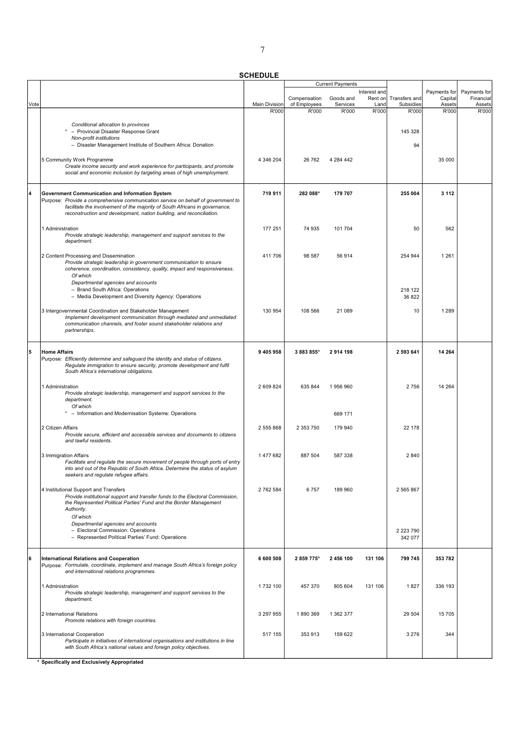| Interest and<br>Payments for<br>Transfers and<br>Compensation<br>Goods and<br>Rent on<br>Capital<br>Main Division<br>of Employees<br>Vote<br>Services<br>Land<br>Subsidies<br>Assets<br>R'000<br>R'000<br>R'000<br>R'000<br>R'000<br>R'000<br>Conditional allocation to provinces<br>- Provincial Disaster Response Grant<br>145 328<br>Non-profit institutions<br>- Disaster Management Institute of Southern Africa: Donation<br>94<br>5 Community Work Programme<br>4 346 204<br>26 762<br>35 000<br>4 284 442<br>Create income security and work experience for participants, and promote<br>social and economic inclusion by targeting areas of high unemployment.<br>$\overline{\bf{4}}$<br>719 911<br>282 088*<br>179 707<br>255 004<br>3 1 1 2<br><b>Government Communication and Information System</b><br>Purpose: Provide a comprehensive communication service on behalf of government to<br>facilitate the involvement of the majority of South Africans in governance,<br>reconstruction and development, nation building, and reconciliation.<br>177 251<br>562<br>1 Administration<br>74 935<br>101 704<br>50<br>Provide strategic leadership, management and support services to the<br>department.<br>1 2 6 1<br>2 Content Processing and Dissemination<br>411 706<br>98 587<br>56 914<br>254 944<br>Provide strategic leadership in government communication to ensure<br>coherence, coordination, consistency, quality, impact and responsiveness.<br>Of which<br>Departmental agencies and accounts<br>- Brand South Africa: Operations<br>218 122<br>- Media Development and Diversity Agency: Operations<br>36 822<br>130 954<br>108 566<br>21 089<br>1 2 8 9<br>3 Intergovernmental Coordination and Stakeholder Management<br>10<br>Implement development communication through mediated and unmediated<br>communication channels, and foster sound stakeholder relations and<br>partnerships.<br>5<br>9 405 958<br>3 883 855*<br>2 593 641<br>14 2 64<br><b>Home Affairs</b><br>2914 198<br>Purpose: Efficiently determine and safeguard the identity and status of citizens.<br>Regulate immigration to ensure security, promote development and fulfil<br>South Africa's international obligations.<br>2 609 824<br>635 844<br>2756<br>14 264<br>1 Administration<br>1956960<br>Provide strategic leadership, management and support services to the<br>department.<br>Of which<br>- Information and Modernisation Systems: Operations<br>669 171<br>2 Citizen Affairs<br>22 178<br>2 555 868<br>2 353 750<br>179 940<br>Provide secure, efficient and accessible services and documents to citizens<br>and lawful residents.<br>2840<br>3 Immigration Affairs<br>1477682<br>887 504<br>587 338<br>Facilitate and regulate the secure movement of people through ports of entry<br>into and out of the Republic of South Africa. Determine the status of asylum<br>seekers and regulate refugee affairs.<br>2 762 584<br>6757<br>2 5 6 5 8 6 7<br>4 Institutional Support and Transfers<br>189 960<br>Provide institutional support and transfer funds to the Electoral Commission,<br>the Represented Political Parties' Fund and the Border Management<br>Authority.<br>Of which<br>Departmental agencies and accounts<br>- Electoral Commission: Operations<br>2 2 2 3 7 9 0<br>- Represented Political Parties' Fund: Operations<br>342 077<br>6<br>6 600 508<br>353 782<br><b>International Relations and Cooperation</b><br>2 859 775*<br>2 456 100<br>131 106<br>799 745<br>Purpose: Formulate, coordinate, implement and manage South Africa's foreign policy<br>and international relations programmes.<br>336 193<br>1 Administration<br>1732 100<br>457 370<br>805 604<br>131 106<br>1827<br>Provide strategic leadership, management and support services to the |  |  | <b>Current Payments</b> |  |                     |
|----------------------------------------------------------------------------------------------------------------------------------------------------------------------------------------------------------------------------------------------------------------------------------------------------------------------------------------------------------------------------------------------------------------------------------------------------------------------------------------------------------------------------------------------------------------------------------------------------------------------------------------------------------------------------------------------------------------------------------------------------------------------------------------------------------------------------------------------------------------------------------------------------------------------------------------------------------------------------------------------------------------------------------------------------------------------------------------------------------------------------------------------------------------------------------------------------------------------------------------------------------------------------------------------------------------------------------------------------------------------------------------------------------------------------------------------------------------------------------------------------------------------------------------------------------------------------------------------------------------------------------------------------------------------------------------------------------------------------------------------------------------------------------------------------------------------------------------------------------------------------------------------------------------------------------------------------------------------------------------------------------------------------------------------------------------------------------------------------------------------------------------------------------------------------------------------------------------------------------------------------------------------------------------------------------------------------------------------------------------------------------------------------------------------------------------------------------------------------------------------------------------------------------------------------------------------------------------------------------------------------------------------------------------------------------------------------------------------------------------------------------------------------------------------------------------------------------------------------------------------------------------------------------------------------------------------------------------------------------------------------------------------------------------------------------------------------------------------------------------------------------------------------------------------------------------------------------------------------------------------------------------------------------------------------------------------------------------------------------------------------------------------------------------------------------------------------------------------------------------------------------------------------------------------------------------------------------------------------------------------------------------------------------------------------------------------------------------------------------------------------------------------------------------------------------|--|--|-------------------------|--|---------------------|
|                                                                                                                                                                                                                                                                                                                                                                                                                                                                                                                                                                                                                                                                                                                                                                                                                                                                                                                                                                                                                                                                                                                                                                                                                                                                                                                                                                                                                                                                                                                                                                                                                                                                                                                                                                                                                                                                                                                                                                                                                                                                                                                                                                                                                                                                                                                                                                                                                                                                                                                                                                                                                                                                                                                                                                                                                                                                                                                                                                                                                                                                                                                                                                                                                                                                                                                                                                                                                                                                                                                                                                                                                                                                                                                                                                                                          |  |  |                         |  | Payments for        |
|                                                                                                                                                                                                                                                                                                                                                                                                                                                                                                                                                                                                                                                                                                                                                                                                                                                                                                                                                                                                                                                                                                                                                                                                                                                                                                                                                                                                                                                                                                                                                                                                                                                                                                                                                                                                                                                                                                                                                                                                                                                                                                                                                                                                                                                                                                                                                                                                                                                                                                                                                                                                                                                                                                                                                                                                                                                                                                                                                                                                                                                                                                                                                                                                                                                                                                                                                                                                                                                                                                                                                                                                                                                                                                                                                                                                          |  |  |                         |  | Financial<br>Assets |
|                                                                                                                                                                                                                                                                                                                                                                                                                                                                                                                                                                                                                                                                                                                                                                                                                                                                                                                                                                                                                                                                                                                                                                                                                                                                                                                                                                                                                                                                                                                                                                                                                                                                                                                                                                                                                                                                                                                                                                                                                                                                                                                                                                                                                                                                                                                                                                                                                                                                                                                                                                                                                                                                                                                                                                                                                                                                                                                                                                                                                                                                                                                                                                                                                                                                                                                                                                                                                                                                                                                                                                                                                                                                                                                                                                                                          |  |  |                         |  | R'000               |
|                                                                                                                                                                                                                                                                                                                                                                                                                                                                                                                                                                                                                                                                                                                                                                                                                                                                                                                                                                                                                                                                                                                                                                                                                                                                                                                                                                                                                                                                                                                                                                                                                                                                                                                                                                                                                                                                                                                                                                                                                                                                                                                                                                                                                                                                                                                                                                                                                                                                                                                                                                                                                                                                                                                                                                                                                                                                                                                                                                                                                                                                                                                                                                                                                                                                                                                                                                                                                                                                                                                                                                                                                                                                                                                                                                                                          |  |  |                         |  |                     |
|                                                                                                                                                                                                                                                                                                                                                                                                                                                                                                                                                                                                                                                                                                                                                                                                                                                                                                                                                                                                                                                                                                                                                                                                                                                                                                                                                                                                                                                                                                                                                                                                                                                                                                                                                                                                                                                                                                                                                                                                                                                                                                                                                                                                                                                                                                                                                                                                                                                                                                                                                                                                                                                                                                                                                                                                                                                                                                                                                                                                                                                                                                                                                                                                                                                                                                                                                                                                                                                                                                                                                                                                                                                                                                                                                                                                          |  |  |                         |  |                     |
|                                                                                                                                                                                                                                                                                                                                                                                                                                                                                                                                                                                                                                                                                                                                                                                                                                                                                                                                                                                                                                                                                                                                                                                                                                                                                                                                                                                                                                                                                                                                                                                                                                                                                                                                                                                                                                                                                                                                                                                                                                                                                                                                                                                                                                                                                                                                                                                                                                                                                                                                                                                                                                                                                                                                                                                                                                                                                                                                                                                                                                                                                                                                                                                                                                                                                                                                                                                                                                                                                                                                                                                                                                                                                                                                                                                                          |  |  |                         |  |                     |
|                                                                                                                                                                                                                                                                                                                                                                                                                                                                                                                                                                                                                                                                                                                                                                                                                                                                                                                                                                                                                                                                                                                                                                                                                                                                                                                                                                                                                                                                                                                                                                                                                                                                                                                                                                                                                                                                                                                                                                                                                                                                                                                                                                                                                                                                                                                                                                                                                                                                                                                                                                                                                                                                                                                                                                                                                                                                                                                                                                                                                                                                                                                                                                                                                                                                                                                                                                                                                                                                                                                                                                                                                                                                                                                                                                                                          |  |  |                         |  |                     |
|                                                                                                                                                                                                                                                                                                                                                                                                                                                                                                                                                                                                                                                                                                                                                                                                                                                                                                                                                                                                                                                                                                                                                                                                                                                                                                                                                                                                                                                                                                                                                                                                                                                                                                                                                                                                                                                                                                                                                                                                                                                                                                                                                                                                                                                                                                                                                                                                                                                                                                                                                                                                                                                                                                                                                                                                                                                                                                                                                                                                                                                                                                                                                                                                                                                                                                                                                                                                                                                                                                                                                                                                                                                                                                                                                                                                          |  |  |                         |  |                     |
|                                                                                                                                                                                                                                                                                                                                                                                                                                                                                                                                                                                                                                                                                                                                                                                                                                                                                                                                                                                                                                                                                                                                                                                                                                                                                                                                                                                                                                                                                                                                                                                                                                                                                                                                                                                                                                                                                                                                                                                                                                                                                                                                                                                                                                                                                                                                                                                                                                                                                                                                                                                                                                                                                                                                                                                                                                                                                                                                                                                                                                                                                                                                                                                                                                                                                                                                                                                                                                                                                                                                                                                                                                                                                                                                                                                                          |  |  |                         |  |                     |
|                                                                                                                                                                                                                                                                                                                                                                                                                                                                                                                                                                                                                                                                                                                                                                                                                                                                                                                                                                                                                                                                                                                                                                                                                                                                                                                                                                                                                                                                                                                                                                                                                                                                                                                                                                                                                                                                                                                                                                                                                                                                                                                                                                                                                                                                                                                                                                                                                                                                                                                                                                                                                                                                                                                                                                                                                                                                                                                                                                                                                                                                                                                                                                                                                                                                                                                                                                                                                                                                                                                                                                                                                                                                                                                                                                                                          |  |  |                         |  |                     |
|                                                                                                                                                                                                                                                                                                                                                                                                                                                                                                                                                                                                                                                                                                                                                                                                                                                                                                                                                                                                                                                                                                                                                                                                                                                                                                                                                                                                                                                                                                                                                                                                                                                                                                                                                                                                                                                                                                                                                                                                                                                                                                                                                                                                                                                                                                                                                                                                                                                                                                                                                                                                                                                                                                                                                                                                                                                                                                                                                                                                                                                                                                                                                                                                                                                                                                                                                                                                                                                                                                                                                                                                                                                                                                                                                                                                          |  |  |                         |  |                     |
|                                                                                                                                                                                                                                                                                                                                                                                                                                                                                                                                                                                                                                                                                                                                                                                                                                                                                                                                                                                                                                                                                                                                                                                                                                                                                                                                                                                                                                                                                                                                                                                                                                                                                                                                                                                                                                                                                                                                                                                                                                                                                                                                                                                                                                                                                                                                                                                                                                                                                                                                                                                                                                                                                                                                                                                                                                                                                                                                                                                                                                                                                                                                                                                                                                                                                                                                                                                                                                                                                                                                                                                                                                                                                                                                                                                                          |  |  |                         |  |                     |
|                                                                                                                                                                                                                                                                                                                                                                                                                                                                                                                                                                                                                                                                                                                                                                                                                                                                                                                                                                                                                                                                                                                                                                                                                                                                                                                                                                                                                                                                                                                                                                                                                                                                                                                                                                                                                                                                                                                                                                                                                                                                                                                                                                                                                                                                                                                                                                                                                                                                                                                                                                                                                                                                                                                                                                                                                                                                                                                                                                                                                                                                                                                                                                                                                                                                                                                                                                                                                                                                                                                                                                                                                                                                                                                                                                                                          |  |  |                         |  |                     |
|                                                                                                                                                                                                                                                                                                                                                                                                                                                                                                                                                                                                                                                                                                                                                                                                                                                                                                                                                                                                                                                                                                                                                                                                                                                                                                                                                                                                                                                                                                                                                                                                                                                                                                                                                                                                                                                                                                                                                                                                                                                                                                                                                                                                                                                                                                                                                                                                                                                                                                                                                                                                                                                                                                                                                                                                                                                                                                                                                                                                                                                                                                                                                                                                                                                                                                                                                                                                                                                                                                                                                                                                                                                                                                                                                                                                          |  |  |                         |  |                     |
|                                                                                                                                                                                                                                                                                                                                                                                                                                                                                                                                                                                                                                                                                                                                                                                                                                                                                                                                                                                                                                                                                                                                                                                                                                                                                                                                                                                                                                                                                                                                                                                                                                                                                                                                                                                                                                                                                                                                                                                                                                                                                                                                                                                                                                                                                                                                                                                                                                                                                                                                                                                                                                                                                                                                                                                                                                                                                                                                                                                                                                                                                                                                                                                                                                                                                                                                                                                                                                                                                                                                                                                                                                                                                                                                                                                                          |  |  |                         |  |                     |
|                                                                                                                                                                                                                                                                                                                                                                                                                                                                                                                                                                                                                                                                                                                                                                                                                                                                                                                                                                                                                                                                                                                                                                                                                                                                                                                                                                                                                                                                                                                                                                                                                                                                                                                                                                                                                                                                                                                                                                                                                                                                                                                                                                                                                                                                                                                                                                                                                                                                                                                                                                                                                                                                                                                                                                                                                                                                                                                                                                                                                                                                                                                                                                                                                                                                                                                                                                                                                                                                                                                                                                                                                                                                                                                                                                                                          |  |  |                         |  |                     |
|                                                                                                                                                                                                                                                                                                                                                                                                                                                                                                                                                                                                                                                                                                                                                                                                                                                                                                                                                                                                                                                                                                                                                                                                                                                                                                                                                                                                                                                                                                                                                                                                                                                                                                                                                                                                                                                                                                                                                                                                                                                                                                                                                                                                                                                                                                                                                                                                                                                                                                                                                                                                                                                                                                                                                                                                                                                                                                                                                                                                                                                                                                                                                                                                                                                                                                                                                                                                                                                                                                                                                                                                                                                                                                                                                                                                          |  |  |                         |  |                     |
|                                                                                                                                                                                                                                                                                                                                                                                                                                                                                                                                                                                                                                                                                                                                                                                                                                                                                                                                                                                                                                                                                                                                                                                                                                                                                                                                                                                                                                                                                                                                                                                                                                                                                                                                                                                                                                                                                                                                                                                                                                                                                                                                                                                                                                                                                                                                                                                                                                                                                                                                                                                                                                                                                                                                                                                                                                                                                                                                                                                                                                                                                                                                                                                                                                                                                                                                                                                                                                                                                                                                                                                                                                                                                                                                                                                                          |  |  |                         |  |                     |
|                                                                                                                                                                                                                                                                                                                                                                                                                                                                                                                                                                                                                                                                                                                                                                                                                                                                                                                                                                                                                                                                                                                                                                                                                                                                                                                                                                                                                                                                                                                                                                                                                                                                                                                                                                                                                                                                                                                                                                                                                                                                                                                                                                                                                                                                                                                                                                                                                                                                                                                                                                                                                                                                                                                                                                                                                                                                                                                                                                                                                                                                                                                                                                                                                                                                                                                                                                                                                                                                                                                                                                                                                                                                                                                                                                                                          |  |  |                         |  |                     |
|                                                                                                                                                                                                                                                                                                                                                                                                                                                                                                                                                                                                                                                                                                                                                                                                                                                                                                                                                                                                                                                                                                                                                                                                                                                                                                                                                                                                                                                                                                                                                                                                                                                                                                                                                                                                                                                                                                                                                                                                                                                                                                                                                                                                                                                                                                                                                                                                                                                                                                                                                                                                                                                                                                                                                                                                                                                                                                                                                                                                                                                                                                                                                                                                                                                                                                                                                                                                                                                                                                                                                                                                                                                                                                                                                                                                          |  |  |                         |  |                     |
|                                                                                                                                                                                                                                                                                                                                                                                                                                                                                                                                                                                                                                                                                                                                                                                                                                                                                                                                                                                                                                                                                                                                                                                                                                                                                                                                                                                                                                                                                                                                                                                                                                                                                                                                                                                                                                                                                                                                                                                                                                                                                                                                                                                                                                                                                                                                                                                                                                                                                                                                                                                                                                                                                                                                                                                                                                                                                                                                                                                                                                                                                                                                                                                                                                                                                                                                                                                                                                                                                                                                                                                                                                                                                                                                                                                                          |  |  |                         |  |                     |
|                                                                                                                                                                                                                                                                                                                                                                                                                                                                                                                                                                                                                                                                                                                                                                                                                                                                                                                                                                                                                                                                                                                                                                                                                                                                                                                                                                                                                                                                                                                                                                                                                                                                                                                                                                                                                                                                                                                                                                                                                                                                                                                                                                                                                                                                                                                                                                                                                                                                                                                                                                                                                                                                                                                                                                                                                                                                                                                                                                                                                                                                                                                                                                                                                                                                                                                                                                                                                                                                                                                                                                                                                                                                                                                                                                                                          |  |  |                         |  |                     |
|                                                                                                                                                                                                                                                                                                                                                                                                                                                                                                                                                                                                                                                                                                                                                                                                                                                                                                                                                                                                                                                                                                                                                                                                                                                                                                                                                                                                                                                                                                                                                                                                                                                                                                                                                                                                                                                                                                                                                                                                                                                                                                                                                                                                                                                                                                                                                                                                                                                                                                                                                                                                                                                                                                                                                                                                                                                                                                                                                                                                                                                                                                                                                                                                                                                                                                                                                                                                                                                                                                                                                                                                                                                                                                                                                                                                          |  |  |                         |  |                     |
|                                                                                                                                                                                                                                                                                                                                                                                                                                                                                                                                                                                                                                                                                                                                                                                                                                                                                                                                                                                                                                                                                                                                                                                                                                                                                                                                                                                                                                                                                                                                                                                                                                                                                                                                                                                                                                                                                                                                                                                                                                                                                                                                                                                                                                                                                                                                                                                                                                                                                                                                                                                                                                                                                                                                                                                                                                                                                                                                                                                                                                                                                                                                                                                                                                                                                                                                                                                                                                                                                                                                                                                                                                                                                                                                                                                                          |  |  |                         |  |                     |
|                                                                                                                                                                                                                                                                                                                                                                                                                                                                                                                                                                                                                                                                                                                                                                                                                                                                                                                                                                                                                                                                                                                                                                                                                                                                                                                                                                                                                                                                                                                                                                                                                                                                                                                                                                                                                                                                                                                                                                                                                                                                                                                                                                                                                                                                                                                                                                                                                                                                                                                                                                                                                                                                                                                                                                                                                                                                                                                                                                                                                                                                                                                                                                                                                                                                                                                                                                                                                                                                                                                                                                                                                                                                                                                                                                                                          |  |  |                         |  |                     |
|                                                                                                                                                                                                                                                                                                                                                                                                                                                                                                                                                                                                                                                                                                                                                                                                                                                                                                                                                                                                                                                                                                                                                                                                                                                                                                                                                                                                                                                                                                                                                                                                                                                                                                                                                                                                                                                                                                                                                                                                                                                                                                                                                                                                                                                                                                                                                                                                                                                                                                                                                                                                                                                                                                                                                                                                                                                                                                                                                                                                                                                                                                                                                                                                                                                                                                                                                                                                                                                                                                                                                                                                                                                                                                                                                                                                          |  |  |                         |  |                     |
|                                                                                                                                                                                                                                                                                                                                                                                                                                                                                                                                                                                                                                                                                                                                                                                                                                                                                                                                                                                                                                                                                                                                                                                                                                                                                                                                                                                                                                                                                                                                                                                                                                                                                                                                                                                                                                                                                                                                                                                                                                                                                                                                                                                                                                                                                                                                                                                                                                                                                                                                                                                                                                                                                                                                                                                                                                                                                                                                                                                                                                                                                                                                                                                                                                                                                                                                                                                                                                                                                                                                                                                                                                                                                                                                                                                                          |  |  |                         |  |                     |
|                                                                                                                                                                                                                                                                                                                                                                                                                                                                                                                                                                                                                                                                                                                                                                                                                                                                                                                                                                                                                                                                                                                                                                                                                                                                                                                                                                                                                                                                                                                                                                                                                                                                                                                                                                                                                                                                                                                                                                                                                                                                                                                                                                                                                                                                                                                                                                                                                                                                                                                                                                                                                                                                                                                                                                                                                                                                                                                                                                                                                                                                                                                                                                                                                                                                                                                                                                                                                                                                                                                                                                                                                                                                                                                                                                                                          |  |  |                         |  |                     |
|                                                                                                                                                                                                                                                                                                                                                                                                                                                                                                                                                                                                                                                                                                                                                                                                                                                                                                                                                                                                                                                                                                                                                                                                                                                                                                                                                                                                                                                                                                                                                                                                                                                                                                                                                                                                                                                                                                                                                                                                                                                                                                                                                                                                                                                                                                                                                                                                                                                                                                                                                                                                                                                                                                                                                                                                                                                                                                                                                                                                                                                                                                                                                                                                                                                                                                                                                                                                                                                                                                                                                                                                                                                                                                                                                                                                          |  |  |                         |  |                     |
|                                                                                                                                                                                                                                                                                                                                                                                                                                                                                                                                                                                                                                                                                                                                                                                                                                                                                                                                                                                                                                                                                                                                                                                                                                                                                                                                                                                                                                                                                                                                                                                                                                                                                                                                                                                                                                                                                                                                                                                                                                                                                                                                                                                                                                                                                                                                                                                                                                                                                                                                                                                                                                                                                                                                                                                                                                                                                                                                                                                                                                                                                                                                                                                                                                                                                                                                                                                                                                                                                                                                                                                                                                                                                                                                                                                                          |  |  |                         |  |                     |
|                                                                                                                                                                                                                                                                                                                                                                                                                                                                                                                                                                                                                                                                                                                                                                                                                                                                                                                                                                                                                                                                                                                                                                                                                                                                                                                                                                                                                                                                                                                                                                                                                                                                                                                                                                                                                                                                                                                                                                                                                                                                                                                                                                                                                                                                                                                                                                                                                                                                                                                                                                                                                                                                                                                                                                                                                                                                                                                                                                                                                                                                                                                                                                                                                                                                                                                                                                                                                                                                                                                                                                                                                                                                                                                                                                                                          |  |  |                         |  |                     |
|                                                                                                                                                                                                                                                                                                                                                                                                                                                                                                                                                                                                                                                                                                                                                                                                                                                                                                                                                                                                                                                                                                                                                                                                                                                                                                                                                                                                                                                                                                                                                                                                                                                                                                                                                                                                                                                                                                                                                                                                                                                                                                                                                                                                                                                                                                                                                                                                                                                                                                                                                                                                                                                                                                                                                                                                                                                                                                                                                                                                                                                                                                                                                                                                                                                                                                                                                                                                                                                                                                                                                                                                                                                                                                                                                                                                          |  |  |                         |  |                     |
|                                                                                                                                                                                                                                                                                                                                                                                                                                                                                                                                                                                                                                                                                                                                                                                                                                                                                                                                                                                                                                                                                                                                                                                                                                                                                                                                                                                                                                                                                                                                                                                                                                                                                                                                                                                                                                                                                                                                                                                                                                                                                                                                                                                                                                                                                                                                                                                                                                                                                                                                                                                                                                                                                                                                                                                                                                                                                                                                                                                                                                                                                                                                                                                                                                                                                                                                                                                                                                                                                                                                                                                                                                                                                                                                                                                                          |  |  |                         |  |                     |
|                                                                                                                                                                                                                                                                                                                                                                                                                                                                                                                                                                                                                                                                                                                                                                                                                                                                                                                                                                                                                                                                                                                                                                                                                                                                                                                                                                                                                                                                                                                                                                                                                                                                                                                                                                                                                                                                                                                                                                                                                                                                                                                                                                                                                                                                                                                                                                                                                                                                                                                                                                                                                                                                                                                                                                                                                                                                                                                                                                                                                                                                                                                                                                                                                                                                                                                                                                                                                                                                                                                                                                                                                                                                                                                                                                                                          |  |  |                         |  |                     |
|                                                                                                                                                                                                                                                                                                                                                                                                                                                                                                                                                                                                                                                                                                                                                                                                                                                                                                                                                                                                                                                                                                                                                                                                                                                                                                                                                                                                                                                                                                                                                                                                                                                                                                                                                                                                                                                                                                                                                                                                                                                                                                                                                                                                                                                                                                                                                                                                                                                                                                                                                                                                                                                                                                                                                                                                                                                                                                                                                                                                                                                                                                                                                                                                                                                                                                                                                                                                                                                                                                                                                                                                                                                                                                                                                                                                          |  |  |                         |  |                     |
|                                                                                                                                                                                                                                                                                                                                                                                                                                                                                                                                                                                                                                                                                                                                                                                                                                                                                                                                                                                                                                                                                                                                                                                                                                                                                                                                                                                                                                                                                                                                                                                                                                                                                                                                                                                                                                                                                                                                                                                                                                                                                                                                                                                                                                                                                                                                                                                                                                                                                                                                                                                                                                                                                                                                                                                                                                                                                                                                                                                                                                                                                                                                                                                                                                                                                                                                                                                                                                                                                                                                                                                                                                                                                                                                                                                                          |  |  |                         |  |                     |
|                                                                                                                                                                                                                                                                                                                                                                                                                                                                                                                                                                                                                                                                                                                                                                                                                                                                                                                                                                                                                                                                                                                                                                                                                                                                                                                                                                                                                                                                                                                                                                                                                                                                                                                                                                                                                                                                                                                                                                                                                                                                                                                                                                                                                                                                                                                                                                                                                                                                                                                                                                                                                                                                                                                                                                                                                                                                                                                                                                                                                                                                                                                                                                                                                                                                                                                                                                                                                                                                                                                                                                                                                                                                                                                                                                                                          |  |  |                         |  |                     |
|                                                                                                                                                                                                                                                                                                                                                                                                                                                                                                                                                                                                                                                                                                                                                                                                                                                                                                                                                                                                                                                                                                                                                                                                                                                                                                                                                                                                                                                                                                                                                                                                                                                                                                                                                                                                                                                                                                                                                                                                                                                                                                                                                                                                                                                                                                                                                                                                                                                                                                                                                                                                                                                                                                                                                                                                                                                                                                                                                                                                                                                                                                                                                                                                                                                                                                                                                                                                                                                                                                                                                                                                                                                                                                                                                                                                          |  |  |                         |  |                     |
|                                                                                                                                                                                                                                                                                                                                                                                                                                                                                                                                                                                                                                                                                                                                                                                                                                                                                                                                                                                                                                                                                                                                                                                                                                                                                                                                                                                                                                                                                                                                                                                                                                                                                                                                                                                                                                                                                                                                                                                                                                                                                                                                                                                                                                                                                                                                                                                                                                                                                                                                                                                                                                                                                                                                                                                                                                                                                                                                                                                                                                                                                                                                                                                                                                                                                                                                                                                                                                                                                                                                                                                                                                                                                                                                                                                                          |  |  |                         |  |                     |
|                                                                                                                                                                                                                                                                                                                                                                                                                                                                                                                                                                                                                                                                                                                                                                                                                                                                                                                                                                                                                                                                                                                                                                                                                                                                                                                                                                                                                                                                                                                                                                                                                                                                                                                                                                                                                                                                                                                                                                                                                                                                                                                                                                                                                                                                                                                                                                                                                                                                                                                                                                                                                                                                                                                                                                                                                                                                                                                                                                                                                                                                                                                                                                                                                                                                                                                                                                                                                                                                                                                                                                                                                                                                                                                                                                                                          |  |  |                         |  |                     |
|                                                                                                                                                                                                                                                                                                                                                                                                                                                                                                                                                                                                                                                                                                                                                                                                                                                                                                                                                                                                                                                                                                                                                                                                                                                                                                                                                                                                                                                                                                                                                                                                                                                                                                                                                                                                                                                                                                                                                                                                                                                                                                                                                                                                                                                                                                                                                                                                                                                                                                                                                                                                                                                                                                                                                                                                                                                                                                                                                                                                                                                                                                                                                                                                                                                                                                                                                                                                                                                                                                                                                                                                                                                                                                                                                                                                          |  |  |                         |  |                     |
|                                                                                                                                                                                                                                                                                                                                                                                                                                                                                                                                                                                                                                                                                                                                                                                                                                                                                                                                                                                                                                                                                                                                                                                                                                                                                                                                                                                                                                                                                                                                                                                                                                                                                                                                                                                                                                                                                                                                                                                                                                                                                                                                                                                                                                                                                                                                                                                                                                                                                                                                                                                                                                                                                                                                                                                                                                                                                                                                                                                                                                                                                                                                                                                                                                                                                                                                                                                                                                                                                                                                                                                                                                                                                                                                                                                                          |  |  |                         |  |                     |
|                                                                                                                                                                                                                                                                                                                                                                                                                                                                                                                                                                                                                                                                                                                                                                                                                                                                                                                                                                                                                                                                                                                                                                                                                                                                                                                                                                                                                                                                                                                                                                                                                                                                                                                                                                                                                                                                                                                                                                                                                                                                                                                                                                                                                                                                                                                                                                                                                                                                                                                                                                                                                                                                                                                                                                                                                                                                                                                                                                                                                                                                                                                                                                                                                                                                                                                                                                                                                                                                                                                                                                                                                                                                                                                                                                                                          |  |  |                         |  |                     |
|                                                                                                                                                                                                                                                                                                                                                                                                                                                                                                                                                                                                                                                                                                                                                                                                                                                                                                                                                                                                                                                                                                                                                                                                                                                                                                                                                                                                                                                                                                                                                                                                                                                                                                                                                                                                                                                                                                                                                                                                                                                                                                                                                                                                                                                                                                                                                                                                                                                                                                                                                                                                                                                                                                                                                                                                                                                                                                                                                                                                                                                                                                                                                                                                                                                                                                                                                                                                                                                                                                                                                                                                                                                                                                                                                                                                          |  |  |                         |  |                     |
|                                                                                                                                                                                                                                                                                                                                                                                                                                                                                                                                                                                                                                                                                                                                                                                                                                                                                                                                                                                                                                                                                                                                                                                                                                                                                                                                                                                                                                                                                                                                                                                                                                                                                                                                                                                                                                                                                                                                                                                                                                                                                                                                                                                                                                                                                                                                                                                                                                                                                                                                                                                                                                                                                                                                                                                                                                                                                                                                                                                                                                                                                                                                                                                                                                                                                                                                                                                                                                                                                                                                                                                                                                                                                                                                                                                                          |  |  |                         |  |                     |
|                                                                                                                                                                                                                                                                                                                                                                                                                                                                                                                                                                                                                                                                                                                                                                                                                                                                                                                                                                                                                                                                                                                                                                                                                                                                                                                                                                                                                                                                                                                                                                                                                                                                                                                                                                                                                                                                                                                                                                                                                                                                                                                                                                                                                                                                                                                                                                                                                                                                                                                                                                                                                                                                                                                                                                                                                                                                                                                                                                                                                                                                                                                                                                                                                                                                                                                                                                                                                                                                                                                                                                                                                                                                                                                                                                                                          |  |  |                         |  |                     |
|                                                                                                                                                                                                                                                                                                                                                                                                                                                                                                                                                                                                                                                                                                                                                                                                                                                                                                                                                                                                                                                                                                                                                                                                                                                                                                                                                                                                                                                                                                                                                                                                                                                                                                                                                                                                                                                                                                                                                                                                                                                                                                                                                                                                                                                                                                                                                                                                                                                                                                                                                                                                                                                                                                                                                                                                                                                                                                                                                                                                                                                                                                                                                                                                                                                                                                                                                                                                                                                                                                                                                                                                                                                                                                                                                                                                          |  |  |                         |  |                     |
|                                                                                                                                                                                                                                                                                                                                                                                                                                                                                                                                                                                                                                                                                                                                                                                                                                                                                                                                                                                                                                                                                                                                                                                                                                                                                                                                                                                                                                                                                                                                                                                                                                                                                                                                                                                                                                                                                                                                                                                                                                                                                                                                                                                                                                                                                                                                                                                                                                                                                                                                                                                                                                                                                                                                                                                                                                                                                                                                                                                                                                                                                                                                                                                                                                                                                                                                                                                                                                                                                                                                                                                                                                                                                                                                                                                                          |  |  |                         |  |                     |
|                                                                                                                                                                                                                                                                                                                                                                                                                                                                                                                                                                                                                                                                                                                                                                                                                                                                                                                                                                                                                                                                                                                                                                                                                                                                                                                                                                                                                                                                                                                                                                                                                                                                                                                                                                                                                                                                                                                                                                                                                                                                                                                                                                                                                                                                                                                                                                                                                                                                                                                                                                                                                                                                                                                                                                                                                                                                                                                                                                                                                                                                                                                                                                                                                                                                                                                                                                                                                                                                                                                                                                                                                                                                                                                                                                                                          |  |  |                         |  |                     |
|                                                                                                                                                                                                                                                                                                                                                                                                                                                                                                                                                                                                                                                                                                                                                                                                                                                                                                                                                                                                                                                                                                                                                                                                                                                                                                                                                                                                                                                                                                                                                                                                                                                                                                                                                                                                                                                                                                                                                                                                                                                                                                                                                                                                                                                                                                                                                                                                                                                                                                                                                                                                                                                                                                                                                                                                                                                                                                                                                                                                                                                                                                                                                                                                                                                                                                                                                                                                                                                                                                                                                                                                                                                                                                                                                                                                          |  |  |                         |  |                     |
|                                                                                                                                                                                                                                                                                                                                                                                                                                                                                                                                                                                                                                                                                                                                                                                                                                                                                                                                                                                                                                                                                                                                                                                                                                                                                                                                                                                                                                                                                                                                                                                                                                                                                                                                                                                                                                                                                                                                                                                                                                                                                                                                                                                                                                                                                                                                                                                                                                                                                                                                                                                                                                                                                                                                                                                                                                                                                                                                                                                                                                                                                                                                                                                                                                                                                                                                                                                                                                                                                                                                                                                                                                                                                                                                                                                                          |  |  |                         |  |                     |
|                                                                                                                                                                                                                                                                                                                                                                                                                                                                                                                                                                                                                                                                                                                                                                                                                                                                                                                                                                                                                                                                                                                                                                                                                                                                                                                                                                                                                                                                                                                                                                                                                                                                                                                                                                                                                                                                                                                                                                                                                                                                                                                                                                                                                                                                                                                                                                                                                                                                                                                                                                                                                                                                                                                                                                                                                                                                                                                                                                                                                                                                                                                                                                                                                                                                                                                                                                                                                                                                                                                                                                                                                                                                                                                                                                                                          |  |  |                         |  |                     |
|                                                                                                                                                                                                                                                                                                                                                                                                                                                                                                                                                                                                                                                                                                                                                                                                                                                                                                                                                                                                                                                                                                                                                                                                                                                                                                                                                                                                                                                                                                                                                                                                                                                                                                                                                                                                                                                                                                                                                                                                                                                                                                                                                                                                                                                                                                                                                                                                                                                                                                                                                                                                                                                                                                                                                                                                                                                                                                                                                                                                                                                                                                                                                                                                                                                                                                                                                                                                                                                                                                                                                                                                                                                                                                                                                                                                          |  |  |                         |  |                     |
|                                                                                                                                                                                                                                                                                                                                                                                                                                                                                                                                                                                                                                                                                                                                                                                                                                                                                                                                                                                                                                                                                                                                                                                                                                                                                                                                                                                                                                                                                                                                                                                                                                                                                                                                                                                                                                                                                                                                                                                                                                                                                                                                                                                                                                                                                                                                                                                                                                                                                                                                                                                                                                                                                                                                                                                                                                                                                                                                                                                                                                                                                                                                                                                                                                                                                                                                                                                                                                                                                                                                                                                                                                                                                                                                                                                                          |  |  |                         |  |                     |
|                                                                                                                                                                                                                                                                                                                                                                                                                                                                                                                                                                                                                                                                                                                                                                                                                                                                                                                                                                                                                                                                                                                                                                                                                                                                                                                                                                                                                                                                                                                                                                                                                                                                                                                                                                                                                                                                                                                                                                                                                                                                                                                                                                                                                                                                                                                                                                                                                                                                                                                                                                                                                                                                                                                                                                                                                                                                                                                                                                                                                                                                                                                                                                                                                                                                                                                                                                                                                                                                                                                                                                                                                                                                                                                                                                                                          |  |  |                         |  |                     |
|                                                                                                                                                                                                                                                                                                                                                                                                                                                                                                                                                                                                                                                                                                                                                                                                                                                                                                                                                                                                                                                                                                                                                                                                                                                                                                                                                                                                                                                                                                                                                                                                                                                                                                                                                                                                                                                                                                                                                                                                                                                                                                                                                                                                                                                                                                                                                                                                                                                                                                                                                                                                                                                                                                                                                                                                                                                                                                                                                                                                                                                                                                                                                                                                                                                                                                                                                                                                                                                                                                                                                                                                                                                                                                                                                                                                          |  |  |                         |  |                     |
|                                                                                                                                                                                                                                                                                                                                                                                                                                                                                                                                                                                                                                                                                                                                                                                                                                                                                                                                                                                                                                                                                                                                                                                                                                                                                                                                                                                                                                                                                                                                                                                                                                                                                                                                                                                                                                                                                                                                                                                                                                                                                                                                                                                                                                                                                                                                                                                                                                                                                                                                                                                                                                                                                                                                                                                                                                                                                                                                                                                                                                                                                                                                                                                                                                                                                                                                                                                                                                                                                                                                                                                                                                                                                                                                                                                                          |  |  |                         |  |                     |
|                                                                                                                                                                                                                                                                                                                                                                                                                                                                                                                                                                                                                                                                                                                                                                                                                                                                                                                                                                                                                                                                                                                                                                                                                                                                                                                                                                                                                                                                                                                                                                                                                                                                                                                                                                                                                                                                                                                                                                                                                                                                                                                                                                                                                                                                                                                                                                                                                                                                                                                                                                                                                                                                                                                                                                                                                                                                                                                                                                                                                                                                                                                                                                                                                                                                                                                                                                                                                                                                                                                                                                                                                                                                                                                                                                                                          |  |  |                         |  |                     |
|                                                                                                                                                                                                                                                                                                                                                                                                                                                                                                                                                                                                                                                                                                                                                                                                                                                                                                                                                                                                                                                                                                                                                                                                                                                                                                                                                                                                                                                                                                                                                                                                                                                                                                                                                                                                                                                                                                                                                                                                                                                                                                                                                                                                                                                                                                                                                                                                                                                                                                                                                                                                                                                                                                                                                                                                                                                                                                                                                                                                                                                                                                                                                                                                                                                                                                                                                                                                                                                                                                                                                                                                                                                                                                                                                                                                          |  |  |                         |  |                     |
| department.                                                                                                                                                                                                                                                                                                                                                                                                                                                                                                                                                                                                                                                                                                                                                                                                                                                                                                                                                                                                                                                                                                                                                                                                                                                                                                                                                                                                                                                                                                                                                                                                                                                                                                                                                                                                                                                                                                                                                                                                                                                                                                                                                                                                                                                                                                                                                                                                                                                                                                                                                                                                                                                                                                                                                                                                                                                                                                                                                                                                                                                                                                                                                                                                                                                                                                                                                                                                                                                                                                                                                                                                                                                                                                                                                                                              |  |  |                         |  |                     |
| 2 International Relations<br>3 297 955<br>1890369<br>1 362 377<br>29 504<br>15705                                                                                                                                                                                                                                                                                                                                                                                                                                                                                                                                                                                                                                                                                                                                                                                                                                                                                                                                                                                                                                                                                                                                                                                                                                                                                                                                                                                                                                                                                                                                                                                                                                                                                                                                                                                                                                                                                                                                                                                                                                                                                                                                                                                                                                                                                                                                                                                                                                                                                                                                                                                                                                                                                                                                                                                                                                                                                                                                                                                                                                                                                                                                                                                                                                                                                                                                                                                                                                                                                                                                                                                                                                                                                                                        |  |  |                         |  |                     |
| Promote relations with foreign countries.                                                                                                                                                                                                                                                                                                                                                                                                                                                                                                                                                                                                                                                                                                                                                                                                                                                                                                                                                                                                                                                                                                                                                                                                                                                                                                                                                                                                                                                                                                                                                                                                                                                                                                                                                                                                                                                                                                                                                                                                                                                                                                                                                                                                                                                                                                                                                                                                                                                                                                                                                                                                                                                                                                                                                                                                                                                                                                                                                                                                                                                                                                                                                                                                                                                                                                                                                                                                                                                                                                                                                                                                                                                                                                                                                                |  |  |                         |  |                     |
|                                                                                                                                                                                                                                                                                                                                                                                                                                                                                                                                                                                                                                                                                                                                                                                                                                                                                                                                                                                                                                                                                                                                                                                                                                                                                                                                                                                                                                                                                                                                                                                                                                                                                                                                                                                                                                                                                                                                                                                                                                                                                                                                                                                                                                                                                                                                                                                                                                                                                                                                                                                                                                                                                                                                                                                                                                                                                                                                                                                                                                                                                                                                                                                                                                                                                                                                                                                                                                                                                                                                                                                                                                                                                                                                                                                                          |  |  |                         |  |                     |
| 3 International Cooperation<br>517 155<br>353 913<br>159 622<br>3 2 7 6<br>344                                                                                                                                                                                                                                                                                                                                                                                                                                                                                                                                                                                                                                                                                                                                                                                                                                                                                                                                                                                                                                                                                                                                                                                                                                                                                                                                                                                                                                                                                                                                                                                                                                                                                                                                                                                                                                                                                                                                                                                                                                                                                                                                                                                                                                                                                                                                                                                                                                                                                                                                                                                                                                                                                                                                                                                                                                                                                                                                                                                                                                                                                                                                                                                                                                                                                                                                                                                                                                                                                                                                                                                                                                                                                                                           |  |  |                         |  |                     |
| Participate in initiatives of international organisations and institutions in line<br>with South Africa's national values and foreign policy objectives.                                                                                                                                                                                                                                                                                                                                                                                                                                                                                                                                                                                                                                                                                                                                                                                                                                                                                                                                                                                                                                                                                                                                                                                                                                                                                                                                                                                                                                                                                                                                                                                                                                                                                                                                                                                                                                                                                                                                                                                                                                                                                                                                                                                                                                                                                                                                                                                                                                                                                                                                                                                                                                                                                                                                                                                                                                                                                                                                                                                                                                                                                                                                                                                                                                                                                                                                                                                                                                                                                                                                                                                                                                                 |  |  |                         |  |                     |
|                                                                                                                                                                                                                                                                                                                                                                                                                                                                                                                                                                                                                                                                                                                                                                                                                                                                                                                                                                                                                                                                                                                                                                                                                                                                                                                                                                                                                                                                                                                                                                                                                                                                                                                                                                                                                                                                                                                                                                                                                                                                                                                                                                                                                                                                                                                                                                                                                                                                                                                                                                                                                                                                                                                                                                                                                                                                                                                                                                                                                                                                                                                                                                                                                                                                                                                                                                                                                                                                                                                                                                                                                                                                                                                                                                                                          |  |  |                         |  |                     |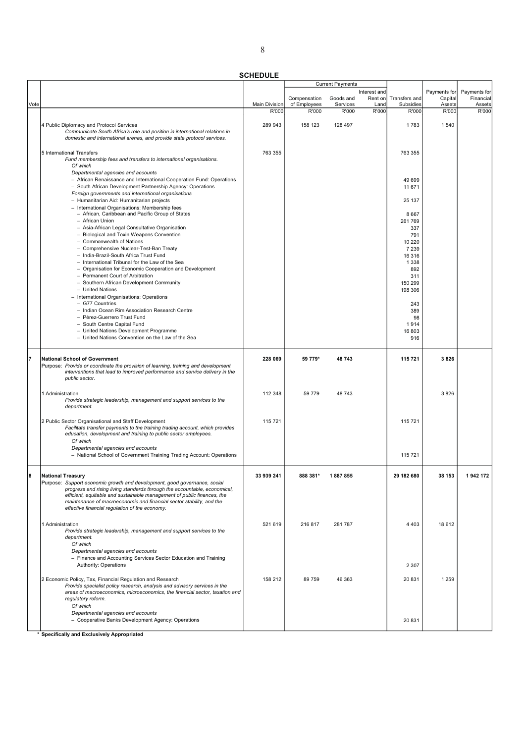| <b>SCHEDULE</b> |  |
|-----------------|--|

|             |                                                                                                            |                      |              | <b>Current Payments</b> |              |                   |              |              |
|-------------|------------------------------------------------------------------------------------------------------------|----------------------|--------------|-------------------------|--------------|-------------------|--------------|--------------|
|             |                                                                                                            |                      |              |                         | Interest and |                   | Payments for | Payments for |
|             |                                                                                                            |                      | Compensation | Goods and               | Rent on      | Transfers and     | Capital      | Financial    |
| <b>Vote</b> |                                                                                                            | <b>Main Division</b> | of Employees | Services                | Land         | Subsidies         | Assets       | Assets       |
|             |                                                                                                            | R'000                | R'000        | R'000                   | R'000        | R'000             | R'000        | R'000        |
|             | 4 Public Diplomacy and Protocol Services                                                                   | 289 943              | 158 123      | 128 497                 |              | 1783              | 1540         |              |
|             | Communicate South Africa's role and position in international relations in                                 |                      |              |                         |              |                   |              |              |
|             | domestic and international arenas, and provide state protocol services.                                    |                      |              |                         |              |                   |              |              |
|             |                                                                                                            |                      |              |                         |              |                   |              |              |
|             | 5 International Transfers                                                                                  | 763 355              |              |                         |              | 763 355           |              |              |
|             | Fund membership fees and transfers to international organisations.                                         |                      |              |                         |              |                   |              |              |
|             | Of which                                                                                                   |                      |              |                         |              |                   |              |              |
|             | Departmental agencies and accounts<br>- African Renaissance and International Cooperation Fund: Operations |                      |              |                         |              |                   |              |              |
|             | - South African Development Partnership Agency: Operations                                                 |                      |              |                         |              | 49 699<br>11 671  |              |              |
|             | Foreign governments and international organisations                                                        |                      |              |                         |              |                   |              |              |
|             | - Humanitarian Aid: Humanitarian projects                                                                  |                      |              |                         |              | 25 137            |              |              |
|             | - International Organisations: Membership fees                                                             |                      |              |                         |              |                   |              |              |
|             | - African, Caribbean and Pacific Group of States                                                           |                      |              |                         |              | 8667              |              |              |
|             | - African Union                                                                                            |                      |              |                         |              | 261769            |              |              |
|             | - Asia-African Legal Consultative Organisation                                                             |                      |              |                         |              | 337               |              |              |
|             | - Biological and Toxin Weapons Convention                                                                  |                      |              |                         |              | 791               |              |              |
|             | - Commonwealth of Nations                                                                                  |                      |              |                         |              | 10 220            |              |              |
|             | - Comprehensive Nuclear-Test-Ban Treaty<br>- India-Brazil-South Africa Trust Fund                          |                      |              |                         |              | 7 2 3 9           |              |              |
|             | - International Tribunal for the Law of the Sea                                                            |                      |              |                         |              | 16 316<br>1 3 3 8 |              |              |
|             | - Organisation for Economic Cooperation and Development                                                    |                      |              |                         |              | 892               |              |              |
|             | - Permanent Court of Arbitration                                                                           |                      |              |                         |              | 311               |              |              |
|             | - Southern African Development Community                                                                   |                      |              |                         |              | 150 299           |              |              |
|             | - United Nations                                                                                           |                      |              |                         |              | 198 306           |              |              |
|             | - International Organisations: Operations                                                                  |                      |              |                         |              |                   |              |              |
|             | - G77 Countries                                                                                            |                      |              |                         |              | 243               |              |              |
|             | - Indian Ocean Rim Association Research Centre                                                             |                      |              |                         |              | 389               |              |              |
|             | - Pérez-Guerrero Trust Fund                                                                                |                      |              |                         |              | 98                |              |              |
|             | - South Centre Capital Fund                                                                                |                      |              |                         |              | 1914              |              |              |
|             | - United Nations Development Programme<br>- United Nations Convention on the Law of the Sea                |                      |              |                         |              | 16 803<br>916     |              |              |
|             |                                                                                                            |                      |              |                         |              |                   |              |              |
|             |                                                                                                            |                      |              |                         |              |                   |              |              |
| l7          | <b>National School of Government</b>                                                                       | 228 069              | 59 779*      | 48743                   |              | 115721            | 3826         |              |
|             | Purpose: Provide or coordinate the provision of learning, training and development                         |                      |              |                         |              |                   |              |              |
|             | interventions that lead to improved performance and service delivery in the                                |                      |              |                         |              |                   |              |              |
|             | public sector.                                                                                             |                      |              |                         |              |                   |              |              |
|             |                                                                                                            |                      |              |                         |              |                   |              |              |
|             | 1 Administration                                                                                           | 112 348              | 59 779       | 48 743                  |              |                   | 3826         |              |
|             | Provide strategic leadership, management and support services to the<br>department.                        |                      |              |                         |              |                   |              |              |
|             |                                                                                                            |                      |              |                         |              |                   |              |              |
|             | 2 Public Sector Organisational and Staff Development                                                       | 115 721              |              |                         |              | 115 721           |              |              |
|             | Facilitate transfer payments to the training trading account, which provides                               |                      |              |                         |              |                   |              |              |
|             | education, development and training to public sector employees.                                            |                      |              |                         |              |                   |              |              |
|             | Of which                                                                                                   |                      |              |                         |              |                   |              |              |
|             | Departmental agencies and accounts                                                                         |                      |              |                         |              |                   |              |              |
|             | - National School of Government Training Trading Account: Operations                                       |                      |              |                         |              | 115 721           |              |              |
|             |                                                                                                            |                      |              |                         |              |                   |              |              |
|             |                                                                                                            | 33 939 241           |              |                         |              | 29 182 680        |              |              |
|             | National Treasury<br>Purpose: Support economic growth and development, good governance, social             |                      | 888 381      | 1887855                 |              |                   | 38 153       |              |
|             | progress and rising living standards through the accountable, economical,                                  |                      |              |                         |              |                   |              |              |
|             | efficient, equitable and sustainable management of public finances, the                                    |                      |              |                         |              |                   |              |              |
|             | maintenance of macroeconomic and financial sector stability, and the                                       |                      |              |                         |              |                   |              |              |
|             | effective financial regulation of the economy.                                                             |                      |              |                         |              |                   |              |              |
|             |                                                                                                            |                      |              |                         |              |                   |              |              |
|             | 1 Administration                                                                                           | 521 619              | 216 817      | 281787                  |              | 4 4 0 3           | 18 612       |              |
|             | Provide strategic leadership, management and support services to the                                       |                      |              |                         |              |                   |              |              |
|             | department.                                                                                                |                      |              |                         |              |                   |              |              |
|             | Of which                                                                                                   |                      |              |                         |              |                   |              |              |
|             | Departmental agencies and accounts<br>- Finance and Accounting Services Sector Education and Training      |                      |              |                         |              |                   |              |              |
|             | Authority: Operations                                                                                      |                      |              |                         |              | 2 3 0 7           |              |              |
|             |                                                                                                            |                      |              |                         |              |                   |              |              |
|             | 2 Economic Policy, Tax, Financial Regulation and Research                                                  | 158 212              | 89 759       | 46 363                  |              | 20 831            | 1 2 5 9      |              |
|             | Provide specialist policy research, analysis and advisory services in the                                  |                      |              |                         |              |                   |              |              |
|             | areas of macroeconomics, microeconomics, the financial sector, taxation and                                |                      |              |                         |              |                   |              |              |
|             | regulatory reform.                                                                                         |                      |              |                         |              |                   |              |              |
|             | Of which                                                                                                   |                      |              |                         |              |                   |              |              |
|             | Departmental agencies and accounts                                                                         |                      |              |                         |              |                   |              |              |
|             | - Cooperative Banks Development Agency: Operations                                                         |                      |              |                         |              | 20 831            |              |              |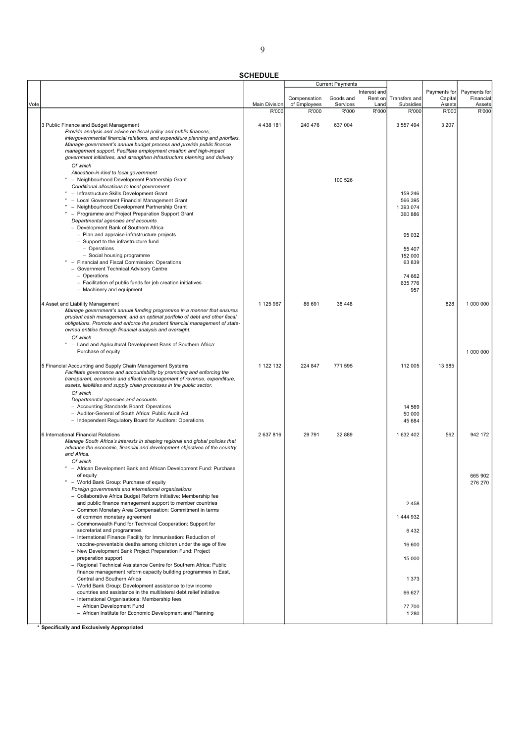|      |                                                                                                                                       |               |                              | <b>Current Payments</b> |               |                            |                 |                     |
|------|---------------------------------------------------------------------------------------------------------------------------------------|---------------|------------------------------|-------------------------|---------------|----------------------------|-----------------|---------------------|
|      |                                                                                                                                       |               |                              |                         | Interest and  |                            | Payments for    | Payments for        |
|      |                                                                                                                                       | Main Division | Compensation<br>of Employees | Goods and<br>Services   | Rent on       | Transfers and<br>Subsidies | Capital         | Financial<br>Assets |
| Vote |                                                                                                                                       | R'000         | R'000                        | R'000                   | Land<br>R'000 | R'000                      | Assets<br>R'000 | R'000               |
|      |                                                                                                                                       |               |                              |                         |               |                            |                 |                     |
|      | 3 Public Finance and Budget Management                                                                                                | 4 4 38 181    | 240 476                      | 637 004                 |               | 3 557 494                  | 3 2 0 7         |                     |
|      | Provide analysis and advice on fiscal policy and public finances,                                                                     |               |                              |                         |               |                            |                 |                     |
|      | intergovernmental financial relations, and expenditure planning and priorities.                                                       |               |                              |                         |               |                            |                 |                     |
|      | Manage government's annual budget process and provide public finance                                                                  |               |                              |                         |               |                            |                 |                     |
|      | management support. Facilitate employment creation and high-impact                                                                    |               |                              |                         |               |                            |                 |                     |
|      | government initiatives, and strengthen infrastructure planning and delivery.                                                          |               |                              |                         |               |                            |                 |                     |
|      | Of which                                                                                                                              |               |                              |                         |               |                            |                 |                     |
|      | Allocation-in-kind to local government                                                                                                |               |                              |                         |               |                            |                 |                     |
|      | - Neighbourhood Development Partnership Grant                                                                                         |               |                              | 100 526                 |               |                            |                 |                     |
|      | Conditional allocations to local government                                                                                           |               |                              |                         |               |                            |                 |                     |
|      | * - Infrastructure Skills Development Grant                                                                                           |               |                              |                         |               | 159 246                    |                 |                     |
|      | - Local Government Financial Management Grant                                                                                         |               |                              |                         |               | 566 395                    |                 |                     |
|      | - Neighbourhood Development Partnership Grant                                                                                         |               |                              |                         |               | 1 393 074                  |                 |                     |
|      | * - Programme and Project Preparation Support Grant                                                                                   |               |                              |                         |               | 360 886                    |                 |                     |
|      | Departmental agencies and accounts                                                                                                    |               |                              |                         |               |                            |                 |                     |
|      | - Development Bank of Southern Africa                                                                                                 |               |                              |                         |               |                            |                 |                     |
|      | - Plan and appraise infrastructure projects                                                                                           |               |                              |                         |               | 95 032                     |                 |                     |
|      | - Support to the infrastructure fund                                                                                                  |               |                              |                         |               |                            |                 |                     |
|      | - Operations<br>- Social housing programme                                                                                            |               |                              |                         |               | 55 407                     |                 |                     |
|      | * - Financial and Fiscal Commission: Operations                                                                                       |               |                              |                         |               | 152 000<br>63 839          |                 |                     |
|      | - Government Technical Advisory Centre                                                                                                |               |                              |                         |               |                            |                 |                     |
|      | - Operations                                                                                                                          |               |                              |                         |               | 74 662                     |                 |                     |
|      | - Facilitation of public funds for job creation initiatives                                                                           |               |                              |                         |               | 635 776                    |                 |                     |
|      | - Machinery and equipment                                                                                                             |               |                              |                         |               | 957                        |                 |                     |
|      |                                                                                                                                       |               |                              |                         |               |                            |                 |                     |
|      | 4 Asset and Liability Management                                                                                                      | 1 125 967     | 86 691                       | 38 448                  |               |                            | 828             | 1 000 000           |
|      | Manage government's annual funding programme in a manner that ensures                                                                 |               |                              |                         |               |                            |                 |                     |
|      | prudent cash management, and an optimal portfolio of debt and other fiscal                                                            |               |                              |                         |               |                            |                 |                     |
|      | obligations. Promote and enforce the prudent financial management of state-                                                           |               |                              |                         |               |                            |                 |                     |
|      | owned entities through financial analysis and oversight.                                                                              |               |                              |                         |               |                            |                 |                     |
|      | Of which                                                                                                                              |               |                              |                         |               |                            |                 |                     |
|      | - Land and Agricultural Development Bank of Southern Africa:                                                                          |               |                              |                         |               |                            |                 |                     |
|      | Purchase of equity                                                                                                                    |               |                              |                         |               |                            |                 | 1 000 000           |
|      |                                                                                                                                       |               |                              |                         |               |                            |                 |                     |
|      | 5 Financial Accounting and Supply Chain Management Systems                                                                            | 1 122 132     | 224 847                      | 771 595                 |               | 112 005                    | 13 685          |                     |
|      | Facilitate governance and accountability by promoting and enforcing the                                                               |               |                              |                         |               |                            |                 |                     |
|      | transparent, economic and effective management of revenue, expenditure,                                                               |               |                              |                         |               |                            |                 |                     |
|      | assets, liabilities and supply chain processes in the public sector.                                                                  |               |                              |                         |               |                            |                 |                     |
|      | Of which                                                                                                                              |               |                              |                         |               |                            |                 |                     |
|      | Departmental agencies and accounts                                                                                                    |               |                              |                         |               |                            |                 |                     |
|      | - Accounting Standards Board: Operations                                                                                              |               |                              |                         |               | 14 5 69                    |                 |                     |
|      | - Auditor-General of South Africa: Public Audit Act                                                                                   |               |                              |                         |               | 50 000                     |                 |                     |
|      | - Independent Regulatory Board for Auditors: Operations                                                                               |               |                              |                         |               | 45 684                     |                 |                     |
|      | 6 International Financial Relations                                                                                                   | 2 637 816     | 29 791                       | 32 889                  |               | 1 632 402                  | 562             | 942 172             |
|      | Manage South Africa's interests in shaping regional and global policies that                                                          |               |                              |                         |               |                            |                 |                     |
|      | advance the economic, financial and development objectives of the country                                                             |               |                              |                         |               |                            |                 |                     |
|      | and Africa.                                                                                                                           |               |                              |                         |               |                            |                 |                     |
|      | Of which                                                                                                                              |               |                              |                         |               |                            |                 |                     |
|      | - African Development Bank and African Development Fund: Purchase                                                                     |               |                              |                         |               |                            |                 |                     |
|      | of equity                                                                                                                             |               |                              |                         |               |                            |                 | 665 902             |
|      | - World Bank Group: Purchase of equity                                                                                                |               |                              |                         |               |                            |                 | 276 270             |
|      | Foreign governments and international organisations                                                                                   |               |                              |                         |               |                            |                 |                     |
|      | - Collaborative Africa Budget Reform Initiative: Membership fee                                                                       |               |                              |                         |               |                            |                 |                     |
|      | and public finance management support to member countries                                                                             |               |                              |                         |               | 2458                       |                 |                     |
|      | - Common Monetary Area Compensation: Commitment in terms                                                                              |               |                              |                         |               |                            |                 |                     |
|      | of common monetary agreement                                                                                                          |               |                              |                         |               | 1 444 932                  |                 |                     |
|      | - Commonwealth Fund for Technical Cooperation: Support for                                                                            |               |                              |                         |               |                            |                 |                     |
|      | secretariat and programmes                                                                                                            |               |                              |                         |               | 6432                       |                 |                     |
|      | - International Finance Facility for Immunisation: Reduction of                                                                       |               |                              |                         |               |                            |                 |                     |
|      | vaccine-preventable deaths among children under the age of five                                                                       |               |                              |                         |               | 16 600                     |                 |                     |
|      | - New Development Bank Project Preparation Fund: Project                                                                              |               |                              |                         |               |                            |                 |                     |
|      | preparation support                                                                                                                   |               |                              |                         |               | 15 000                     |                 |                     |
|      | - Regional Technical Assistance Centre for Southern Africa: Public<br>finance management reform capacity building programmes in East, |               |                              |                         |               |                            |                 |                     |
|      | Central and Southern Africa                                                                                                           |               |                              |                         |               | 1 3 7 3                    |                 |                     |
|      | - World Bank Group: Development assistance to low income                                                                              |               |                              |                         |               |                            |                 |                     |
|      | countries and assistance in the multilateral debt relief initiative                                                                   |               |                              |                         |               | 66 627                     |                 |                     |
|      | - International Organisations: Membership fees                                                                                        |               |                              |                         |               |                            |                 |                     |
|      | - African Development Fund                                                                                                            |               |                              |                         |               | 77 700                     |                 |                     |
|      | - African Institute for Economic Development and Planning                                                                             |               |                              |                         |               | 1 2 8 0                    |                 |                     |
|      |                                                                                                                                       |               |                              |                         |               |                            |                 |                     |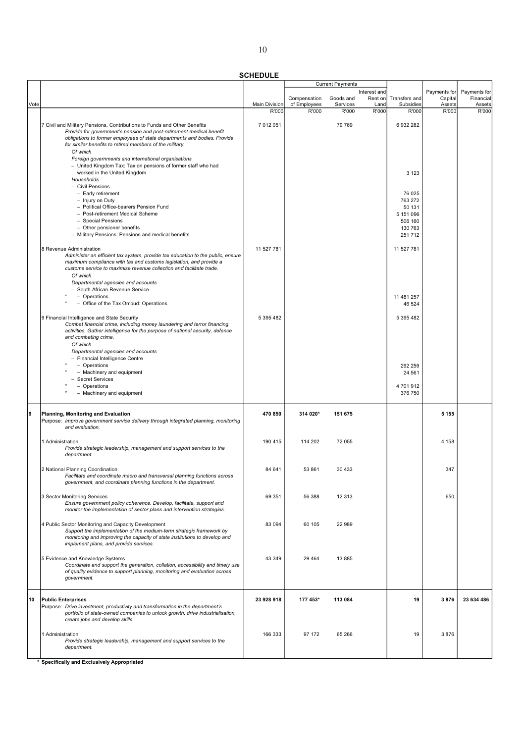|      |                                                                                                                                                                                                                                                                                                             |               |                              | <b>Current Payments</b> |                 |                            |                   |                     |
|------|-------------------------------------------------------------------------------------------------------------------------------------------------------------------------------------------------------------------------------------------------------------------------------------------------------------|---------------|------------------------------|-------------------------|-----------------|----------------------------|-------------------|---------------------|
|      |                                                                                                                                                                                                                                                                                                             |               |                              |                         | Interest and    |                            | Payments for      | Payments for        |
| Vote |                                                                                                                                                                                                                                                                                                             | Main Division | Compensation<br>of Employees | Goods and<br>Services   | Rent on<br>Land | Transfers and<br>Subsidies | Capital<br>Assets | Financial<br>Assets |
|      |                                                                                                                                                                                                                                                                                                             | R'000         | R'000                        | R'000                   | R'000           | R'000                      | R'000             | R'000               |
|      | 7 Civil and Military Pensions, Contributions to Funds and Other Benefits<br>Provide for government's pension and post-retirement medical benefit<br>obligations to former employees of state departments and bodies. Provide<br>for similar benefits to retired members of the military.<br>Of which        | 7 012 051     |                              | 79 769                  |                 | 6 932 282                  |                   |                     |
|      | Foreign governments and international organisations<br>- United Kingdom Tax: Tax on pensions of former staff who had<br>worked in the United Kingdom<br>Households                                                                                                                                          |               |                              |                         |                 | 3 1 2 3                    |                   |                     |
|      | - Civil Pensions<br>- Early retirement<br>- Injury on Duty                                                                                                                                                                                                                                                  |               |                              |                         |                 | 76 025<br>763 272          |                   |                     |
|      | - Political Office-bearers Pension Fund                                                                                                                                                                                                                                                                     |               |                              |                         |                 | 50 131                     |                   |                     |
|      | - Post-retirement Medical Scheme                                                                                                                                                                                                                                                                            |               |                              |                         |                 | 5 151 096                  |                   |                     |
|      | - Special Pensions<br>- Other pensioner benefits                                                                                                                                                                                                                                                            |               |                              |                         |                 | 506 160<br>130 763         |                   |                     |
|      | - Military Pensions: Pensions and medical benefits                                                                                                                                                                                                                                                          |               |                              |                         |                 | 251 712                    |                   |                     |
|      |                                                                                                                                                                                                                                                                                                             |               |                              |                         |                 |                            |                   |                     |
|      | 8 Revenue Administration<br>Administer an efficient tax system, provide tax education to the public, ensure<br>maximum compliance with tax and customs legislation, and provide a<br>customs service to maximise revenue collection and facilitate trade.<br>Of which<br>Departmental agencies and accounts | 11 527 781    |                              |                         |                 | 11 527 781                 |                   |                     |
|      | - South African Revenue Service                                                                                                                                                                                                                                                                             |               |                              |                         |                 |                            |                   |                     |
|      | - Operations<br>- Office of the Tax Ombud: Operations                                                                                                                                                                                                                                                       |               |                              |                         |                 | 11 481 257<br>46 524       |                   |                     |
|      | 9 Financial Intelligence and State Security<br>Combat financial crime, including money laundering and terror financing<br>activities. Gather intelligence for the purpose of national security, defence<br>and combating crime.                                                                             | 5 395 482     |                              |                         |                 | 5 395 482                  |                   |                     |
|      | Of which<br>Departmental agencies and accounts                                                                                                                                                                                                                                                              |               |                              |                         |                 |                            |                   |                     |
|      | - Financial Intelligence Centre                                                                                                                                                                                                                                                                             |               |                              |                         |                 |                            |                   |                     |
|      | - Operations                                                                                                                                                                                                                                                                                                |               |                              |                         |                 | 292 259                    |                   |                     |
|      | - Machinery and equipment<br>- Secret Services                                                                                                                                                                                                                                                              |               |                              |                         |                 | 24 5 61                    |                   |                     |
|      | - Operations                                                                                                                                                                                                                                                                                                |               |                              |                         |                 | 4701912                    |                   |                     |
|      | - Machinery and equipment                                                                                                                                                                                                                                                                                   |               |                              |                         |                 | 376 750                    |                   |                     |
| 9    | Planning, Monitoring and Evaluation<br>Purpose: Improve government service delivery through integrated planning, monitoring<br>and evaluation.                                                                                                                                                              | 470 850       | 314 020*                     | 151 675                 |                 |                            | 5 1 5 5           |                     |
|      | 1 Administration<br>Provide strategic leadership, management and support services to the<br>department.                                                                                                                                                                                                     | 190 415       | 114 202                      | 72 055                  |                 |                            | 4 1 5 8           |                     |
|      | 2 National Planning Coordination<br>Facilitate and coordinate macro and transversal planning functions across<br>government, and coordinate planning functions in the department.                                                                                                                           | 84 641        | 53 861                       | 30 433                  |                 |                            | 347               |                     |
|      | 3 Sector Monitoring Services<br>Ensure government policy coherence. Develop, facilitate, support and<br>monitor the implementation of sector plans and intervention strategies.                                                                                                                             | 69 351        | 56 388                       | 12 313                  |                 |                            | 650               |                     |
|      | 4 Public Sector Monitoring and Capacity Development<br>Support the implementation of the medium-term strategic framework by<br>monitoring and improving the capacity of state institutions to develop and<br>implement plans, and provide services.                                                         | 83 094        | 60 105                       | 22 989                  |                 |                            |                   |                     |
|      | 5 Evidence and Knowledge Systems<br>Coordinate and support the generation, collation, accessibility and timely use<br>of quality evidence to support planning, monitoring and evaluation across<br>government.                                                                                              | 43 349        | 29 4 64                      | 13 8 85                 |                 |                            |                   |                     |
| 10   | <b>Public Enterprises</b><br>Purpose: Drive investment, productivity and transformation in the department's<br>portfolio of state-owned companies to unlock growth, drive industrialisation,<br>create jobs and develop skills.                                                                             | 23 928 918    | 177 453*                     | 113 084                 |                 | 19                         | 3876              | 23 634 486          |
|      | 1 Administration<br>Provide strategic leadership, management and support services to the<br>department.                                                                                                                                                                                                     | 166 333       | 97 172                       | 65 266                  |                 | 19                         | 3876              |                     |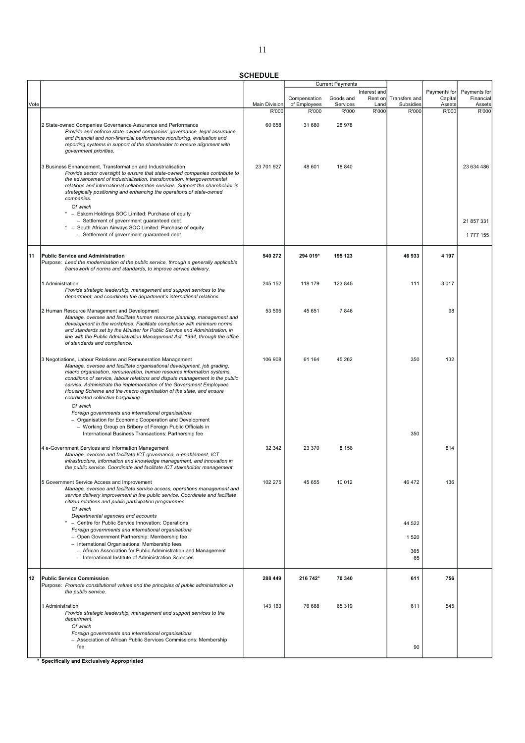|      |                                                                                                                                                                                                                                                                                                                                                                                                                                                                                                                                                                                                                    |                      |              | <b>Current Payments</b> |              |               |              |              |
|------|--------------------------------------------------------------------------------------------------------------------------------------------------------------------------------------------------------------------------------------------------------------------------------------------------------------------------------------------------------------------------------------------------------------------------------------------------------------------------------------------------------------------------------------------------------------------------------------------------------------------|----------------------|--------------|-------------------------|--------------|---------------|--------------|--------------|
|      |                                                                                                                                                                                                                                                                                                                                                                                                                                                                                                                                                                                                                    |                      |              |                         | Interest and |               | Payments for | Payments for |
|      |                                                                                                                                                                                                                                                                                                                                                                                                                                                                                                                                                                                                                    |                      | Compensation | Goods and               | Rent on      | Transfers and | Capital      | Financial    |
| Vote |                                                                                                                                                                                                                                                                                                                                                                                                                                                                                                                                                                                                                    | <b>Main Division</b> | of Employees | Services                | Land         | Subsidies     | Assets       | Assets       |
|      |                                                                                                                                                                                                                                                                                                                                                                                                                                                                                                                                                                                                                    | R'000                | R'000        | R'000                   | R'000        | R'000         | R'000        | R'000        |
|      | 2 State-owned Companies Governance Assurance and Performance<br>Provide and enforce state-owned companies' governance, legal assurance,<br>and financial and non-financial performance monitoring, evaluation and<br>reporting systems in support of the shareholder to ensure alignment with<br>government priorities.                                                                                                                                                                                                                                                                                            | 60 658               | 31 680       | 28 978                  |              |               |              |              |
|      | 3 Business Enhancement, Transformation and Industrialisation<br>Provide sector oversight to ensure that state-owned companies contribute to<br>the advancement of industrialisation, transformation, intergovernmental<br>relations and international collaboration services. Support the shareholder in<br>strategically positioning and enhancing the operations of state-owned<br>companies.<br>Of which                                                                                                                                                                                                        | 23 701 927           | 48 601       | 18 840                  |              |               |              | 23 634 486   |
|      | * - Eskom Holdings SOC Limited: Purchase of equity                                                                                                                                                                                                                                                                                                                                                                                                                                                                                                                                                                 |                      |              |                         |              |               |              |              |
|      | - Settlement of government guaranteed debt                                                                                                                                                                                                                                                                                                                                                                                                                                                                                                                                                                         |                      |              |                         |              |               |              | 21 857 331   |
|      | * - South African Airways SOC Limited: Purchase of equity                                                                                                                                                                                                                                                                                                                                                                                                                                                                                                                                                          |                      |              |                         |              |               |              |              |
|      | - Settlement of government guaranteed debt                                                                                                                                                                                                                                                                                                                                                                                                                                                                                                                                                                         |                      |              |                         |              |               |              | 1777155      |
| 11   | <b>Public Service and Administration</b><br>Purpose: Lead the modernisation of the public service, through a generally applicable<br>framework of norms and standards, to improve service delivery.                                                                                                                                                                                                                                                                                                                                                                                                                | 540 272              | 294 019*     | 195 123                 |              | 46 933        | 4 1 9 7      |              |
|      | 1 Administration<br>Provide strategic leadership, management and support services to the<br>department, and coordinate the department's international relations.                                                                                                                                                                                                                                                                                                                                                                                                                                                   | 245 152              | 118 179      | 123 845                 |              | 111           | 3017         |              |
|      | 2 Human Resource Management and Development<br>Manage, oversee and facilitate human resource planning, management and<br>development in the workplace. Facilitate compliance with minimum norms<br>and standards set by the Minister for Public Service and Administration, in<br>line with the Public Administration Management Act, 1994, through the office<br>of standards and compliance.                                                                                                                                                                                                                     | 53 595               | 45 651       | 7846                    |              |               | 98           |              |
|      | 3 Negotiations, Labour Relations and Remuneration Management<br>Manage, oversee and facilitate organisational development, job grading,<br>macro organisation, remuneration, human resource information systems,<br>conditions of service, labour relations and dispute management in the public<br>service. Administrate the implementation of the Government Employees<br>Housing Scheme and the macro organisation of the state, and ensure<br>coordinated collective bargaining.<br>Of which<br>Foreign governments and international organisations<br>- Organisation for Economic Cooperation and Development | 106 908              | 61 164       | 45 262                  |              | 350           | 132          |              |
|      | - Working Group on Bribery of Foreign Public Officials in                                                                                                                                                                                                                                                                                                                                                                                                                                                                                                                                                          |                      |              |                         |              |               |              |              |
|      | International Business Transactions: Partnership fee                                                                                                                                                                                                                                                                                                                                                                                                                                                                                                                                                               |                      |              |                         |              | 350           |              |              |
|      | 4 e-Government Services and Information Management<br>Manage, oversee and facilitate ICT governance, e-enablement, ICT<br>infrastructure, information and knowledge management, and innovation in<br>the public service. Coordinate and facilitate ICT stakeholder management.                                                                                                                                                                                                                                                                                                                                     | 32 342               | 23 370       | 8 1 5 8                 |              |               | 814          |              |
|      | 5 Government Service Access and Improvement<br>Manage, oversee and facilitate service access, operations management and<br>service delivery improvement in the public service. Coordinate and facilitate<br>citizen relations and public participation programmes.<br>Of which<br>Departmental agencies and accounts                                                                                                                                                                                                                                                                                               | 102 275              | 45 655       | 10 012                  |              | 46 472        | 136          |              |
|      | - Centre for Public Service Innovation: Operations                                                                                                                                                                                                                                                                                                                                                                                                                                                                                                                                                                 |                      |              |                         |              | 44 522        |              |              |
|      | Foreign governments and international organisations                                                                                                                                                                                                                                                                                                                                                                                                                                                                                                                                                                |                      |              |                         |              |               |              |              |
|      | - Open Government Partnership: Membership fee<br>- International Organisations: Membership fees                                                                                                                                                                                                                                                                                                                                                                                                                                                                                                                    |                      |              |                         |              | 1 5 2 0       |              |              |
|      | - African Association for Public Administration and Management                                                                                                                                                                                                                                                                                                                                                                                                                                                                                                                                                     |                      |              |                         |              | 365           |              |              |
|      | - International Institute of Administration Sciences                                                                                                                                                                                                                                                                                                                                                                                                                                                                                                                                                               |                      |              |                         |              | 65            |              |              |
|      |                                                                                                                                                                                                                                                                                                                                                                                                                                                                                                                                                                                                                    |                      |              |                         |              |               |              |              |
| 12   | <b>Public Service Commission</b><br>Purpose: Promote constitutional values and the principles of public administration in<br>the public service.                                                                                                                                                                                                                                                                                                                                                                                                                                                                   | 288 449              | 216 742*     | 70 340                  |              | 611           | 756          |              |
|      | 1 Administration<br>Provide strategic leadership, management and support services to the<br>department.<br>Of which                                                                                                                                                                                                                                                                                                                                                                                                                                                                                                | 143 163              | 76 688       | 65 319                  |              | 611           | 545          |              |
|      | Foreign governments and international organisations<br>- Association of African Public Services Commissions: Membership<br>fee                                                                                                                                                                                                                                                                                                                                                                                                                                                                                     |                      |              |                         |              | 90            |              |              |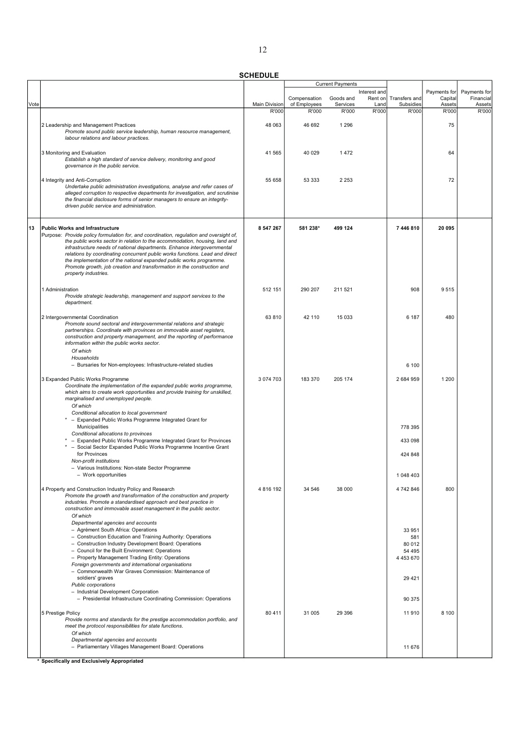|      |                                                                                                                                                                                                                                                                                                                                                                                                                                                                                                                                                |                      |              | <b>Current Payments</b> |                         |                                                    |                         |                           |
|------|------------------------------------------------------------------------------------------------------------------------------------------------------------------------------------------------------------------------------------------------------------------------------------------------------------------------------------------------------------------------------------------------------------------------------------------------------------------------------------------------------------------------------------------------|----------------------|--------------|-------------------------|-------------------------|----------------------------------------------------|-------------------------|---------------------------|
|      |                                                                                                                                                                                                                                                                                                                                                                                                                                                                                                                                                |                      | Compensation | Goods and               | Interest and<br>Rent on | Transfers and                                      | Payments for<br>Capital | Payments for<br>Financial |
| Vote |                                                                                                                                                                                                                                                                                                                                                                                                                                                                                                                                                | <b>Main Division</b> | of Employees | Services                | Land                    | Subsidies                                          | Assets                  | Assets                    |
|      |                                                                                                                                                                                                                                                                                                                                                                                                                                                                                                                                                | R'000                | R'000        | R'000                   | R'000                   | R'000                                              | R'000                   | R'000                     |
|      | 2 Leadership and Management Practices<br>Promote sound public service leadership, human resource management,<br>labour relations and labour practices.                                                                                                                                                                                                                                                                                                                                                                                         | 48 063               | 46 692       | 1 2 9 6                 |                         |                                                    | 75                      |                           |
|      | 3 Monitoring and Evaluation<br>Establish a high standard of service delivery, monitoring and good<br>governance in the public service.                                                                                                                                                                                                                                                                                                                                                                                                         | 41 565               | 40 0 29      | 1472                    |                         |                                                    | 64                      |                           |
|      | 4 Integrity and Anti-Corruption<br>Undertake public administration investigations, analyse and refer cases of<br>alleged corruption to respective departments for investigation, and scrutinise<br>the financial disclosure forms of senior managers to ensure an integrity-<br>driven public service and administration.                                                                                                                                                                                                                      | 55 658               | 53 333       | 2 2 5 3                 |                         |                                                    | 72                      |                           |
| 13   | Public Works and Infrastructure<br>Purpose: Provide policy formulation for, and coordination, regulation and oversight of,<br>the public works sector in relation to the accommodation, housing, land and<br>infrastructure needs of national departments. Enhance intergovernmental<br>relations by coordinating concurrent public works functions. Lead and direct<br>the implementation of the national expanded public works programme.<br>Promote growth, job creation and transformation in the construction and<br>property industries. | 8 547 267            | 581 238*     | 499 124                 |                         | 7 446 810                                          | 20 095                  |                           |
|      | 1 Administration<br>Provide strategic leadership, management and support services to the<br>department.                                                                                                                                                                                                                                                                                                                                                                                                                                        | 512 151              | 290 207      | 211 521                 |                         | 908                                                | 9515                    |                           |
|      | 2 Intergovernmental Coordination<br>Promote sound sectoral and intergovernmental relations and strategic<br>partnerships. Coordinate with provinces on immovable asset registers,<br>construction and property management, and the reporting of performance<br>information within the public works sector.<br>Of which<br>Households                                                                                                                                                                                                           | 63810                | 42 110       | 15 033                  |                         | 6 187                                              | 480                     |                           |
|      | - Bursaries for Non-employees: Infrastructure-related studies                                                                                                                                                                                                                                                                                                                                                                                                                                                                                  |                      |              |                         |                         | 6 100                                              |                         |                           |
|      | 3 Expanded Public Works Programme<br>Coordinate the implementation of the expanded public works programme,<br>which aims to create work opportunities and provide training for unskilled,<br>marginalised and unemployed people.<br>Of which<br>Conditional allocation to local government                                                                                                                                                                                                                                                     | 3 0 7 4 7 0 3        | 183 370      | 205 174                 |                         | 2 684 959                                          | 1 200                   |                           |
|      | * - Expanded Public Works Programme Integrated Grant for<br>Municipalities                                                                                                                                                                                                                                                                                                                                                                                                                                                                     |                      |              |                         |                         | 778 395                                            |                         |                           |
|      | Conditional allocations to provinces                                                                                                                                                                                                                                                                                                                                                                                                                                                                                                           |                      |              |                         |                         |                                                    |                         |                           |
|      | * - Expanded Public Works Programme Integrated Grant for Provinces<br>* - Social Sector Expanded Public Works Programme Incentive Grant                                                                                                                                                                                                                                                                                                                                                                                                        |                      |              |                         |                         | 433 098                                            |                         |                           |
|      | for Provinces                                                                                                                                                                                                                                                                                                                                                                                                                                                                                                                                  |                      |              |                         |                         | 424 848                                            |                         |                           |
|      | Non-profit institutions<br>- Various Institutions: Non-state Sector Programme                                                                                                                                                                                                                                                                                                                                                                                                                                                                  |                      |              |                         |                         |                                                    |                         |                           |
|      | - Work opportunities                                                                                                                                                                                                                                                                                                                                                                                                                                                                                                                           |                      |              |                         |                         | 1 048 403                                          |                         |                           |
|      | 4 Property and Construction Industry Policy and Research<br>Promote the growth and transformation of the construction and property<br>industries. Promote a standardised approach and best practice in<br>construction and immovable asset management in the public sector.<br>Of which                                                                                                                                                                                                                                                        | 4 8 1 6 1 9 2        | 34 546       | 38 000                  |                         | 4742846                                            | 800                     |                           |
|      | Departmental agencies and accounts<br>- Agrément South Africa: Operations<br>- Construction Education and Training Authority: Operations<br>- Construction Industry Development Board: Operations<br>- Council for the Built Environment: Operations<br>- Property Management Trading Entity: Operations<br>Foreign governments and international organisations                                                                                                                                                                                |                      |              |                         |                         | 33 951<br>581<br>80 012<br>54 495<br>4 4 5 3 6 7 0 |                         |                           |
|      | - Commonwealth War Graves Commission: Maintenance of<br>soldiers' graves<br>Public corporations<br>- Industrial Development Corporation                                                                                                                                                                                                                                                                                                                                                                                                        |                      |              |                         |                         | 29 4 21                                            |                         |                           |
|      | - Presidential Infrastructure Coordinating Commission: Operations                                                                                                                                                                                                                                                                                                                                                                                                                                                                              |                      |              |                         |                         | 90 375                                             |                         |                           |
|      | 5 Prestige Policy<br>Provide norms and standards for the prestige accommodation portfolio, and<br>meet the protocol responsibilities for state functions.<br>Of which                                                                                                                                                                                                                                                                                                                                                                          | 80 411               | 31 005       | 29 3 96                 |                         | 11910                                              | 8 100                   |                           |
|      | Departmental agencies and accounts<br>- Parliamentary Villages Management Board: Operations                                                                                                                                                                                                                                                                                                                                                                                                                                                    |                      |              |                         |                         | 11 676                                             |                         |                           |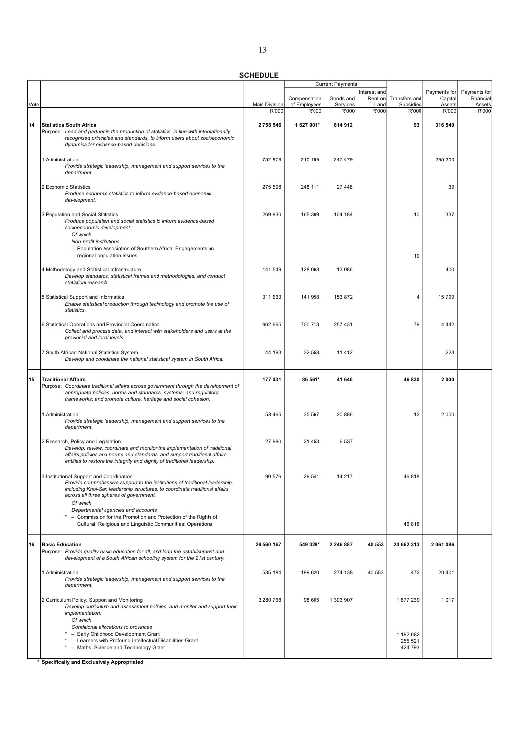|      |                                                                                                                                                        |                      |                              | <b>Current Payments</b> |                 |                            |                   |                     |
|------|--------------------------------------------------------------------------------------------------------------------------------------------------------|----------------------|------------------------------|-------------------------|-----------------|----------------------------|-------------------|---------------------|
|      |                                                                                                                                                        |                      |                              |                         | Interest and    |                            | Payments for      | Payments for        |
| Vote |                                                                                                                                                        | <b>Main Division</b> | Compensation<br>of Employees | Goods and<br>Services   | Rent on<br>Land | Transfers and<br>Subsidies | Capital<br>Assets | Financial<br>Assets |
|      |                                                                                                                                                        | R'000                | R'000                        | R'000                   | R'000           | R'000                      | R'000             | R'000               |
| 14   | <b>Statistics South Africa</b>                                                                                                                         | 2758546              | 1 627 001*                   | 814 912                 |                 | 93                         | 316 540           |                     |
|      | Purpose: Lead and partner in the production of statistics, in line with internationally                                                                |                      |                              |                         |                 |                            |                   |                     |
|      | recognised principles and standards, to inform users about socioeconomic                                                                               |                      |                              |                         |                 |                            |                   |                     |
|      | dynamics for evidence-based decisions.                                                                                                                 |                      |                              |                         |                 |                            |                   |                     |
|      | 1 Administration                                                                                                                                       | 752 978              | 210 199                      | 247 479                 |                 |                            | 295 300           |                     |
|      | Provide strategic leadership, management and support services to the                                                                                   |                      |                              |                         |                 |                            |                   |                     |
|      | department.                                                                                                                                            |                      |                              |                         |                 |                            |                   |                     |
|      | 2 Economic Statistics                                                                                                                                  | 275 598              | 248 111                      | 27 448                  |                 |                            | 39                |                     |
|      | Produce economic statistics to inform evidence-based economic                                                                                          |                      |                              |                         |                 |                            |                   |                     |
|      | development.                                                                                                                                           |                      |                              |                         |                 |                            |                   |                     |
|      | 3 Population and Social Statistics                                                                                                                     | 269 930              | 165 399                      | 104 184                 |                 | 10                         | 337               |                     |
|      | Produce population and social statistics to inform evidence-based<br>socioeconomic development.                                                        |                      |                              |                         |                 |                            |                   |                     |
|      | Of which                                                                                                                                               |                      |                              |                         |                 |                            |                   |                     |
|      | Non-profit institutions                                                                                                                                |                      |                              |                         |                 |                            |                   |                     |
|      | - Population Association of Southern Africa: Engagements on<br>regional population issues                                                              |                      |                              |                         |                 | 10                         |                   |                     |
|      |                                                                                                                                                        |                      |                              |                         |                 |                            |                   |                     |
|      | 4 Methodology and Statistical Infrastructure                                                                                                           | 141 549              | 128 063                      | 13 086                  |                 |                            | 400               |                     |
|      | Develop standards, statistical frames and methodologies, and conduct<br>statistical research.                                                          |                      |                              |                         |                 |                            |                   |                     |
|      |                                                                                                                                                        |                      |                              |                         |                 |                            |                   |                     |
|      | 5 Statistical Support and Informatics                                                                                                                  | 311 633              | 141 958                      | 153872                  |                 | 4                          | 15 799            |                     |
|      | Enable statistical production through technology and promote the use of<br>statistics.                                                                 |                      |                              |                         |                 |                            |                   |                     |
|      |                                                                                                                                                        |                      |                              |                         |                 |                            |                   |                     |
|      | 6 Statistical Operations and Provincial Coordination<br>Collect and process data, and interact with stakeholders and users at the                      | 962 665              | 700 713                      | 257 431                 |                 | 79                         | 4 4 4 2           |                     |
|      | provincial and local levels.                                                                                                                           |                      |                              |                         |                 |                            |                   |                     |
|      |                                                                                                                                                        |                      |                              |                         |                 |                            |                   |                     |
|      | 7 South African National Statistics System<br>Develop and coordinate the national statistical system in South Africa.                                  | 44 193               | 32 558                       | 11 4 12                 |                 |                            | 223               |                     |
|      |                                                                                                                                                        |                      |                              |                         |                 |                            |                   |                     |
| 15   | <b>Traditional Affairs</b>                                                                                                                             | 177 031              | 86 561*                      | 41 640                  |                 | 46 830                     | 2000              |                     |
|      | Purpose: Coordinate traditional affairs across government through the development of                                                                   |                      |                              |                         |                 |                            |                   |                     |
|      | appropriate policies, norms and standards, systems, and regulatory<br>frameworks; and promote culture, heritage and social cohesion.                   |                      |                              |                         |                 |                            |                   |                     |
|      |                                                                                                                                                        |                      |                              |                         |                 |                            |                   |                     |
|      | 1 Administration                                                                                                                                       | 58 4 65              | 35 567                       | 20 886                  |                 | 12                         | 2 0 0 0           |                     |
|      | Provide strategic leadership, management and support services to the<br>department.                                                                    |                      |                              |                         |                 |                            |                   |                     |
|      |                                                                                                                                                        |                      |                              |                         |                 |                            |                   |                     |
|      | 2 Research, Policy and Legislation                                                                                                                     | 27 990               | 21 453                       | 6537                    |                 |                            |                   |                     |
|      | Develop, review, coordinate and monitor the implementation of traditional<br>affairs policies and norms and standards, and support traditional affairs |                      |                              |                         |                 |                            |                   |                     |
|      | entities to restore the integrity and dignity of traditional leadership.                                                                               |                      |                              |                         |                 |                            |                   |                     |
|      | 3 Institutional Support and Coordination                                                                                                               | 90 576               | 29 541                       |                         |                 | 46 818                     |                   |                     |
|      | Provide comprehensive support to the institutions of traditional leadership,                                                                           |                      |                              |                         |                 |                            |                   |                     |
|      | including Khoi-San leadership structures, to coordinate traditional affairs<br>across all three spheres of government.                                 |                      |                              |                         |                 |                            |                   |                     |
|      | Of which                                                                                                                                               |                      |                              |                         |                 |                            |                   |                     |
|      | Departmental agencies and accounts                                                                                                                     |                      |                              |                         |                 |                            |                   |                     |
|      | - Commission for the Promotion and Protection of the Rights of<br>Cultural, Religious and Linguistic Communities: Operations                           |                      |                              |                         |                 | 46 818                     |                   |                     |
|      |                                                                                                                                                        |                      |                              |                         |                 |                            |                   |                     |
| 16   | <b>Basic Education</b>                                                                                                                                 | 29 560 167           | 549 328*                     | 2 246 887               | 40 553          | 24 662 313                 | 2061086           |                     |
|      | Purpose: Provide quality basic education for all, and lead the establishment and                                                                       |                      |                              |                         |                 |                            |                   |                     |
|      | development of a South African schooling system for the 21st century.                                                                                  |                      |                              |                         |                 |                            |                   |                     |
|      | 1 Administration                                                                                                                                       | 535 184              | 199 620                      | 274 138                 | 40 553          | 472                        | 20 401            |                     |
|      | Provide strategic leadership, management and support services to the                                                                                   |                      |                              |                         |                 |                            |                   |                     |
|      | department.                                                                                                                                            |                      |                              |                         |                 |                            |                   |                     |
|      | 2 Curriculum Policy, Support and Monitoring                                                                                                            | 3 280 768            | 98 605                       | 1 303 907               |                 | 1877239                    | 1017              |                     |
|      | Develop curriculum and assessment policies, and monitor and support their                                                                              |                      |                              |                         |                 |                            |                   |                     |
|      | implementation.<br>Of which                                                                                                                            |                      |                              |                         |                 |                            |                   |                     |
|      | Conditional allocations to provinces                                                                                                                   |                      |                              |                         |                 |                            |                   |                     |
|      | * - Early Childhood Development Grant<br>- Learners with Profound Intellectual Disabilities Grant                                                      |                      |                              |                         |                 | 1 192 682<br>255 521       |                   |                     |
|      | * - Maths, Science and Technology Grant                                                                                                                |                      |                              |                         |                 | 424 793                    |                   |                     |
|      |                                                                                                                                                        |                      |                              |                         |                 |                            |                   |                     |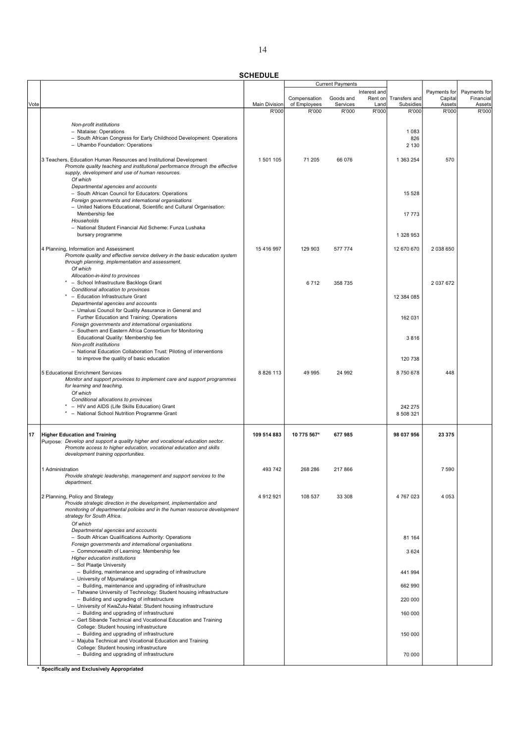| ۰.<br>×,<br>- |
|---------------|
|               |

| <b>CHEDULE</b> |  |
|----------------|--|

|      |                                                                                                                                                       | <b>SCHEDULE</b>      |              |                         |                         |                |                         |                           |
|------|-------------------------------------------------------------------------------------------------------------------------------------------------------|----------------------|--------------|-------------------------|-------------------------|----------------|-------------------------|---------------------------|
|      |                                                                                                                                                       |                      |              | <b>Current Payments</b> |                         |                |                         |                           |
|      |                                                                                                                                                       |                      | Compensation | Goods and               | Interest and<br>Rent on | Transfers and  | Payments for<br>Capital | Payments for<br>Financial |
| Vote |                                                                                                                                                       | <b>Main Division</b> | of Employees | Services                | Land                    | Subsidies      | Assets                  | Assets                    |
|      |                                                                                                                                                       | R'000                | R'000        | R'000                   | R'000                   | R'000          | R'000                   | R'000                     |
|      | Non-profit institutions                                                                                                                               |                      |              |                         |                         |                |                         |                           |
|      | - Ntataise: Operations<br>- South African Congress for Early Childhood Development: Operations                                                        |                      |              |                         |                         | 1 0 8 3<br>826 |                         |                           |
|      | - Uhambo Foundation: Operations                                                                                                                       |                      |              |                         |                         | 2 1 3 0        |                         |                           |
|      |                                                                                                                                                       |                      |              |                         |                         |                |                         |                           |
|      | 3 Teachers, Education Human Resources and Institutional Development<br>Promote quality teaching and institutional performance through the effective   | 1 501 105            | 71 205       | 66 076                  |                         | 1 363 254      | 570                     |                           |
|      | supply, development and use of human resources.                                                                                                       |                      |              |                         |                         |                |                         |                           |
|      | Of which<br>Departmental agencies and accounts                                                                                                        |                      |              |                         |                         |                |                         |                           |
|      | - South African Council for Educators: Operations                                                                                                     |                      |              |                         |                         | 15 5 28        |                         |                           |
|      | Foreign governments and international organisations<br>- United Nations Educational, Scientific and Cultural Organisation:                            |                      |              |                         |                         |                |                         |                           |
|      | Membership fee                                                                                                                                        |                      |              |                         |                         | 17 773         |                         |                           |
|      | Households                                                                                                                                            |                      |              |                         |                         |                |                         |                           |
|      | - National Student Financial Aid Scheme: Funza Lushaka<br>bursary programme                                                                           |                      |              |                         |                         | 1 328 953      |                         |                           |
|      |                                                                                                                                                       |                      |              |                         |                         |                |                         |                           |
|      | 4 Planning, Information and Assessment<br>Promote quality and effective service delivery in the basic education system                                | 15 416 997           | 129 903      | 577 774                 |                         | 12 670 670     | 2038650                 |                           |
|      | through planning, implementation and assessment.                                                                                                      |                      |              |                         |                         |                |                         |                           |
|      | Of which<br>Allocation-in-kind to provinces                                                                                                           |                      |              |                         |                         |                |                         |                           |
|      | * - School Infrastructure Backlogs Grant                                                                                                              |                      | 6712         | 358 735                 |                         |                | 2 037 672               |                           |
|      | Conditional allocation to provinces<br>* - Education Infrastructure Grant                                                                             |                      |              |                         |                         |                |                         |                           |
|      | Departmental agencies and accounts                                                                                                                    |                      |              |                         |                         | 12 384 085     |                         |                           |
|      | - Umalusi Council for Quality Assurance in General and                                                                                                |                      |              |                         |                         |                |                         |                           |
|      | Further Education and Training: Operations<br>Foreign governments and international organisations                                                     |                      |              |                         |                         | 162 031        |                         |                           |
|      | - Southern and Eastern Africa Consortium for Monitoring                                                                                               |                      |              |                         |                         |                |                         |                           |
|      | Educational Quality: Membership fee<br>Non-profit institutions                                                                                        |                      |              |                         |                         | 3816           |                         |                           |
|      | - National Education Collaboration Trust: Piloting of interventions                                                                                   |                      |              |                         |                         |                |                         |                           |
|      | to improve the quality of basic education                                                                                                             |                      |              |                         |                         | 120 738        |                         |                           |
|      | 5 Educational Enrichment Services                                                                                                                     | 8 8 26 113           | 49 995       | 24 992                  |                         | 8750678        | 448                     |                           |
|      | Monitor and support provinces to implement care and support programmes<br>for learning and teaching.                                                  |                      |              |                         |                         |                |                         |                           |
|      | Of which                                                                                                                                              |                      |              |                         |                         |                |                         |                           |
|      | Conditional allocations to provinces<br>* - HIV and AIDS (Life Skills Education) Grant                                                                |                      |              |                         |                         | 242 275        |                         |                           |
|      | - National School Nutrition Programme Grant                                                                                                           |                      |              |                         |                         | 8 508 321      |                         |                           |
|      |                                                                                                                                                       |                      |              |                         |                         |                |                         |                           |
| 17   | <b>Higher Education and Training</b>                                                                                                                  | 109 514 883          | 10 775 567*  | 677985                  |                         | 98 037 956     | 23 375                  |                           |
|      | Purpose: Develop and support a quality higher and vocational education sector.<br>Promote access to higher education, vocational education and skills |                      |              |                         |                         |                |                         |                           |
|      | development training opportunities.                                                                                                                   |                      |              |                         |                         |                |                         |                           |
|      | 1 Administration                                                                                                                                      | 493 742              | 268 286      | 217866                  |                         |                | 7 5 9 0                 |                           |
|      | Provide strategic leadership, management and support services to the                                                                                  |                      |              |                         |                         |                |                         |                           |
|      | department.                                                                                                                                           |                      |              |                         |                         |                |                         |                           |
|      | 2 Planning, Policy and Strategy                                                                                                                       | 4 912 921            | 108 537      | 33 308                  |                         | 4 767 023      | 4 0 5 3                 |                           |
|      | Provide strategic direction in the development, implementation and<br>monitoring of departmental policies and in the human resource development       |                      |              |                         |                         |                |                         |                           |
|      | strategy for South Africa.                                                                                                                            |                      |              |                         |                         |                |                         |                           |
|      | Of which                                                                                                                                              |                      |              |                         |                         |                |                         |                           |
|      | Departmental agencies and accounts<br>- South African Qualifications Authority: Operations                                                            |                      |              |                         |                         | 81 164         |                         |                           |
|      | Foreign governments and international organisations                                                                                                   |                      |              |                         |                         |                |                         |                           |
|      | - Commonwealth of Learning: Membership fee<br>Higher education institutions                                                                           |                      |              |                         |                         | 3624           |                         |                           |
|      | - Sol Plaatje University                                                                                                                              |                      |              |                         |                         |                |                         |                           |
|      | - Building, maintenance and upgrading of infrastructure<br>- University of Mpumalanga                                                                 |                      |              |                         |                         | 441 994        |                         |                           |
|      | - Building, maintenance and upgrading of infrastructure                                                                                               |                      |              |                         |                         | 662 990        |                         |                           |
|      | - Tshwane University of Technology: Student housing infrastructure                                                                                    |                      |              |                         |                         |                |                         |                           |
|      | - Building and upgrading of infrastructure<br>- University of KwaZulu-Natal: Student housing infrastructure                                           |                      |              |                         |                         | 220 000        |                         |                           |
|      | - Building and upgrading of infrastructure                                                                                                            |                      |              |                         |                         | 160 000        |                         |                           |
|      | - Gert Sibande Technical and Vocational Education and Training<br>College: Student housing infrastructure                                             |                      |              |                         |                         |                |                         |                           |
|      | - Building and upgrading of infrastructure                                                                                                            |                      |              |                         |                         | 150 000        |                         |                           |
|      | - Majuba Technical and Vocational Education and Training<br>College: Student housing infrastructure                                                   |                      |              |                         |                         |                |                         |                           |
|      | - Building and upgrading of infrastructure                                                                                                            |                      |              |                         |                         | 70 000         |                         |                           |
|      |                                                                                                                                                       |                      |              |                         |                         |                |                         |                           |

<u>k<br>\* Specifically and Exclusively Appropriated</u>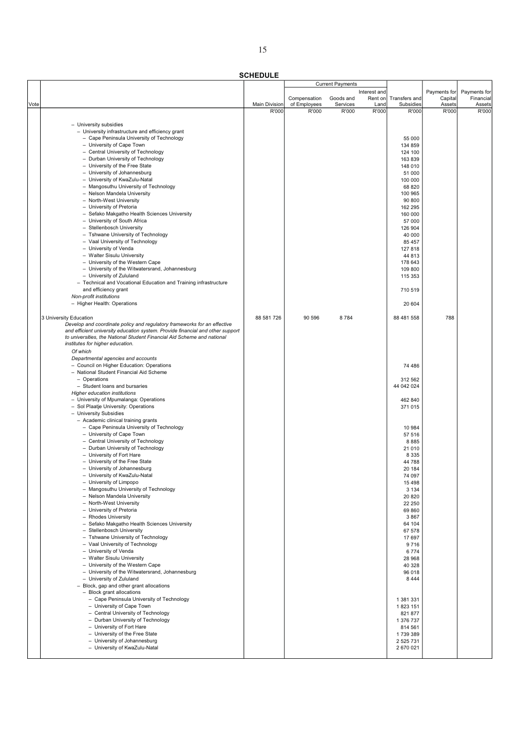| ×<br>n an                   |
|-----------------------------|
| I<br>۰,<br>٧<br>n e s<br>۰. |

|      |                                                                                              |                               |                       | <b>Current Payments</b> |               |                       |                 |                 |
|------|----------------------------------------------------------------------------------------------|-------------------------------|-----------------------|-------------------------|---------------|-----------------------|-----------------|-----------------|
|      |                                                                                              |                               |                       |                         | Interest and  |                       | Payments for    | Payments for    |
|      |                                                                                              |                               | Compensation          | Goods and               | Rent on       | Transfers and         | Capital         | Financial       |
| Vote |                                                                                              | <b>Main Division</b><br>R'000 | of Employees<br>R'000 | Services<br>R'000       | Land<br>R'000 | Subsidies<br>R'000    | Assets<br>R'000 | Assets<br>R'000 |
|      |                                                                                              |                               |                       |                         |               |                       |                 |                 |
|      | - University subsidies                                                                       |                               |                       |                         |               |                       |                 |                 |
|      | - University infrastructure and efficiency grant                                             |                               |                       |                         |               |                       |                 |                 |
|      | - Cape Peninsula University of Technology                                                    |                               |                       |                         |               | 55 000                |                 |                 |
|      | - University of Cape Town                                                                    |                               |                       |                         |               | 134 859               |                 |                 |
|      | - Central University of Technology                                                           |                               |                       |                         |               | 124 100               |                 |                 |
|      | - Durban University of Technology                                                            |                               |                       |                         |               | 163839                |                 |                 |
|      | - University of the Free State                                                               |                               |                       |                         |               | 148 010               |                 |                 |
|      | - University of Johannesburg<br>- University of KwaZulu-Natal                                |                               |                       |                         |               | 51 000                |                 |                 |
|      | - Mangosuthu University of Technology                                                        |                               |                       |                         |               | 100 000<br>68 820     |                 |                 |
|      | - Nelson Mandela University                                                                  |                               |                       |                         |               | 100 965               |                 |                 |
|      | - North-West University                                                                      |                               |                       |                         |               | 90 800                |                 |                 |
|      | - University of Pretoria                                                                     |                               |                       |                         |               | 162 295               |                 |                 |
|      | - Sefako Makgatho Health Sciences University                                                 |                               |                       |                         |               | 160 000               |                 |                 |
|      | - University of South Africa                                                                 |                               |                       |                         |               | 57 000                |                 |                 |
|      | - Stellenbosch University                                                                    |                               |                       |                         |               | 126 904               |                 |                 |
|      | - Tshwane University of Technology                                                           |                               |                       |                         |               | 40 000                |                 |                 |
|      | - Vaal University of Technology                                                              |                               |                       |                         |               | 85 457                |                 |                 |
|      | - University of Venda                                                                        |                               |                       |                         |               | 127 818               |                 |                 |
|      | - Walter Sisulu University                                                                   |                               |                       |                         |               | 44 813                |                 |                 |
|      | - University of the Western Cape                                                             |                               |                       |                         |               | 178 643               |                 |                 |
|      | - University of the Witwatersrand, Johannesburg                                              |                               |                       |                         |               | 109 800               |                 |                 |
|      | - University of Zululand<br>- Technical and Vocational Education and Training infrastructure |                               |                       |                         |               | 115 353               |                 |                 |
|      | and efficiency grant                                                                         |                               |                       |                         |               | 710 519               |                 |                 |
|      | Non-profit institutions                                                                      |                               |                       |                         |               |                       |                 |                 |
|      | - Higher Health: Operations                                                                  |                               |                       |                         |               | 20 604                |                 |                 |
|      |                                                                                              |                               |                       |                         |               |                       |                 |                 |
|      | 3 University Education                                                                       | 88 581 726                    | 90 596                | 8784                    |               | 88 481 558            | 788             |                 |
|      | Develop and coordinate policy and regulatory frameworks for an effective                     |                               |                       |                         |               |                       |                 |                 |
|      | and efficient university education system. Provide financial and other support               |                               |                       |                         |               |                       |                 |                 |
|      | to universities, the National Student Financial Aid Scheme and national                      |                               |                       |                         |               |                       |                 |                 |
|      | institutes for higher education.                                                             |                               |                       |                         |               |                       |                 |                 |
|      | Of which                                                                                     |                               |                       |                         |               |                       |                 |                 |
|      | Departmental agencies and accounts                                                           |                               |                       |                         |               |                       |                 |                 |
|      | - Council on Higher Education: Operations                                                    |                               |                       |                         |               | 74 486                |                 |                 |
|      | - National Student Financial Aid Scheme                                                      |                               |                       |                         |               |                       |                 |                 |
|      | - Operations<br>- Student loans and bursaries                                                |                               |                       |                         |               | 312 562<br>44 042 024 |                 |                 |
|      | Higher education institutions                                                                |                               |                       |                         |               |                       |                 |                 |
|      | - University of Mpumalanga: Operations                                                       |                               |                       |                         |               | 462 840               |                 |                 |
|      | - Sol Plaatje University: Operations                                                         |                               |                       |                         |               | 371 015               |                 |                 |
|      | - University Subsidies                                                                       |                               |                       |                         |               |                       |                 |                 |
|      | - Academic clinical training grants                                                          |                               |                       |                         |               |                       |                 |                 |
|      | - Cape Peninsula University of Technology                                                    |                               |                       |                         |               | 10 984                |                 |                 |
|      | - University of Cape Town                                                                    |                               |                       |                         |               | 57 516                |                 |                 |
|      | - Central University of Technology                                                           |                               |                       |                         |               | 8885                  |                 |                 |
|      | - Durban University of Technology                                                            |                               |                       |                         |               | 21 010                |                 |                 |
|      | - University of Fort Hare                                                                    |                               |                       |                         |               | 8 3 3 5               |                 |                 |
|      | - University of the Free State                                                               |                               |                       |                         |               | 44 788                |                 |                 |
|      | - University of Johannesburg<br>University of KwaZulu-Natal                                  |                               |                       |                         |               | 20 184                |                 |                 |
|      | - University of Limpopo                                                                      |                               |                       |                         |               | 74 097<br>15 4 98     |                 |                 |
|      | - Mangosuthu University of Technology                                                        |                               |                       |                         |               | 3 1 3 4               |                 |                 |
|      | - Nelson Mandela University                                                                  |                               |                       |                         |               | 20 8 20               |                 |                 |
|      | - North-West University                                                                      |                               |                       |                         |               | 22 250                |                 |                 |
|      | - University of Pretoria                                                                     |                               |                       |                         |               | 69 860                |                 |                 |
|      | - Rhodes University                                                                          |                               |                       |                         |               | 3867                  |                 |                 |
|      | - Sefako Makgatho Health Sciences University                                                 |                               |                       |                         |               | 64 104                |                 |                 |
|      | - Stellenbosch University                                                                    |                               |                       |                         |               | 67 578                |                 |                 |
|      | - Tshwane University of Technology                                                           |                               |                       |                         |               | 17697                 |                 |                 |
|      | - Vaal University of Technology                                                              |                               |                       |                         |               | 9716                  |                 |                 |
|      | - University of Venda                                                                        |                               |                       |                         |               | 6774                  |                 |                 |
|      | - Walter Sisulu University<br>- University of the Western Cape                               |                               |                       |                         |               | 28 968<br>40 328      |                 |                 |
|      | - University of the Witwatersrand, Johannesburg                                              |                               |                       |                         |               | 96 018                |                 |                 |
|      | - University of Zululand                                                                     |                               |                       |                         |               | 8444                  |                 |                 |
|      | - Block, gap and other grant allocations                                                     |                               |                       |                         |               |                       |                 |                 |
|      | - Block grant allocations                                                                    |                               |                       |                         |               |                       |                 |                 |
|      | - Cape Peninsula University of Technology                                                    |                               |                       |                         |               | 1 381 331             |                 |                 |
|      | - University of Cape Town                                                                    |                               |                       |                         |               | 1823 151              |                 |                 |
|      | - Central University of Technology                                                           |                               |                       |                         |               | 821 877               |                 |                 |
|      | - Durban University of Technology                                                            |                               |                       |                         |               | 1 376 737             |                 |                 |
|      | - University of Fort Hare                                                                    |                               |                       |                         |               | 814 561               |                 |                 |
|      | - University of the Free State                                                               |                               |                       |                         |               | 1739389               |                 |                 |
|      | - University of Johannesburg                                                                 |                               |                       |                         |               | 2 525 731             |                 |                 |
|      | - University of KwaZulu-Natal                                                                |                               |                       |                         |               | 2 670 021             |                 |                 |
|      |                                                                                              |                               |                       |                         |               |                       |                 |                 |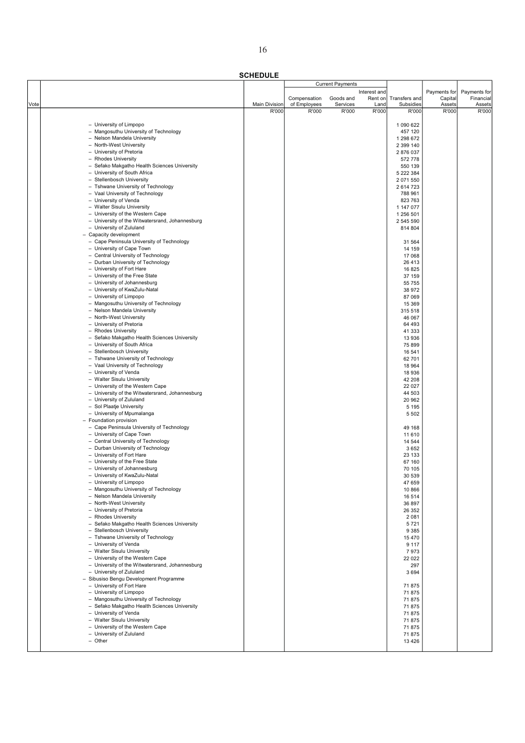| M.<br>۰. |  |
|----------|--|
|          |  |

|      |                                                                         |               |              | <b>Current Payments</b> |              |                  |              |              |
|------|-------------------------------------------------------------------------|---------------|--------------|-------------------------|--------------|------------------|--------------|--------------|
|      |                                                                         |               |              |                         | Interest and |                  | Payments for | Payments for |
|      |                                                                         |               | Compensation | Goods and               | Rent on      | Transfers and    | Capital      | Financial    |
| Vote |                                                                         | Main Division | of Employees | Services                | Land         | Subsidies        | Assets       | Assets       |
|      |                                                                         | R'000         | R'000        | R'000                   | R'000        | R'000            | R'000        | R'000        |
|      | - University of Limpopo                                                 |               |              |                         |              | 1 090 622        |              |              |
|      | - Mangosuthu University of Technology                                   |               |              |                         |              | 457 120          |              |              |
|      | - Nelson Mandela University                                             |               |              |                         |              | 1 298 672        |              |              |
|      | - North-West University                                                 |               |              |                         |              | 2 399 140        |              |              |
|      | - University of Pretoria                                                |               |              |                         |              |                  |              |              |
|      |                                                                         |               |              |                         |              | 2876037          |              |              |
|      | - Rhodes University                                                     |               |              |                         |              | 572 778          |              |              |
|      | - Sefako Makgatho Health Sciences University                            |               |              |                         |              | 550 139          |              |              |
|      | - University of South Africa                                            |               |              |                         |              | 5 222 384        |              |              |
|      | - Stellenbosch University                                               |               |              |                         |              | 2 071 550        |              |              |
|      | - Tshwane University of Technology                                      |               |              |                         |              | 2614723          |              |              |
|      | - Vaal University of Technology                                         |               |              |                         |              | 788 961          |              |              |
|      | - University of Venda                                                   |               |              |                         |              | 823 763          |              |              |
|      | - Walter Sisulu University                                              |               |              |                         |              | 1 147 077        |              |              |
|      | - University of the Western Cape                                        |               |              |                         |              | 1 256 501        |              |              |
|      | - University of the Witwatersrand, Johannesburg                         |               |              |                         |              | 2 545 590        |              |              |
|      | - University of Zululand                                                |               |              |                         |              | 814 804          |              |              |
|      | - Capacity development                                                  |               |              |                         |              |                  |              |              |
|      | - Cape Peninsula University of Technology                               |               |              |                         |              | 31 564           |              |              |
|      | - University of Cape Town                                               |               |              |                         |              | 14 159           |              |              |
|      | - Central University of Technology                                      |               |              |                         |              | 17 068           |              |              |
|      | - Durban University of Technology                                       |               |              |                         |              | 26 413           |              |              |
|      | - University of Fort Hare                                               |               |              |                         |              | 16 825           |              |              |
|      | - University of the Free State                                          |               |              |                         |              | 37 159           |              |              |
|      | - University of Johannesburg                                            |               |              |                         |              | 55 755           |              |              |
|      | - University of KwaZulu-Natal                                           |               |              |                         |              | 38 972           |              |              |
|      | - University of Limpopo                                                 |               |              |                         |              | 87 069           |              |              |
|      | - Mangosuthu University of Technology                                   |               |              |                         |              | 15 3 69          |              |              |
|      | - Nelson Mandela University                                             |               |              |                         |              | 315 518          |              |              |
|      | - North-West University                                                 |               |              |                         |              | 46 067           |              |              |
|      | - University of Pretoria                                                |               |              |                         |              | 64 493           |              |              |
|      | - Rhodes University                                                     |               |              |                         |              | 41 333           |              |              |
|      | - Sefako Makgatho Health Sciences University                            |               |              |                         |              | 13 936           |              |              |
|      | - University of South Africa                                            |               |              |                         |              | 75 899           |              |              |
|      | - Stellenbosch University                                               |               |              |                         |              | 16 541           |              |              |
|      | - Tshwane University of Technology                                      |               |              |                         |              | 62 701           |              |              |
|      | - Vaal University of Technology                                         |               |              |                         |              | 18 9 64          |              |              |
|      | - University of Venda                                                   |               |              |                         |              | 18 936           |              |              |
|      | - Walter Sisulu University                                              |               |              |                         |              | 42 208           |              |              |
|      | - University of the Western Cape                                        |               |              |                         |              | 22 0 27          |              |              |
|      | - University of the Witwatersrand, Johannesburg                         |               |              |                         |              | 44 503           |              |              |
|      | - University of Zululand                                                |               |              |                         |              | 20 962           |              |              |
|      | - Sol Plaatje University                                                |               |              |                         |              | 5 1 9 5          |              |              |
|      | - University of Mpumalanga                                              |               |              |                         |              | 5 5 0 2          |              |              |
|      | - Foundation provision                                                  |               |              |                         |              |                  |              |              |
|      | - Cape Peninsula University of Technology                               |               |              |                         |              | 49 168           |              |              |
|      | - University of Cape Town                                               |               |              |                         |              | 11 610           |              |              |
|      | - Central University of Technology<br>- Durban University of Technology |               |              |                         |              | 14 544           |              |              |
|      |                                                                         |               |              |                         |              | 3652             |              |              |
|      | - University of Fort Hare                                               |               |              |                         |              | 23 133           |              |              |
|      | - University of the Free State                                          |               |              |                         |              | 67 160           |              |              |
|      | - University of Johannesburg                                            |               |              |                         |              | 70 105           |              |              |
|      | - University of KwaZulu-Natal<br>- University of Limpopo                |               |              |                         |              | 30 539<br>47 659 |              |              |
|      | - Mangosuthu University of Technology                                   |               |              |                         |              | 10 866           |              |              |
|      | - Nelson Mandela University                                             |               |              |                         |              | 16 514           |              |              |
|      | - North-West University                                                 |               |              |                         |              | 36 897           |              |              |
|      | - University of Pretoria                                                |               |              |                         |              | 26 352           |              |              |
|      | - Rhodes University                                                     |               |              |                         |              | 2081             |              |              |
|      | - Sefako Makgatho Health Sciences University                            |               |              |                         |              | 5721             |              |              |
|      | - Stellenbosch University                                               |               |              |                         |              | 9 3 8 5          |              |              |
|      | - Tshwane University of Technology                                      |               |              |                         |              | 15470            |              |              |
|      | - University of Venda                                                   |               |              |                         |              | 9 1 1 7          |              |              |
|      | - Walter Sisulu University                                              |               |              |                         |              | 7973             |              |              |
|      | - University of the Western Cape                                        |               |              |                         |              | 22 022           |              |              |
|      | - University of the Witwatersrand, Johannesburg                         |               |              |                         |              | 297              |              |              |
|      | - University of Zululand                                                |               |              |                         |              | 3694             |              |              |
|      | - Sibusiso Bengu Development Programme                                  |               |              |                         |              |                  |              |              |
|      | - University of Fort Hare                                               |               |              |                         |              | 71875            |              |              |
|      | - University of Limpopo                                                 |               |              |                         |              | 71875            |              |              |
|      | - Mangosuthu University of Technology                                   |               |              |                         |              | 71875            |              |              |
|      | - Sefako Makgatho Health Sciences University                            |               |              |                         |              | 71875            |              |              |
|      | - University of Venda                                                   |               |              |                         |              | 71875            |              |              |
|      | - Walter Sisulu University                                              |               |              |                         |              | 71875            |              |              |
|      | - University of the Western Cape                                        |               |              |                         |              | 71875            |              |              |
|      | - University of Zululand                                                |               |              |                         |              | 71875            |              |              |
|      | - Other                                                                 |               |              |                         |              | 13 4 26          |              |              |
|      |                                                                         |               |              |                         |              |                  |              |              |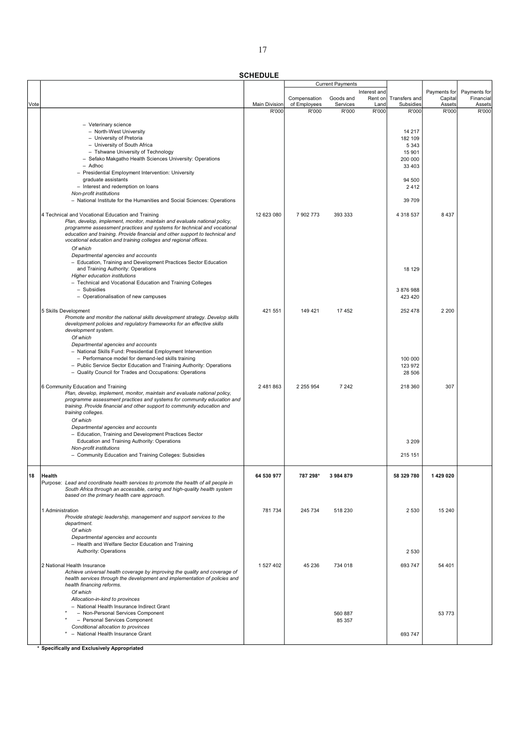|      |                                                                                                                                                    |                               |                       | <b>Current Payments</b> |               |                    |                 |                 |
|------|----------------------------------------------------------------------------------------------------------------------------------------------------|-------------------------------|-----------------------|-------------------------|---------------|--------------------|-----------------|-----------------|
|      |                                                                                                                                                    |                               |                       |                         | Interest and  |                    | Payments for    | Payments for    |
|      |                                                                                                                                                    |                               | Compensation          | Goods and               | Rent on       | Transfers and      | Capital         | Financial       |
| Vote |                                                                                                                                                    | <b>Main Division</b><br>R'000 | of Employees<br>R'000 | Services<br>R'000       | Land<br>R'000 | Subsidies<br>R'000 | Assets<br>R'000 | Assets<br>R'000 |
|      |                                                                                                                                                    |                               |                       |                         |               |                    |                 |                 |
|      | - Veterinary science                                                                                                                               |                               |                       |                         |               |                    |                 |                 |
|      | - North-West University                                                                                                                            |                               |                       |                         |               | 14 217             |                 |                 |
|      | - University of Pretoria                                                                                                                           |                               |                       |                         |               | 182 109            |                 |                 |
|      | - University of South Africa                                                                                                                       |                               |                       |                         |               | 5 3 4 3            |                 |                 |
|      | - Tshwane University of Technology                                                                                                                 |                               |                       |                         |               | 15 901             |                 |                 |
|      | - Sefako Makgatho Health Sciences University: Operations                                                                                           |                               |                       |                         |               | 200 000            |                 |                 |
|      | - Adhoc                                                                                                                                            |                               |                       |                         |               | 33 4 03            |                 |                 |
|      | - Presidential Employment Intervention: University                                                                                                 |                               |                       |                         |               |                    |                 |                 |
|      | graduate assistants                                                                                                                                |                               |                       |                         |               | 94 500             |                 |                 |
|      | - Interest and redemption on loans                                                                                                                 |                               |                       |                         |               | 2412               |                 |                 |
|      | Non-profit institutions                                                                                                                            |                               |                       |                         |               |                    |                 |                 |
|      | - National Institute for the Humanities and Social Sciences: Operations                                                                            |                               |                       |                         |               | 39 709             |                 |                 |
|      |                                                                                                                                                    |                               |                       |                         |               |                    |                 |                 |
|      | 4 Technical and Vocational Education and Training                                                                                                  | 12 623 080                    | 7 902 773             | 393 333                 |               | 4 3 18 5 37        | 8 4 3 7         |                 |
|      | Plan, develop, implement, monitor, maintain and evaluate national policy,                                                                          |                               |                       |                         |               |                    |                 |                 |
|      | programme assessment practices and systems for technical and vocational                                                                            |                               |                       |                         |               |                    |                 |                 |
|      | education and training. Provide financial and other support to technical and                                                                       |                               |                       |                         |               |                    |                 |                 |
|      | vocational education and training colleges and regional offices.                                                                                   |                               |                       |                         |               |                    |                 |                 |
|      | Of which                                                                                                                                           |                               |                       |                         |               |                    |                 |                 |
|      | Departmental agencies and accounts                                                                                                                 |                               |                       |                         |               |                    |                 |                 |
|      | - Education, Training and Development Practices Sector Education                                                                                   |                               |                       |                         |               |                    |                 |                 |
|      | and Training Authority: Operations                                                                                                                 |                               |                       |                         |               | 18 129             |                 |                 |
|      | Higher education institutions                                                                                                                      |                               |                       |                         |               |                    |                 |                 |
|      | - Technical and Vocational Education and Training Colleges                                                                                         |                               |                       |                         |               |                    |                 |                 |
|      | - Subsidies                                                                                                                                        |                               |                       |                         |               | 3 876 988          |                 |                 |
|      | - Operationalisation of new campuses                                                                                                               |                               |                       |                         |               | 423 420            |                 |                 |
|      |                                                                                                                                                    |                               |                       |                         |               |                    |                 |                 |
|      | 5 Skills Development                                                                                                                               | 421 551                       | 149 421               | 17452                   |               | 252 478            | 2 2 0 0         |                 |
|      | Promote and monitor the national skills development strategy. Develop skills                                                                       |                               |                       |                         |               |                    |                 |                 |
|      | development policies and regulatory frameworks for an effective skills                                                                             |                               |                       |                         |               |                    |                 |                 |
|      | development system.                                                                                                                                |                               |                       |                         |               |                    |                 |                 |
|      | Of which                                                                                                                                           |                               |                       |                         |               |                    |                 |                 |
|      | Departmental agencies and accounts                                                                                                                 |                               |                       |                         |               |                    |                 |                 |
|      | - National Skills Fund: Presidential Employment Intervention                                                                                       |                               |                       |                         |               |                    |                 |                 |
|      | - Performance model for demand-led skills training                                                                                                 |                               |                       |                         |               | 100 000            |                 |                 |
|      | - Public Service Sector Education and Training Authority: Operations                                                                               |                               |                       |                         |               | 123 972            |                 |                 |
|      | - Quality Council for Trades and Occupations: Operations                                                                                           |                               |                       |                         |               | 28 506             |                 |                 |
|      |                                                                                                                                                    |                               |                       |                         |               |                    |                 |                 |
|      | 6 Community Education and Training                                                                                                                 | 2 481 863                     | 2 2 5 9 5 4           | 7 2 4 2                 |               | 218 360            | 307             |                 |
|      | Plan, develop, implement, monitor, maintain and evaluate national policy,                                                                          |                               |                       |                         |               |                    |                 |                 |
|      | programme assessment practices and systems for community education and<br>training. Provide financial and other support to community education and |                               |                       |                         |               |                    |                 |                 |
|      | training colleges.                                                                                                                                 |                               |                       |                         |               |                    |                 |                 |
|      | Of which                                                                                                                                           |                               |                       |                         |               |                    |                 |                 |
|      | Departmental agencies and accounts                                                                                                                 |                               |                       |                         |               |                    |                 |                 |
|      | - Education, Training and Development Practices Sector                                                                                             |                               |                       |                         |               |                    |                 |                 |
|      | Education and Training Authority: Operations                                                                                                       |                               |                       |                         |               | 3 2 0 9            |                 |                 |
|      | Non-profit institutions                                                                                                                            |                               |                       |                         |               |                    |                 |                 |
|      | - Community Education and Training Colleges: Subsidies                                                                                             |                               |                       |                         |               | 215 151            |                 |                 |
|      |                                                                                                                                                    |                               |                       |                         |               |                    |                 |                 |
|      |                                                                                                                                                    |                               |                       |                         |               |                    |                 |                 |
| 18   | Health                                                                                                                                             | 64 530 977                    | 787 298*              | 3 984 879               |               | 58 329 780         | 1429020         |                 |
|      | Purpose: Lead and coordinate health services to promote the health of all people in                                                                |                               |                       |                         |               |                    |                 |                 |
|      | South Africa through an accessible, caring and high-quality health system                                                                          |                               |                       |                         |               |                    |                 |                 |
|      | based on the primary health care approach.                                                                                                         |                               |                       |                         |               |                    |                 |                 |
|      |                                                                                                                                                    |                               |                       |                         |               |                    |                 |                 |
|      | 1 Administration                                                                                                                                   | 781 734                       | 245 734               | 518 230                 |               | 2 5 3 0            | 15 240          |                 |
|      | Provide strategic leadership, management and support services to the                                                                               |                               |                       |                         |               |                    |                 |                 |
|      | department.                                                                                                                                        |                               |                       |                         |               |                    |                 |                 |
|      | Of which                                                                                                                                           |                               |                       |                         |               |                    |                 |                 |
|      | Departmental agencies and accounts                                                                                                                 |                               |                       |                         |               |                    |                 |                 |
|      | - Health and Welfare Sector Education and Training                                                                                                 |                               |                       |                         |               |                    |                 |                 |
|      | Authority: Operations                                                                                                                              |                               |                       |                         |               | 2 5 3 0            |                 |                 |
|      |                                                                                                                                                    |                               |                       |                         |               |                    |                 |                 |
|      | 2 National Health Insurance                                                                                                                        | 1 527 402                     | 45 236                | 734 018                 |               | 693 747            | 54 401          |                 |
|      | Achieve universal health coverage by improving the quality and coverage of                                                                         |                               |                       |                         |               |                    |                 |                 |
|      | health services through the development and implementation of policies and<br>health financing reforms.                                            |                               |                       |                         |               |                    |                 |                 |
|      |                                                                                                                                                    |                               |                       |                         |               |                    |                 |                 |
|      | Of which                                                                                                                                           |                               |                       |                         |               |                    |                 |                 |
|      | Allocation-in-kind to provinces                                                                                                                    |                               |                       |                         |               |                    |                 |                 |
|      | - National Health Insurance Indirect Grant<br>- Non-Personal Services Component                                                                    |                               |                       | 560 887                 |               |                    | 53 773          |                 |
|      | - Personal Services Component                                                                                                                      |                               |                       | 85 357                  |               |                    |                 |                 |
|      | Conditional allocation to provinces                                                                                                                |                               |                       |                         |               |                    |                 |                 |
|      | - National Health Insurance Grant                                                                                                                  |                               |                       |                         |               | 693 747            |                 |                 |
|      |                                                                                                                                                    |                               |                       |                         |               |                    |                 |                 |
|      |                                                                                                                                                    |                               |                       |                         |               |                    |                 |                 |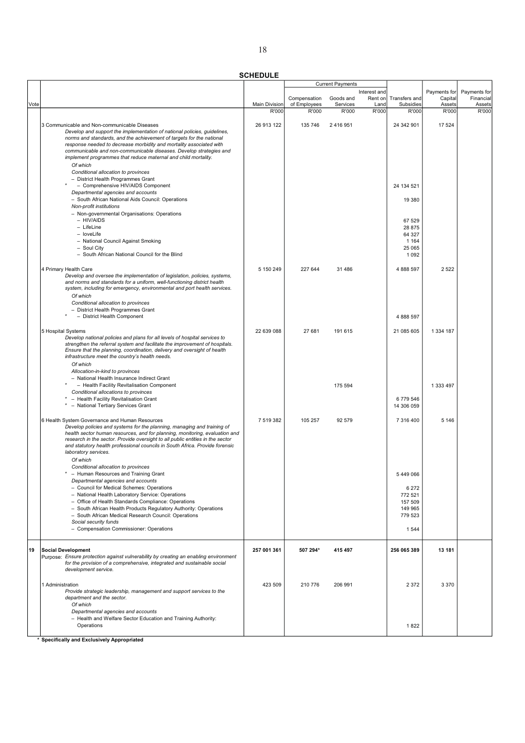|      |                                                                                                                                                      |                               |                       | <b>Current Payments</b> |               |                    |                 |                 |
|------|------------------------------------------------------------------------------------------------------------------------------------------------------|-------------------------------|-----------------------|-------------------------|---------------|--------------------|-----------------|-----------------|
|      |                                                                                                                                                      |                               |                       |                         | Interest and  |                    | Payments for    | Payments for    |
|      |                                                                                                                                                      |                               | Compensation          | Goods and               | Rent on       | Transfers and      | Capital         | Financial       |
| Vote |                                                                                                                                                      | <b>Main Division</b><br>R'000 | of Employees<br>R'000 | Services<br>R'000       | Land<br>R'000 | Subsidies<br>R'000 | Assets<br>R'000 | Assets<br>R'000 |
|      |                                                                                                                                                      |                               |                       |                         |               |                    |                 |                 |
|      | 3 Communicable and Non-communicable Diseases                                                                                                         | 26 913 122                    | 135 746               | 2 416 951               |               | 24 342 901         | 17 524          |                 |
|      | Develop and support the implementation of national policies, guidelines,                                                                             |                               |                       |                         |               |                    |                 |                 |
|      | norms and standards, and the achievement of targets for the national                                                                                 |                               |                       |                         |               |                    |                 |                 |
|      | response needed to decrease morbidity and mortality associated with                                                                                  |                               |                       |                         |               |                    |                 |                 |
|      | communicable and non-communicable diseases. Develop strategies and                                                                                   |                               |                       |                         |               |                    |                 |                 |
|      | implement programmes that reduce maternal and child mortality.                                                                                       |                               |                       |                         |               |                    |                 |                 |
|      | Of which                                                                                                                                             |                               |                       |                         |               |                    |                 |                 |
|      | Conditional allocation to provinces                                                                                                                  |                               |                       |                         |               |                    |                 |                 |
|      | - District Health Programmes Grant                                                                                                                   |                               |                       |                         |               |                    |                 |                 |
|      | - Comprehensive HIV/AIDS Component                                                                                                                   |                               |                       |                         |               | 24 134 521         |                 |                 |
|      | Departmental agencies and accounts                                                                                                                   |                               |                       |                         |               |                    |                 |                 |
|      | - South African National Aids Council: Operations                                                                                                    |                               |                       |                         |               | 19 380             |                 |                 |
|      | Non-profit institutions                                                                                                                              |                               |                       |                         |               |                    |                 |                 |
|      | - Non-governmental Organisations: Operations                                                                                                         |                               |                       |                         |               |                    |                 |                 |
|      | - HIV/AIDS                                                                                                                                           |                               |                       |                         |               | 67 529             |                 |                 |
|      | - LifeLine                                                                                                                                           |                               |                       |                         |               | 28 875             |                 |                 |
|      | - loveLife                                                                                                                                           |                               |                       |                         |               | 64 327             |                 |                 |
|      | - National Council Against Smoking                                                                                                                   |                               |                       |                         |               | 1 1 6 4            |                 |                 |
|      | - Soul City                                                                                                                                          |                               |                       |                         |               | 25 065             |                 |                 |
|      | - South African National Council for the Blind                                                                                                       |                               |                       |                         |               | 1 0 9 2            |                 |                 |
|      |                                                                                                                                                      |                               |                       |                         |               | 4 888 597          |                 |                 |
|      | 4 Primary Health Care                                                                                                                                | 5 150 249                     | 227 644               | 31 486                  |               |                    | 2 5 2 2         |                 |
|      | Develop and oversee the implementation of legislation, policies, systems,<br>and norms and standards for a uniform, well-functioning district health |                               |                       |                         |               |                    |                 |                 |
|      | system, including for emergency, environmental and port health services.                                                                             |                               |                       |                         |               |                    |                 |                 |
|      | Of which                                                                                                                                             |                               |                       |                         |               |                    |                 |                 |
|      | Conditional allocation to provinces                                                                                                                  |                               |                       |                         |               |                    |                 |                 |
|      | - District Health Programmes Grant                                                                                                                   |                               |                       |                         |               |                    |                 |                 |
|      | - District Health Component                                                                                                                          |                               |                       |                         |               | 4 888 597          |                 |                 |
|      |                                                                                                                                                      |                               |                       |                         |               |                    |                 |                 |
|      | 5 Hospital Systems                                                                                                                                   | 22 639 088                    | 27 681                | 191 615                 |               | 21 085 605         | 1 3 3 4 1 8 7   |                 |
|      | Develop national policies and plans for all levels of hospital services to                                                                           |                               |                       |                         |               |                    |                 |                 |
|      | strengthen the referral system and facilitate the improvement of hospitals.                                                                          |                               |                       |                         |               |                    |                 |                 |
|      | Ensure that the planning, coordination, delivery and oversight of health                                                                             |                               |                       |                         |               |                    |                 |                 |
|      | infrastructure meet the country's health needs.                                                                                                      |                               |                       |                         |               |                    |                 |                 |
|      | Of which                                                                                                                                             |                               |                       |                         |               |                    |                 |                 |
|      | Allocation-in-kind to provinces                                                                                                                      |                               |                       |                         |               |                    |                 |                 |
|      | - National Health Insurance Indirect Grant                                                                                                           |                               |                       |                         |               |                    |                 |                 |
|      | - Health Facility Revitalisation Component                                                                                                           |                               |                       | 175 594                 |               |                    | 1 333 497       |                 |
|      | Conditional allocations to provinces                                                                                                                 |                               |                       |                         |               |                    |                 |                 |
|      | * - Health Facility Revitalisation Grant                                                                                                             |                               |                       |                         |               | 6779546            |                 |                 |
|      | * - National Tertiary Services Grant                                                                                                                 |                               |                       |                         |               | 14 306 059         |                 |                 |
|      |                                                                                                                                                      |                               |                       |                         |               |                    |                 |                 |
|      | 6 Health System Governance and Human Resources                                                                                                       | 7 519 382                     | 105 257               | 92 579                  |               | 7 316 400          | 5 1 4 6         |                 |
|      | Develop policies and systems for the planning, managing and training of                                                                              |                               |                       |                         |               |                    |                 |                 |
|      | health sector human resources, and for planning, monitoring, evaluation and                                                                          |                               |                       |                         |               |                    |                 |                 |
|      | research in the sector. Provide oversight to all public entities in the sector                                                                       |                               |                       |                         |               |                    |                 |                 |
|      | and statutory health professional councils in South Africa. Provide forensic                                                                         |                               |                       |                         |               |                    |                 |                 |
|      | laboratory services.                                                                                                                                 |                               |                       |                         |               |                    |                 |                 |
|      | Of which                                                                                                                                             |                               |                       |                         |               |                    |                 |                 |
|      | Conditional allocation to provinces                                                                                                                  |                               |                       |                         |               |                    |                 |                 |
|      | - Human Resources and Training Grant                                                                                                                 |                               |                       |                         |               | 5449066            |                 |                 |
|      | Departmental agencies and accounts                                                                                                                   |                               |                       |                         |               |                    |                 |                 |
|      | - Council for Medical Schemes: Operations                                                                                                            |                               |                       |                         |               | 6 2 7 2            |                 |                 |
|      | - National Health Laboratory Service: Operations                                                                                                     |                               |                       |                         |               | 772 521            |                 |                 |
|      | - Office of Health Standards Compliance: Operations                                                                                                  |                               |                       |                         |               | 157 509            |                 |                 |
|      | - South African Health Products Regulatory Authority: Operations                                                                                     |                               |                       |                         |               | 149 965            |                 |                 |
|      | - South African Medical Research Council: Operations                                                                                                 |                               |                       |                         |               | 779 523            |                 |                 |
|      | Social security funds                                                                                                                                |                               |                       |                         |               |                    |                 |                 |
|      | - Compensation Commissioner: Operations                                                                                                              |                               |                       |                         |               | 1544               |                 |                 |
|      |                                                                                                                                                      |                               |                       |                         |               |                    |                 |                 |
| 19   | <b>Social Development</b>                                                                                                                            | 257 001 361                   | 507 294*              | 415 497                 |               | 256 065 389        | 13 181          |                 |
|      | Purpose: Ensure protection against vulnerability by creating an enabling environment                                                                 |                               |                       |                         |               |                    |                 |                 |
|      | for the provision of a comprehensive, integrated and sustainable social                                                                              |                               |                       |                         |               |                    |                 |                 |
|      | development service.                                                                                                                                 |                               |                       |                         |               |                    |                 |                 |
|      |                                                                                                                                                      |                               |                       |                         |               |                    |                 |                 |
|      | 1 Administration                                                                                                                                     | 423 509                       | 210 776               | 206 991                 |               | 2 3 7 2            | 3 3 7 0         |                 |
|      | Provide strategic leadership, management and support services to the                                                                                 |                               |                       |                         |               |                    |                 |                 |
|      | department and the sector.                                                                                                                           |                               |                       |                         |               |                    |                 |                 |
|      | Of which                                                                                                                                             |                               |                       |                         |               |                    |                 |                 |
|      | Departmental agencies and accounts                                                                                                                   |                               |                       |                         |               |                    |                 |                 |
|      | - Health and Welfare Sector Education and Training Authority:                                                                                        |                               |                       |                         |               |                    |                 |                 |
|      | Operations                                                                                                                                           |                               |                       |                         |               | 1822               |                 |                 |
|      |                                                                                                                                                      |                               |                       |                         |               |                    |                 |                 |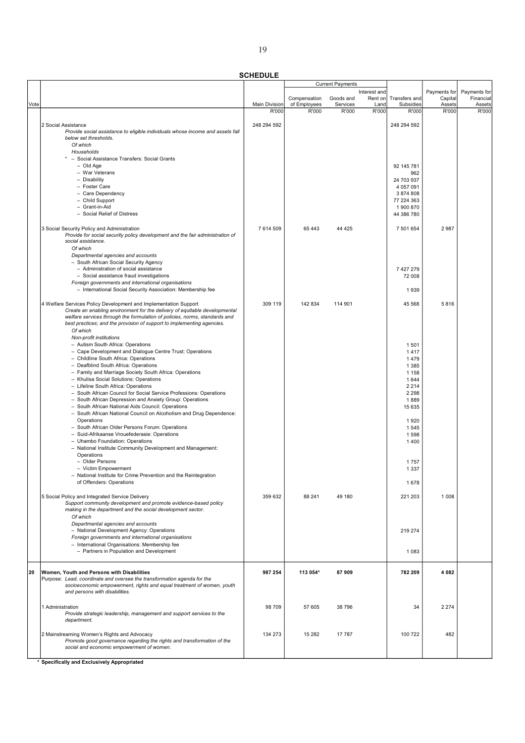**SCHEDULE** 

|      |                                                                                 |                               |                       | <b>Current Payments</b> |               |                    |                 |                 |
|------|---------------------------------------------------------------------------------|-------------------------------|-----------------------|-------------------------|---------------|--------------------|-----------------|-----------------|
|      |                                                                                 |                               |                       |                         | Interest and  |                    | Payments for    | Payments for    |
|      |                                                                                 |                               | Compensation          | Goods and               | Rent on       | Transfers and      | Capital         | Financial       |
| Vote |                                                                                 | <b>Main Division</b><br>R'000 | of Employees<br>R'000 | Services<br>R'000       | Land<br>R'000 | Subsidies<br>R'000 | Assets<br>R'000 | Assets<br>R'000 |
|      |                                                                                 |                               |                       |                         |               |                    |                 |                 |
|      | 2 Social Assistance                                                             | 248 294 592                   |                       |                         |               | 248 294 592        |                 |                 |
|      | Provide social assistance to eligible individuals whose income and assets fall  |                               |                       |                         |               |                    |                 |                 |
|      | below set thresholds.                                                           |                               |                       |                         |               |                    |                 |                 |
|      | Of which                                                                        |                               |                       |                         |               |                    |                 |                 |
|      | Households                                                                      |                               |                       |                         |               |                    |                 |                 |
|      | - Social Assistance Transfers: Social Grants                                    |                               |                       |                         |               |                    |                 |                 |
|      | - Old Age                                                                       |                               |                       |                         |               | 92 145 781         |                 |                 |
|      | - War Veterans                                                                  |                               |                       |                         |               | 962                |                 |                 |
|      | - Disability                                                                    |                               |                       |                         |               | 24 703 937         |                 |                 |
|      | - Foster Care                                                                   |                               |                       |                         |               | 4 057 091          |                 |                 |
|      | - Care Dependency                                                               |                               |                       |                         |               | 3 874 808          |                 |                 |
|      | - Child Support                                                                 |                               |                       |                         |               | 77 224 363         |                 |                 |
|      | - Grant-in-Aid<br>- Social Relief of Distress                                   |                               |                       |                         |               | 1 900 870          |                 |                 |
|      |                                                                                 |                               |                       |                         |               | 44 386 780         |                 |                 |
|      | 3 Social Security Policy and Administration                                     | 7 614 509                     | 65 443                | 44 4 25                 |               | 7 501 654          | 2987            |                 |
|      | Provide for social security policy development and the fair administration of   |                               |                       |                         |               |                    |                 |                 |
|      | social assistance.                                                              |                               |                       |                         |               |                    |                 |                 |
|      | Of which                                                                        |                               |                       |                         |               |                    |                 |                 |
|      | Departmental agencies and accounts                                              |                               |                       |                         |               |                    |                 |                 |
|      | - South African Social Security Agency                                          |                               |                       |                         |               |                    |                 |                 |
|      | - Administration of social assistance                                           |                               |                       |                         |               | 7427279            |                 |                 |
|      | - Social assistance fraud investigations                                        |                               |                       |                         |               | 72 008             |                 |                 |
|      | Foreign governments and international organisations                             |                               |                       |                         |               |                    |                 |                 |
|      | - International Social Security Association: Membership fee                     |                               |                       |                         |               | 1939               |                 |                 |
|      |                                                                                 |                               |                       |                         |               |                    |                 |                 |
|      | 4 Welfare Services Policy Development and Implementation Support                | 309 119                       | 142 834               | 114 901                 |               | 45 568             | 5816            |                 |
|      | Create an enabling environment for the delivery of equitable developmental      |                               |                       |                         |               |                    |                 |                 |
|      | welfare services through the formulation of policies, norms, standards and      |                               |                       |                         |               |                    |                 |                 |
|      | best practices; and the provision of support to implementing agencies.          |                               |                       |                         |               |                    |                 |                 |
|      | Of which                                                                        |                               |                       |                         |               |                    |                 |                 |
|      | Non-profit institutions                                                         |                               |                       |                         |               |                    |                 |                 |
|      | - Autism South Africa: Operations                                               |                               |                       |                         |               | 1501               |                 |                 |
|      | - Cape Development and Dialogue Centre Trust: Operations                        |                               |                       |                         |               | 1417               |                 |                 |
|      | - Childline South Africa: Operations                                            |                               |                       |                         |               | 1479               |                 |                 |
|      | - Deafblind South Africa: Operations                                            |                               |                       |                         |               | 1 3 8 5            |                 |                 |
|      | - Family and Marriage Society South Africa: Operations                          |                               |                       |                         |               | 1 1 5 8            |                 |                 |
|      | - Khulisa Social Solutions: Operations                                          |                               |                       |                         |               | 1644               |                 |                 |
|      | - Lifeline South Africa: Operations                                             |                               |                       |                         |               | 2 2 1 4            |                 |                 |
|      | - South African Council for Social Service Professions: Operations              |                               |                       |                         |               | 2 2 9 8            |                 |                 |
|      | - South African Depression and Anxiety Group: Operations                        |                               |                       |                         |               | 1889               |                 |                 |
|      | - South African National Aids Council: Operations                               |                               |                       |                         |               | 15 635             |                 |                 |
|      | - South African National Council on Alcoholism and Drug Dependence:             |                               |                       |                         |               |                    |                 |                 |
|      | Operations<br>- South African Older Persons Forum: Operations                   |                               |                       |                         |               | 1920               |                 |                 |
|      |                                                                                 |                               |                       |                         |               | 1545               |                 |                 |
|      | - Suid-Afrikaanse Vrouefederasie: Operations<br>- Uhambo Foundation: Operations |                               |                       |                         |               | 1598               |                 |                 |
|      | - National Institute Community Development and Management:                      |                               |                       |                         |               | 1400               |                 |                 |
|      | Operations                                                                      |                               |                       |                         |               |                    |                 |                 |
|      | - Older Persons                                                                 |                               |                       |                         |               | 1757               |                 |                 |
|      | - Victim Empowerment                                                            |                               |                       |                         |               | 1 3 3 7            |                 |                 |
|      | - National Institute for Crime Prevention and the Reintegration                 |                               |                       |                         |               |                    |                 |                 |
|      | of Offenders: Operations                                                        |                               |                       |                         |               | 1678               |                 |                 |
|      |                                                                                 |                               |                       |                         |               |                    |                 |                 |
|      | 5 Social Policy and Integrated Service Delivery                                 | 359 632                       | 88 241                | 49 180                  |               | 221 203            | 1 0 0 8         |                 |
|      | Support community development and promote evidence-based policy                 |                               |                       |                         |               |                    |                 |                 |
|      | making in the department and the social development sector.                     |                               |                       |                         |               |                    |                 |                 |
|      | Of which                                                                        |                               |                       |                         |               |                    |                 |                 |
|      | Departmental agencies and accounts                                              |                               |                       |                         |               |                    |                 |                 |
|      | - National Development Agency: Operations                                       |                               |                       |                         |               | 219 274            |                 |                 |
|      | Foreign governments and international organisations                             |                               |                       |                         |               |                    |                 |                 |
|      | - International Organisations: Membership fee                                   |                               |                       |                         |               |                    |                 |                 |
|      | - Partners in Population and Development                                        |                               |                       |                         |               | 1 0 8 3            |                 |                 |
|      |                                                                                 |                               |                       |                         |               |                    |                 |                 |
| 20   | Women, Youth and Persons with Disabilities                                      | 987 254                       | 113 054*              | 87909                   |               | 782 209            | 4 0 8 2         |                 |
|      | Purpose: Lead, coordinate and oversee the transformation agenda for the         |                               |                       |                         |               |                    |                 |                 |
|      | socioeconomic empowerment, rights and equal treatment of women, youth           |                               |                       |                         |               |                    |                 |                 |
|      | and persons with disabilities.                                                  |                               |                       |                         |               |                    |                 |                 |
|      |                                                                                 |                               |                       |                         |               |                    |                 |                 |
|      | 1 Administration                                                                | 98 709                        | 57 605                | 38 796                  |               | 34                 | 2 2 7 4         |                 |
|      | Provide strategic leadership, management and support services to the            |                               |                       |                         |               |                    |                 |                 |
|      | department.                                                                     |                               |                       |                         |               |                    |                 |                 |
|      |                                                                                 |                               |                       |                         |               |                    |                 |                 |
|      | 2 Mainstreaming Women's Rights and Advocacy                                     | 134 273                       | 15 282                | 17 787                  |               | 100 722            | 482             |                 |
|      | Promote good governance regarding the rights and transformation of the          |                               |                       |                         |               |                    |                 |                 |
|      | social and economic empowerment of women.                                       |                               |                       |                         |               |                    |                 |                 |
|      |                                                                                 |                               |                       |                         |               |                    |                 |                 |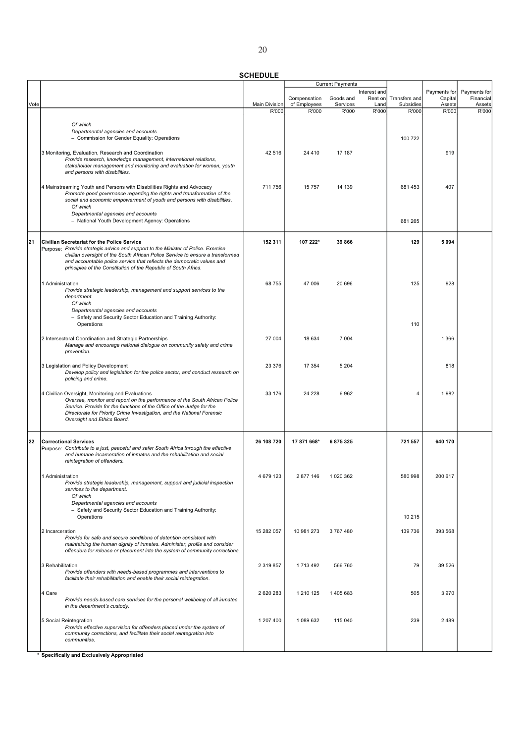|      |                                                                                                                                                   |                      |                              | <b>Current Payments</b> |                 |                            |                   |                     |
|------|---------------------------------------------------------------------------------------------------------------------------------------------------|----------------------|------------------------------|-------------------------|-----------------|----------------------------|-------------------|---------------------|
|      |                                                                                                                                                   |                      |                              |                         | Interest and    |                            | Payments for      | Payments for        |
| Vote |                                                                                                                                                   | <b>Main Division</b> | Compensation<br>of Employees | Goods and<br>Services   | Rent on<br>Land | Transfers and<br>Subsidies | Capital<br>Assets | Financial<br>Assets |
|      |                                                                                                                                                   | R'000                | R'000                        | R'000                   | R'000           | R'000                      | R'000             | R'000               |
|      |                                                                                                                                                   |                      |                              |                         |                 |                            |                   |                     |
|      | Of which<br>Departmental agencies and accounts                                                                                                    |                      |                              |                         |                 |                            |                   |                     |
|      | - Commission for Gender Equality: Operations                                                                                                      |                      |                              |                         |                 | 100 722                    |                   |                     |
|      |                                                                                                                                                   |                      |                              |                         |                 |                            |                   |                     |
|      | 3 Monitoring, Evaluation, Research and Coordination                                                                                               | 42 516               | 24 410                       | 17 187                  |                 |                            | 919               |                     |
|      | Provide research, knowledge management, international relations,<br>stakeholder management and monitoring and evaluation for women, youth         |                      |                              |                         |                 |                            |                   |                     |
|      | and persons with disabilities.                                                                                                                    |                      |                              |                         |                 |                            |                   |                     |
|      |                                                                                                                                                   |                      |                              |                         |                 |                            |                   |                     |
|      | 4 Mainstreaming Youth and Persons with Disabilities Rights and Advocacy<br>Promote good governance regarding the rights and transformation of the | 711 756              | 15757                        | 14 139                  |                 | 681 453                    | 407               |                     |
|      | social and economic empowerment of youth and persons with disabilities.                                                                           |                      |                              |                         |                 |                            |                   |                     |
|      | Of which                                                                                                                                          |                      |                              |                         |                 |                            |                   |                     |
|      | Departmental agencies and accounts<br>- National Youth Development Agency: Operations                                                             |                      |                              |                         |                 | 681 265                    |                   |                     |
|      |                                                                                                                                                   |                      |                              |                         |                 |                            |                   |                     |
|      |                                                                                                                                                   |                      |                              |                         |                 |                            |                   |                     |
| 21   | Civilian Secretariat for the Police Service<br>Purpose: Provide strategic advice and support to the Minister of Police. Exercise                  | 152 311              | 107 222*                     | 39 866                  |                 | 129                        | 5094              |                     |
|      | civilian oversight of the South African Police Service to ensure a transformed                                                                    |                      |                              |                         |                 |                            |                   |                     |
|      | and accountable police service that reflects the democratic values and                                                                            |                      |                              |                         |                 |                            |                   |                     |
|      | principles of the Constitution of the Republic of South Africa.                                                                                   |                      |                              |                         |                 |                            |                   |                     |
|      | 1 Administration                                                                                                                                  | 68755                | 47 006                       | 20 696                  |                 | 125                        | 928               |                     |
|      | Provide strategic leadership, management and support services to the                                                                              |                      |                              |                         |                 |                            |                   |                     |
|      | department.                                                                                                                                       |                      |                              |                         |                 |                            |                   |                     |
|      | Of which<br>Departmental agencies and accounts                                                                                                    |                      |                              |                         |                 |                            |                   |                     |
|      | - Safety and Security Sector Education and Training Authority:                                                                                    |                      |                              |                         |                 |                            |                   |                     |
|      | Operations                                                                                                                                        |                      |                              |                         |                 | 110                        |                   |                     |
|      | 2 Intersectoral Coordination and Strategic Partnerships                                                                                           | 27 004               | 18 634                       | 7 0 0 4                 |                 |                            | 1 3 6 6           |                     |
|      | Manage and encourage national dialogue on community safety and crime                                                                              |                      |                              |                         |                 |                            |                   |                     |
|      | prevention.                                                                                                                                       |                      |                              |                         |                 |                            |                   |                     |
|      | 3 Legislation and Policy Development                                                                                                              | 23 376               | 17 354                       | 5 2 0 4                 |                 |                            | 818               |                     |
|      | Develop policy and legislation for the police sector, and conduct research on                                                                     |                      |                              |                         |                 |                            |                   |                     |
|      | policing and crime.                                                                                                                               |                      |                              |                         |                 |                            |                   |                     |
|      |                                                                                                                                                   | 33 176               | 24 228                       | 6962                    |                 | 4                          | 1982              |                     |
|      | 4 Civilian Oversight, Monitoring and Evaluations<br>Oversee, monitor and report on the performance of the South African Police                    |                      |                              |                         |                 |                            |                   |                     |
|      | Service. Provide for the functions of the Office of the Judge for the                                                                             |                      |                              |                         |                 |                            |                   |                     |
|      | Directorate for Priority Crime Investigation, and the National Forensic<br>Oversight and Ethics Board.                                            |                      |                              |                         |                 |                            |                   |                     |
|      |                                                                                                                                                   |                      |                              |                         |                 |                            |                   |                     |
|      | Correctional Services                                                                                                                             |                      |                              |                         |                 |                            |                   |                     |
| 22   | Purpose: Contribute to a just, peaceful and safer South Africa through the effective                                                              | 26 108 720           | 17 871 668*                  | 6875325                 |                 | 721 557                    | 640 170           |                     |
|      | and humane incarceration of inmates and the rehabilitation and social                                                                             |                      |                              |                         |                 |                            |                   |                     |
|      | reintegration of offenders.                                                                                                                       |                      |                              |                         |                 |                            |                   |                     |
|      | 1 Administration                                                                                                                                  | 4 679 123            | 2877146                      | 1 020 362               |                 | 580 998                    | 200 617           |                     |
|      | Provide strategic leadership, management, support and judicial inspection                                                                         |                      |                              |                         |                 |                            |                   |                     |
|      | services to the department.<br>Of which                                                                                                           |                      |                              |                         |                 |                            |                   |                     |
|      | Departmental agencies and accounts                                                                                                                |                      |                              |                         |                 |                            |                   |                     |
|      | - Safety and Security Sector Education and Training Authority:                                                                                    |                      |                              |                         |                 |                            |                   |                     |
|      | Operations                                                                                                                                        |                      |                              |                         |                 | 10 215                     |                   |                     |
|      | 2 Incarceration                                                                                                                                   | 15 282 057           | 10 981 273                   | 3767480                 |                 | 139 736                    | 393 568           |                     |
|      | Provide for safe and secure conditions of detention consistent with                                                                               |                      |                              |                         |                 |                            |                   |                     |
|      | maintaining the human dignity of inmates. Administer, profile and consider                                                                        |                      |                              |                         |                 |                            |                   |                     |
|      | offenders for release or placement into the system of community corrections.                                                                      |                      |                              |                         |                 |                            |                   |                     |
|      | 3 Rehabilitation                                                                                                                                  | 2 3 1 9 8 5 7        | 1 713 492                    | 566 760                 |                 | 79                         | 39 5 26           |                     |
|      | Provide offenders with needs-based programmes and interventions to                                                                                |                      |                              |                         |                 |                            |                   |                     |
|      | facilitate their rehabilitation and enable their social reintegration.                                                                            |                      |                              |                         |                 |                            |                   |                     |
|      | 4 Care                                                                                                                                            | 2 620 283            | 1 210 125                    | 1405683                 |                 | 505                        | 3970              |                     |
|      | Provide needs-based care services for the personal wellbeing of all inmates                                                                       |                      |                              |                         |                 |                            |                   |                     |
|      | in the department's custody.                                                                                                                      |                      |                              |                         |                 |                            |                   |                     |
|      | 5 Social Reintegration                                                                                                                            | 1 207 400            | 1 089 632                    | 115 040                 |                 | 239                        | 2489              |                     |
|      | Provide effective supervision for offenders placed under the system of                                                                            |                      |                              |                         |                 |                            |                   |                     |
|      | community corrections, and facilitate their social reintegration into<br>communities.                                                             |                      |                              |                         |                 |                            |                   |                     |
|      |                                                                                                                                                   |                      |                              |                         |                 |                            |                   |                     |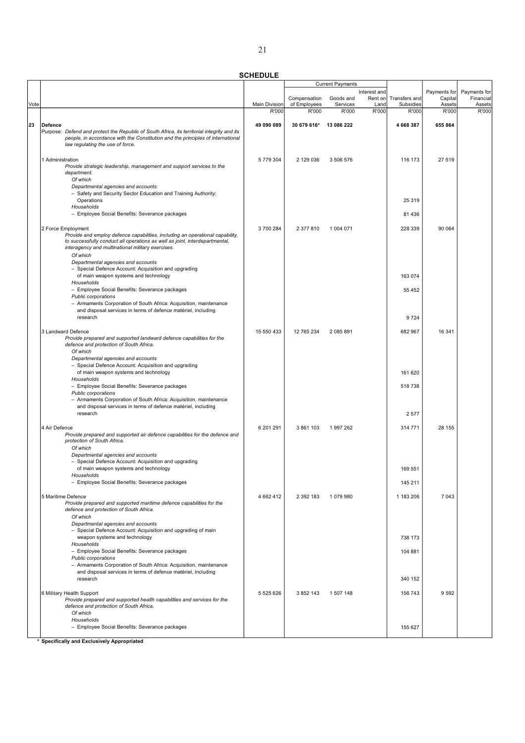|      |                                                                                                                                                                                |                               |                        | <b>Current Payments</b> |               |                    |                 |                 |
|------|--------------------------------------------------------------------------------------------------------------------------------------------------------------------------------|-------------------------------|------------------------|-------------------------|---------------|--------------------|-----------------|-----------------|
|      |                                                                                                                                                                                |                               |                        |                         | Interest and  |                    | Payments for    | Payments for    |
|      |                                                                                                                                                                                |                               | Compensation           | Goods and<br>Services   | Rent on       | Transfers and      | Capital         | Financial       |
| Vote |                                                                                                                                                                                | <b>Main Division</b><br>R'000 | of Employees<br>R'000  | R'000                   | Land<br>R'000 | Subsidies<br>R'000 | Assets<br>R'000 | Assets<br>R'000 |
|      |                                                                                                                                                                                |                               |                        |                         |               |                    |                 |                 |
| 23   | Defence                                                                                                                                                                        | 49 090 089                    | 30 679 616* 13 086 222 |                         |               | 4 668 387          | 655 864         |                 |
|      | Purpose: Defend and protect the Republic of South Africa, its territorial integrity and its<br>people, in accordance with the Constitution and the principles of international |                               |                        |                         |               |                    |                 |                 |
|      | law regulating the use of force.                                                                                                                                               |                               |                        |                         |               |                    |                 |                 |
|      |                                                                                                                                                                                |                               |                        |                         |               |                    |                 |                 |
|      | 1 Administration                                                                                                                                                               | 5779304                       | 2 129 036              | 3 506 576               |               | 116 173            | 27 519          |                 |
|      | Provide strategic leadership, management and support services to the<br>department.                                                                                            |                               |                        |                         |               |                    |                 |                 |
|      | Of which                                                                                                                                                                       |                               |                        |                         |               |                    |                 |                 |
|      | Departmental agencies and accounts                                                                                                                                             |                               |                        |                         |               |                    |                 |                 |
|      | - Safety and Security Sector Education and Training Authority:                                                                                                                 |                               |                        |                         |               |                    |                 |                 |
|      | Operations<br>Households                                                                                                                                                       |                               |                        |                         |               | 25 319             |                 |                 |
|      | - Employee Social Benefits: Severance packages                                                                                                                                 |                               |                        |                         |               | 81 436             |                 |                 |
|      |                                                                                                                                                                                |                               |                        |                         |               |                    |                 |                 |
|      | 2 Force Employment                                                                                                                                                             | 3700284                       | 2 377 810              | 1 004 071               |               | 228 339            | 90 064          |                 |
|      | Provide and employ defence capabilities, including an operational capability,<br>to successfully conduct all operations as well as joint, interdepartmental,                   |                               |                        |                         |               |                    |                 |                 |
|      | interagency and multinational military exercises.                                                                                                                              |                               |                        |                         |               |                    |                 |                 |
|      | Of which                                                                                                                                                                       |                               |                        |                         |               |                    |                 |                 |
|      | Departmental agencies and accounts                                                                                                                                             |                               |                        |                         |               |                    |                 |                 |
|      | - Special Defence Account: Acquisition and upgrading<br>of main weapon systems and technology                                                                                  |                               |                        |                         |               | 163 074            |                 |                 |
|      | Households                                                                                                                                                                     |                               |                        |                         |               |                    |                 |                 |
|      | - Employee Social Benefits: Severance packages                                                                                                                                 |                               |                        |                         |               | 55 452             |                 |                 |
|      | Public corporations                                                                                                                                                            |                               |                        |                         |               |                    |                 |                 |
|      | - Armaments Corporation of South Africa: Acquisition, maintenance<br>and disposal services in terms of defence matériel, including                                             |                               |                        |                         |               |                    |                 |                 |
|      | research                                                                                                                                                                       |                               |                        |                         |               | 9724               |                 |                 |
|      |                                                                                                                                                                                |                               |                        |                         |               |                    |                 |                 |
|      | 3 Landward Defence                                                                                                                                                             | 15 550 433                    | 12 765 234             | 2 085 891               |               | 682 967            | 16 341          |                 |
|      | Provide prepared and supported landward defence capabilities for the<br>defence and protection of South Africa.                                                                |                               |                        |                         |               |                    |                 |                 |
|      | Of which                                                                                                                                                                       |                               |                        |                         |               |                    |                 |                 |
|      | Departmental agencies and accounts                                                                                                                                             |                               |                        |                         |               |                    |                 |                 |
|      | - Special Defence Account: Acquisition and upgrading                                                                                                                           |                               |                        |                         |               |                    |                 |                 |
|      | of main weapon systems and technology<br>Households                                                                                                                            |                               |                        |                         |               | 161 620            |                 |                 |
|      | - Employee Social Benefits: Severance packages                                                                                                                                 |                               |                        |                         |               | 518 738            |                 |                 |
|      | Public corporations                                                                                                                                                            |                               |                        |                         |               |                    |                 |                 |
|      | - Armaments Corporation of South Africa: Acquisition, maintenance                                                                                                              |                               |                        |                         |               |                    |                 |                 |
|      | and disposal services in terms of defence matériel, including<br>research                                                                                                      |                               |                        |                         |               | 2577               |                 |                 |
|      |                                                                                                                                                                                |                               |                        |                         |               |                    |                 |                 |
|      | 4 Air Defence                                                                                                                                                                  | 6 201 291                     | 3 861 103              | 1997262                 |               | 314 771            | 28 155          |                 |
|      | Provide prepared and supported air defence capabilities for the defence and<br>protection of South Africa.                                                                     |                               |                        |                         |               |                    |                 |                 |
|      | Of which                                                                                                                                                                       |                               |                        |                         |               |                    |                 |                 |
|      | Departmental agencies and accounts                                                                                                                                             |                               |                        |                         |               |                    |                 |                 |
|      | - Special Defence Account: Acquisition and upgrading                                                                                                                           |                               |                        |                         |               |                    |                 |                 |
|      | of main weapon systems and technology<br>Households                                                                                                                            |                               |                        |                         |               | 169 551            |                 |                 |
|      | - Employee Social Benefits: Severance packages                                                                                                                                 |                               |                        |                         |               | 145 211            |                 |                 |
|      |                                                                                                                                                                                |                               |                        |                         |               |                    |                 |                 |
|      | 5 Maritime Defence                                                                                                                                                             | 4 6 6 2 4 1 2                 | 2 392 183              | 1079980                 |               | 1 183 206          | 7 0 4 3         |                 |
|      | Provide prepared and supported maritime defence capabilities for the<br>defence and protection of South Africa.                                                                |                               |                        |                         |               |                    |                 |                 |
|      | Of which                                                                                                                                                                       |                               |                        |                         |               |                    |                 |                 |
|      | Departmental agencies and accounts                                                                                                                                             |                               |                        |                         |               |                    |                 |                 |
|      | - Special Defence Account: Acquisition and upgrading of main                                                                                                                   |                               |                        |                         |               |                    |                 |                 |
|      | weapon systems and technology<br>Households                                                                                                                                    |                               |                        |                         |               | 738 173            |                 |                 |
|      | - Employee Social Benefits: Severance packages                                                                                                                                 |                               |                        |                         |               | 104 881            |                 |                 |
|      | Public corporations                                                                                                                                                            |                               |                        |                         |               |                    |                 |                 |
|      | - Armaments Corporation of South Africa: Acquisition, maintenance                                                                                                              |                               |                        |                         |               |                    |                 |                 |
|      | and disposal services in terms of defence matériel, including<br>research                                                                                                      |                               |                        |                         |               | 340 152            |                 |                 |
|      |                                                                                                                                                                                |                               |                        |                         |               |                    |                 |                 |
|      | 6 Military Health Support                                                                                                                                                      | 5 525 626                     | 3 852 143              | 1 507 148               |               | 156 743            | 9592            |                 |
|      | Provide prepared and supported health capabilities and services for the<br>defence and protection of South Africa.                                                             |                               |                        |                         |               |                    |                 |                 |
|      | Of which                                                                                                                                                                       |                               |                        |                         |               |                    |                 |                 |
|      | Households                                                                                                                                                                     |                               |                        |                         |               |                    |                 |                 |
|      | - Employee Social Benefits: Severance packages                                                                                                                                 |                               |                        |                         |               | 155 627            |                 |                 |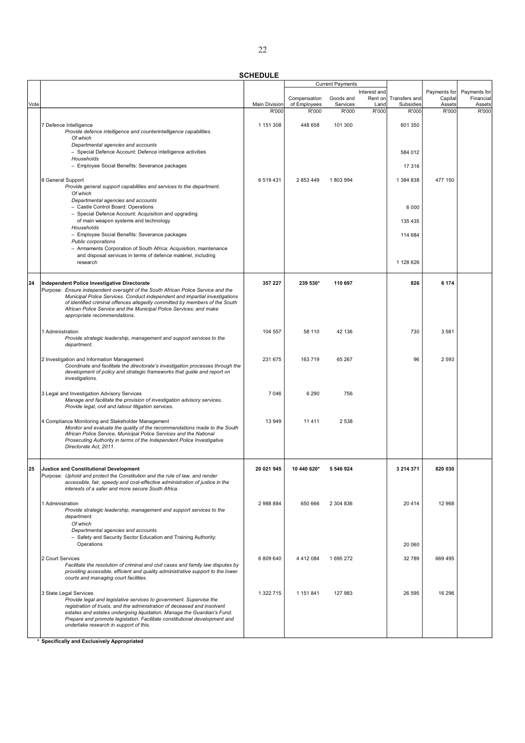|      |                                                                                                                                                                                                                                                                                                                                                                                                              |               |                              | <b>Current Payments</b> |                 |                            |                   |                     |
|------|--------------------------------------------------------------------------------------------------------------------------------------------------------------------------------------------------------------------------------------------------------------------------------------------------------------------------------------------------------------------------------------------------------------|---------------|------------------------------|-------------------------|-----------------|----------------------------|-------------------|---------------------|
|      |                                                                                                                                                                                                                                                                                                                                                                                                              |               |                              |                         | Interest and    |                            | Payments for      | Payments for        |
| Vote |                                                                                                                                                                                                                                                                                                                                                                                                              | Main Division | Compensation<br>of Employees | Goods and<br>Services   | Rent on<br>Land | Transfers and<br>Subsidies | Capital<br>Assets | Financial<br>Assets |
|      |                                                                                                                                                                                                                                                                                                                                                                                                              | R'000         | R'000                        | R'000                   | R'000           | R'000                      | R'000             | R'000               |
|      | 7 Defence Intelligence<br>Provide defence intelligence and counterintelligence capabilities.<br>Of which                                                                                                                                                                                                                                                                                                     | 1 151 308     | 448 658                      | 101 300                 |                 | 601 350                    |                   |                     |
|      | Departmental agencies and accounts<br>- Special Defence Account: Defence intelligence activities                                                                                                                                                                                                                                                                                                             |               |                              |                         |                 | 584 012                    |                   |                     |
|      | Households<br>- Employee Social Benefits: Severance packages                                                                                                                                                                                                                                                                                                                                                 |               |                              |                         |                 | 17 316                     |                   |                     |
|      | 8 General Support<br>Provide general support capabilities and services to the department.<br>Of which                                                                                                                                                                                                                                                                                                        | 6 519 431     | 2 853 449                    | 1803994                 |                 | 1 384 838                  | 477 150           |                     |
|      | Departmental agencies and accounts<br>- Castle Control Board: Operations<br>- Special Defence Account: Acquisition and upgrading<br>of main weapon systems and technology                                                                                                                                                                                                                                    |               |                              |                         |                 | 6 0 0 0<br>135 435         |                   |                     |
|      | Households<br>- Employee Social Benefits: Severance packages                                                                                                                                                                                                                                                                                                                                                 |               |                              |                         |                 | 114 684                    |                   |                     |
|      | Public corporations<br>- Armaments Corporation of South Africa: Acquisition, maintenance<br>and disposal services in terms of defence matériel, including                                                                                                                                                                                                                                                    |               |                              |                         |                 |                            |                   |                     |
|      | research                                                                                                                                                                                                                                                                                                                                                                                                     |               |                              |                         |                 | 1 128 626                  |                   |                     |
| 24   | <b>Independent Police Investigative Directorate</b><br>Purpose: Ensure independent oversight of the South African Police Service and the<br>Municipal Police Services. Conduct independent and impartial investigations<br>of identified criminal offences allegedly committed by members of the South<br>African Police Service and the Municipal Police Services; and make<br>appropriate recommendations. | 357 227       | 239 530*                     | 110 697                 |                 | 826                        | 6 174             |                     |
|      | 1 Administration<br>Provide strategic leadership, management and support services to the<br>department.                                                                                                                                                                                                                                                                                                      | 104 557       | 58 110                       | 42 136                  |                 | 730                        | 3581              |                     |
|      | 2 Investigation and Information Management<br>Coordinate and facilitate the directorate's investigation processes through the<br>development of policy and strategic frameworks that guide and report on<br>investigations.                                                                                                                                                                                  | 231 675       | 163 719                      | 65 267                  |                 | 96                         | 2 5 9 3           |                     |
|      | 3 Legal and Investigation Advisory Services<br>Manage and facilitate the provision of investigation advisory services.<br>Provide legal, civil and labour litigation services.                                                                                                                                                                                                                               | 7046          | 6 2 9 0                      | 756                     |                 |                            |                   |                     |
|      | 4 Compliance Monitoring and Stakeholder Management<br>Monitor and evaluate the quality of the recommendations made to the South<br>African Police Service, Municipal Police Services and the National<br>Prosecuting Authority in terms of the Independent Police Investigative<br>Directorate Act, 2011.                                                                                                    | 13 949        | 11 411                       | 2538                    |                 |                            |                   |                     |
| 25   | <b>Justice and Constitutional Development</b><br>Purpose: Uphold and protect the Constitution and the rule of law, and render<br>accessible, fair, speedy and cost-effective administration of justice in the<br>interests of a safer and more secure South Africa.                                                                                                                                          | 20 021 945    | 10 440 620*                  | 5 546 924               |                 | 3 214 371                  | 820 030           |                     |
|      | 1 Administration<br>Provide strategic leadership, management and support services to the<br>department.<br>Of which<br>Departmental agencies and accounts                                                                                                                                                                                                                                                    | 2988884       | 650 666                      | 2 304 836               |                 | 20414                      | 12 968            |                     |
|      | - Safety and Security Sector Education and Training Authority:<br>Operations                                                                                                                                                                                                                                                                                                                                 |               |                              |                         |                 | 20 060                     |                   |                     |
|      | 2 Court Services<br>Facilitate the resolution of criminal and civil cases and family law disputes by<br>providing accessible, efficient and quality administrative support to the lower<br>courts and managing court facilities.                                                                                                                                                                             | 6 809 640     | 4 4 1 2 0 8 4                | 1695272                 |                 | 32789                      | 669 495           |                     |
|      | 3 State Legal Services<br>Provide legal and legislative services to government. Supervise the<br>registration of trusts, and the administration of deceased and insolvent<br>estates and estates undergoing liquidation. Manage the Guardian's Fund.<br>Prepare and promote legislation. Facilitate constitutional development and<br>undertake research in support of this.                                 | 1 322 715     | 1 151 841                    | 127 983                 |                 | 26 595                     | 16 29 6           |                     |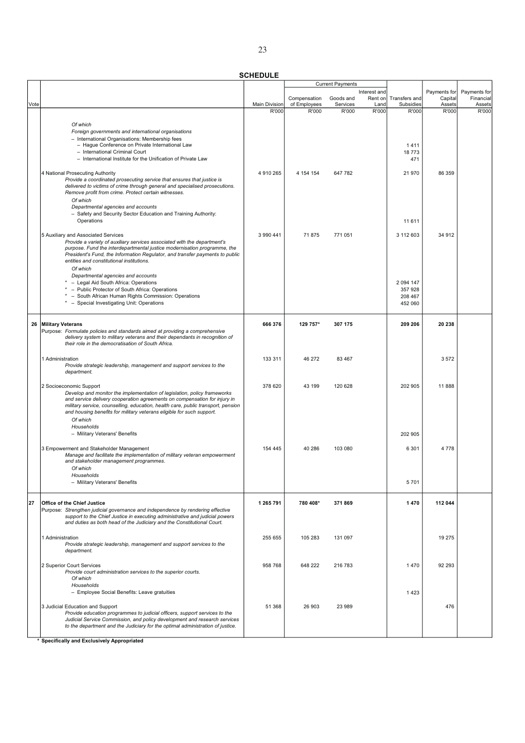|      |                                                                                                                                                         |                      |                              | <b>Current Payments</b> |                 |                            |                   |                     |
|------|---------------------------------------------------------------------------------------------------------------------------------------------------------|----------------------|------------------------------|-------------------------|-----------------|----------------------------|-------------------|---------------------|
|      |                                                                                                                                                         |                      |                              |                         | Interest and    |                            | Payments for      | Payments for        |
| Vote |                                                                                                                                                         | <b>Main Division</b> | Compensation<br>of Employees | Goods and<br>Services   | Rent on<br>Land | Transfers and<br>Subsidies | Capital<br>Assets | Financial<br>Assets |
|      |                                                                                                                                                         | R'000                | R'000                        | R'000                   | R'000           | R'000                      | R'000             | R'000               |
|      |                                                                                                                                                         |                      |                              |                         |                 |                            |                   |                     |
|      | Of which                                                                                                                                                |                      |                              |                         |                 |                            |                   |                     |
|      | Foreign governments and international organisations                                                                                                     |                      |                              |                         |                 |                            |                   |                     |
|      | - International Organisations: Membership fees                                                                                                          |                      |                              |                         |                 | 1411                       |                   |                     |
|      | - Hague Conference on Private International Law<br>- International Criminal Court                                                                       |                      |                              |                         |                 | 18773                      |                   |                     |
|      | - International Institute for the Unification of Private Law                                                                                            |                      |                              |                         |                 | 471                        |                   |                     |
|      |                                                                                                                                                         |                      |                              |                         |                 |                            |                   |                     |
|      | 4 National Prosecuting Authority                                                                                                                        | 4 910 265            | 4 154 154                    | 647 782                 |                 | 21 970                     | 86 359            |                     |
|      | Provide a coordinated prosecuting service that ensures that justice is                                                                                  |                      |                              |                         |                 |                            |                   |                     |
|      | delivered to victims of crime through general and specialised prosecutions.                                                                             |                      |                              |                         |                 |                            |                   |                     |
|      | Remove profit from crime. Protect certain witnesses.                                                                                                    |                      |                              |                         |                 |                            |                   |                     |
|      | Of which                                                                                                                                                |                      |                              |                         |                 |                            |                   |                     |
|      | Departmental agencies and accounts                                                                                                                      |                      |                              |                         |                 |                            |                   |                     |
|      | - Safety and Security Sector Education and Training Authority:<br>Operations                                                                            |                      |                              |                         |                 |                            |                   |                     |
|      |                                                                                                                                                         |                      |                              |                         |                 | 11 611                     |                   |                     |
|      | 5 Auxiliary and Associated Services                                                                                                                     | 3 990 441            | 71875                        | 771 051                 |                 | 3 112 603                  | 34 912            |                     |
|      | Provide a variety of auxiliary services associated with the department's                                                                                |                      |                              |                         |                 |                            |                   |                     |
|      | purpose. Fund the interdepartmental justice modernisation programme, the                                                                                |                      |                              |                         |                 |                            |                   |                     |
|      | President's Fund, the Information Regulator, and transfer payments to public                                                                            |                      |                              |                         |                 |                            |                   |                     |
|      | entities and constitutional institutions.                                                                                                               |                      |                              |                         |                 |                            |                   |                     |
|      | Of which                                                                                                                                                |                      |                              |                         |                 |                            |                   |                     |
|      | Departmental agencies and accounts                                                                                                                      |                      |                              |                         |                 |                            |                   |                     |
|      | * - Legal Aid South Africa: Operations<br>* - Public Protector of South Africa: Operations                                                              |                      |                              |                         |                 | 2 0 9 4 1 4 7<br>357 928   |                   |                     |
|      | * - South African Human Rights Commission: Operations                                                                                                   |                      |                              |                         |                 | 208 467                    |                   |                     |
|      | * - Special Investigating Unit: Operations                                                                                                              |                      |                              |                         |                 | 452 060                    |                   |                     |
|      |                                                                                                                                                         |                      |                              |                         |                 |                            |                   |                     |
|      |                                                                                                                                                         |                      |                              |                         |                 |                            |                   |                     |
|      | 26 Military Veterans                                                                                                                                    | 666 376              | 129 757*                     | 307 175                 |                 | 209 206                    | 20 238            |                     |
|      | Purpose: Formulate policies and standards aimed at providing a comprehensive                                                                            |                      |                              |                         |                 |                            |                   |                     |
|      | delivery system to military veterans and their dependants in recognition of<br>their role in the democratisation of South Africa.                       |                      |                              |                         |                 |                            |                   |                     |
|      |                                                                                                                                                         |                      |                              |                         |                 |                            |                   |                     |
|      | 1 Administration                                                                                                                                        | 133 311              | 46 272                       | 83 467                  |                 |                            | 3572              |                     |
|      | Provide strategic leadership, management and support services to the                                                                                    |                      |                              |                         |                 |                            |                   |                     |
|      | department.                                                                                                                                             |                      |                              |                         |                 |                            |                   |                     |
|      |                                                                                                                                                         |                      |                              |                         |                 |                            |                   |                     |
|      | 2 Socioeconomic Support                                                                                                                                 | 378 620              | 43 199                       | 120 628                 |                 | 202 905                    | 11 888            |                     |
|      | Develop and monitor the implementation of legislation, policy frameworks<br>and service delivery cooperation agreements on compensation for injury in   |                      |                              |                         |                 |                            |                   |                     |
|      | military service, counselling, education, health care, public transport, pension                                                                        |                      |                              |                         |                 |                            |                   |                     |
|      | and housing benefits for military veterans eligible for such support.                                                                                   |                      |                              |                         |                 |                            |                   |                     |
|      | Of which                                                                                                                                                |                      |                              |                         |                 |                            |                   |                     |
|      | Households                                                                                                                                              |                      |                              |                         |                 |                            |                   |                     |
|      | - Military Veterans' Benefits                                                                                                                           |                      |                              |                         |                 | 202 905                    |                   |                     |
|      |                                                                                                                                                         |                      |                              |                         |                 |                            |                   |                     |
|      | 3 Empowerment and Stakeholder Management                                                                                                                | 154 445              | 40 286                       | 103 080                 |                 | 6 3 0 1                    | 4778              |                     |
|      | Manage and facilitate the implementation of military veteran empowerment<br>and stakeholder management programmes.                                      |                      |                              |                         |                 |                            |                   |                     |
|      | Of which                                                                                                                                                |                      |                              |                         |                 |                            |                   |                     |
|      | Households                                                                                                                                              |                      |                              |                         |                 |                            |                   |                     |
|      | - Military Veterans' Benefits                                                                                                                           |                      |                              |                         |                 | 5701                       |                   |                     |
|      |                                                                                                                                                         |                      |                              |                         |                 |                            |                   |                     |
| 27   | <b>Office of the Chief Justice</b>                                                                                                                      | 1 265 791            | 780 408*                     | 371869                  |                 | 1470                       | 112 044           |                     |
|      | Purpose: Strengthen judicial governance and independence by rendering effective                                                                         |                      |                              |                         |                 |                            |                   |                     |
|      | support to the Chief Justice in executing administrative and judicial powers                                                                            |                      |                              |                         |                 |                            |                   |                     |
|      | and duties as both head of the Judiciary and the Constitutional Court.                                                                                  |                      |                              |                         |                 |                            |                   |                     |
|      |                                                                                                                                                         |                      |                              |                         |                 |                            |                   |                     |
|      | 1 Administration                                                                                                                                        | 255 655              | 105 283                      | 131 097                 |                 |                            | 19 275            |                     |
|      | Provide strategic leadership, management and support services to the                                                                                    |                      |                              |                         |                 |                            |                   |                     |
|      | department.                                                                                                                                             |                      |                              |                         |                 |                            |                   |                     |
|      | 2 Superior Court Services                                                                                                                               | 958 768              | 648 222                      | 216 783                 |                 | 1470                       | 92 293            |                     |
|      | Provide court administration services to the superior courts.                                                                                           |                      |                              |                         |                 |                            |                   |                     |
|      | Of which                                                                                                                                                |                      |                              |                         |                 |                            |                   |                     |
|      | Households                                                                                                                                              |                      |                              |                         |                 |                            |                   |                     |
|      | - Employee Social Benefits: Leave gratuities                                                                                                            |                      |                              |                         |                 | 1423                       |                   |                     |
|      |                                                                                                                                                         |                      |                              |                         |                 |                            |                   |                     |
|      | 3 Judicial Education and Support                                                                                                                        | 51 368               | 26 903                       | 23 989                  |                 |                            | 476               |                     |
|      | Provide education programmes to judicial officers, support services to the<br>Judicial Service Commission, and policy development and research services |                      |                              |                         |                 |                            |                   |                     |
|      | to the department and the Judiciary for the optimal administration of justice.                                                                          |                      |                              |                         |                 |                            |                   |                     |
|      |                                                                                                                                                         |                      |                              |                         |                 |                            |                   |                     |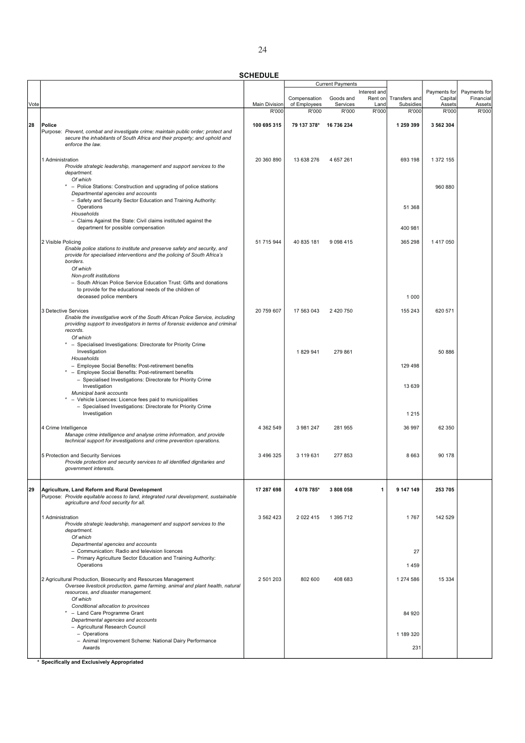|      |                                                                                                                                                                                                                                                                                                                                                                  |                      |                              | <b>Current Payments</b> |                 |                            |                   |                     |
|------|------------------------------------------------------------------------------------------------------------------------------------------------------------------------------------------------------------------------------------------------------------------------------------------------------------------------------------------------------------------|----------------------|------------------------------|-------------------------|-----------------|----------------------------|-------------------|---------------------|
|      |                                                                                                                                                                                                                                                                                                                                                                  |                      |                              |                         | Interest and    |                            | Payments for      | Payments for        |
| Vote |                                                                                                                                                                                                                                                                                                                                                                  | <b>Main Division</b> | Compensation<br>of Employees | Goods and<br>Services   | Rent on<br>Land | Transfers and<br>Subsidies | Capital<br>Assets | Financial<br>Assets |
|      |                                                                                                                                                                                                                                                                                                                                                                  | R'000                | R'000                        | R'000                   | R'000           | R'000                      | R'000             | R'000               |
|      |                                                                                                                                                                                                                                                                                                                                                                  |                      |                              |                         |                 |                            |                   |                     |
| 28   | Police<br>Purpose: Prevent, combat and investigate crime; maintain public order; protect and<br>secure the inhabitants of South Africa and their property; and uphold and<br>enforce the law.                                                                                                                                                                    | 100 695 315          | 79 137 378* 16 736 234       |                         |                 | 1 259 399                  | 3 562 304         |                     |
|      | 1 Administration<br>Provide strategic leadership, management and support services to the<br>department.                                                                                                                                                                                                                                                          | 20 360 890           | 13 638 276                   | 4 657 261               |                 | 693 198                    | 1 372 155         |                     |
|      | Of which<br>* - Police Stations: Construction and upgrading of police stations<br>Departmental agencies and accounts<br>- Safety and Security Sector Education and Training Authority:                                                                                                                                                                           |                      |                              |                         |                 |                            | 960 880           |                     |
|      | Operations<br>Households<br>- Claims Against the State: Civil claims instituted against the                                                                                                                                                                                                                                                                      |                      |                              |                         |                 | 51 368                     |                   |                     |
|      | department for possible compensation                                                                                                                                                                                                                                                                                                                             |                      |                              |                         |                 | 400 981                    |                   |                     |
|      | 2 Visible Policing<br>Enable police stations to institute and preserve safety and security, and<br>provide for specialised interventions and the policing of South Africa's<br>borders.<br>Of which<br>Non-profit institutions<br>- South African Police Service Education Trust: Gifts and donations<br>to provide for the educational needs of the children of | 51 715 944           | 40 835 181                   | 9 0 9 8 4 1 5           |                 | 365 298                    | 1 417 050         |                     |
|      | deceased police members                                                                                                                                                                                                                                                                                                                                          |                      |                              |                         |                 | 1 0 0 0                    |                   |                     |
|      | 3 Detective Services<br>Enable the investigative work of the South African Police Service, including<br>providing support to investigators in terms of forensic evidence and criminal<br>records.                                                                                                                                                                | 20 759 607           | 17 563 043                   | 2 420 750               |                 | 155 243                    | 620 571           |                     |
|      | Of which                                                                                                                                                                                                                                                                                                                                                         |                      |                              |                         |                 |                            |                   |                     |
|      | * - Specialised Investigations: Directorate for Priority Crime<br>Investigation<br>Households                                                                                                                                                                                                                                                                    |                      | 1829941                      | 279 861                 |                 |                            | 50 886            |                     |
|      | - Employee Social Benefits: Post-retirement benefits<br>* - Employee Social Benefits: Post-retirement benefits                                                                                                                                                                                                                                                   |                      |                              |                         |                 | 129 498                    |                   |                     |
|      | - Specialised Investigations: Directorate for Priority Crime<br>Investigation<br>Municipal bank accounts                                                                                                                                                                                                                                                         |                      |                              |                         |                 | 13 639                     |                   |                     |
|      | - Vehicle Licences: Licence fees paid to municipalities<br>- Specialised Investigations: Directorate for Priority Crime<br>Investigation                                                                                                                                                                                                                         |                      |                              |                         |                 | 1 2 1 5                    |                   |                     |
|      | 4 Crime Intelligence                                                                                                                                                                                                                                                                                                                                             | 4 362 549            | 3 981 247                    | 281 955                 |                 | 36 997                     | 62 350            |                     |
|      | Manage crime intelligence and analyse crime information, and provide<br>technical support for investigations and crime prevention operations.                                                                                                                                                                                                                    |                      |                              |                         |                 |                            |                   |                     |
|      | 5 Protection and Security Services<br>Provide protection and security services to all identified dignitaries and<br>government interests.                                                                                                                                                                                                                        | 3 496 325            | 3 119 631                    | 277 853                 |                 | 8663                       | 90 178            |                     |
| 29   | Agriculture, Land Reform and Rural Development<br>Purpose: Provide equitable access to land, integrated rural development, sustainable<br>agriculture and food security for all.                                                                                                                                                                                 | 17 287 698           | 4 078 785*                   | 3808058                 | $\mathbf{1}$    | 9 147 149                  | 253 705           |                     |
|      | 1 Administration<br>Provide strategic leadership, management and support services to the<br>department.                                                                                                                                                                                                                                                          | 3 562 423            | 2 0 2 4 1 5                  | 1 395 712               |                 | 1767                       | 142 529           |                     |
|      | Of which<br>Departmental agencies and accounts<br>- Communication: Radio and television licences                                                                                                                                                                                                                                                                 |                      |                              |                         |                 | 27                         |                   |                     |
|      | - Primary Agriculture Sector Education and Training Authority:<br>Operations                                                                                                                                                                                                                                                                                     |                      |                              |                         |                 | 1459                       |                   |                     |
|      | 2 Agricultural Production, Biosecurity and Resources Management<br>Oversee livestock production, game farming, animal and plant health, natural<br>resources, and disaster management.                                                                                                                                                                           | 2 501 203            | 802 600                      | 408 683                 |                 | 1 274 586                  | 15 3 34           |                     |
|      | Of which<br>Conditional allocation to provinces<br>- Land Care Programme Grant<br>Departmental agencies and accounts                                                                                                                                                                                                                                             |                      |                              |                         |                 | 84 920                     |                   |                     |
|      | - Agricultural Research Council<br>- Operations                                                                                                                                                                                                                                                                                                                  |                      |                              |                         |                 | 1 189 320                  |                   |                     |
|      | - Animal Improvement Scheme: National Dairy Performance<br>Awards                                                                                                                                                                                                                                                                                                |                      |                              |                         |                 | 231                        |                   |                     |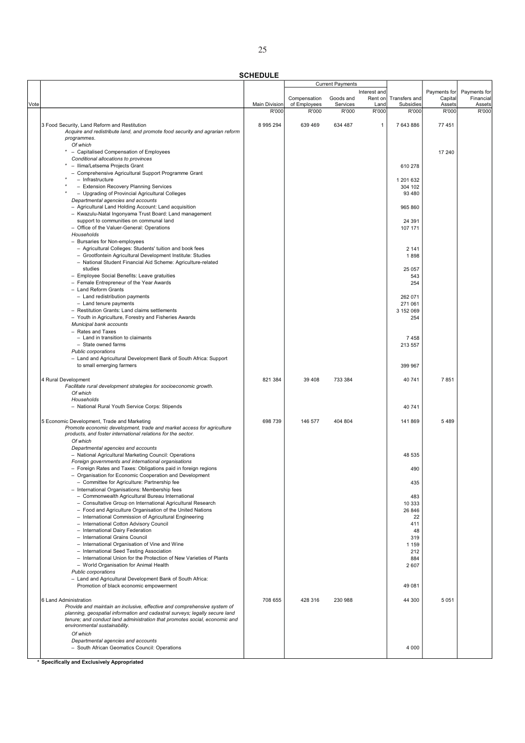SCHEDULE

|      |                                                                                                                     |                      |              | <b>Current Payments</b> |              |                |              |              |
|------|---------------------------------------------------------------------------------------------------------------------|----------------------|--------------|-------------------------|--------------|----------------|--------------|--------------|
|      |                                                                                                                     |                      |              |                         | Interest and |                | Payments for | Payments for |
|      |                                                                                                                     |                      | Compensation | Goods and               | Rent on      | Transfers and  | Capital      | Financial    |
| Vote |                                                                                                                     | <b>Main Division</b> | of Employees | Services                | Land         | Subsidies      | Assets       | Assets       |
|      |                                                                                                                     | R'000                | R'000        | R'000                   | R'000        | R'000          | R'000        | R'000        |
|      | 3 Food Security, Land Reform and Restitution                                                                        | 8 995 294            | 639 469      | 634 487                 | $\mathbf{1}$ | 7 643 886      | 77 451       |              |
|      | Acquire and redistribute land, and promote food security and agrarian reform                                        |                      |              |                         |              |                |              |              |
|      | programmes.                                                                                                         |                      |              |                         |              |                |              |              |
|      | Of which                                                                                                            |                      |              |                         |              |                |              |              |
|      | * - Capitalised Compensation of Employees                                                                           |                      |              |                         |              |                | 17 240       |              |
|      | Conditional allocations to provinces                                                                                |                      |              |                         |              |                |              |              |
|      | * - Ilima/Letsema Projects Grant                                                                                    |                      |              |                         |              | 610 278        |              |              |
|      | - Comprehensive Agricultural Support Programme Grant                                                                |                      |              |                         |              |                |              |              |
|      | - Infrastructure                                                                                                    |                      |              |                         |              | 1 201 632      |              |              |
|      | - Extension Recovery Planning Services                                                                              |                      |              |                         |              | 304 102        |              |              |
|      | - Upgrading of Provincial Agricultural Colleges                                                                     |                      |              |                         |              | 93 480         |              |              |
|      | Departmental agencies and accounts                                                                                  |                      |              |                         |              |                |              |              |
|      | - Agricultural Land Holding Account: Land acquisition                                                               |                      |              |                         |              | 965 860        |              |              |
|      | - Kwazulu-Natal Ingonyama Trust Board: Land management                                                              |                      |              |                         |              |                |              |              |
|      | support to communities on communal land                                                                             |                      |              |                         |              | 24 391         |              |              |
|      | - Office of the Valuer-General: Operations                                                                          |                      |              |                         |              | 107 171        |              |              |
|      | Households                                                                                                          |                      |              |                         |              |                |              |              |
|      | - Bursaries for Non-employees                                                                                       |                      |              |                         |              |                |              |              |
|      | - Agricultural Colleges: Students' tuition and book fees                                                            |                      |              |                         |              | 2 1 4 1        |              |              |
|      | - Grootfontein Agricultural Development Institute: Studies                                                          |                      |              |                         |              | 1898           |              |              |
|      | - National Student Financial Aid Scheme: Agriculture-related                                                        |                      |              |                         |              |                |              |              |
|      | studies                                                                                                             |                      |              |                         |              | 25 057         |              |              |
|      | - Employee Social Benefits: Leave gratuities                                                                        |                      |              |                         |              | 543            |              |              |
|      | - Female Entrepreneur of the Year Awards                                                                            |                      |              |                         |              | 254            |              |              |
|      | - Land Reform Grants                                                                                                |                      |              |                         |              |                |              |              |
|      | - Land redistribution payments                                                                                      |                      |              |                         |              | 262 071        |              |              |
|      | - Land tenure payments                                                                                              |                      |              |                         |              | 271 061        |              |              |
|      | - Restitution Grants: Land claims settlements                                                                       |                      |              |                         |              | 3 152 069      |              |              |
|      | - Youth in Agriculture, Forestry and Fisheries Awards                                                               |                      |              |                         |              | 254            |              |              |
|      | Municipal bank accounts                                                                                             |                      |              |                         |              |                |              |              |
|      | - Rates and Taxes                                                                                                   |                      |              |                         |              |                |              |              |
|      | - Land in transition to claimants<br>- State owned farms                                                            |                      |              |                         |              | 7458           |              |              |
|      | Public corporations                                                                                                 |                      |              |                         |              | 213 557        |              |              |
|      | - Land and Agricultural Development Bank of South Africa: Support                                                   |                      |              |                         |              |                |              |              |
|      | to small emerging farmers                                                                                           |                      |              |                         |              | 399 967        |              |              |
|      |                                                                                                                     |                      |              |                         |              |                |              |              |
|      | 4 Rural Development                                                                                                 | 821 384              | 39 408       | 733 384                 |              | 40 741         | 7851         |              |
|      | Facilitate rural development strategies for socioeconomic growth.                                                   |                      |              |                         |              |                |              |              |
|      | Of which                                                                                                            |                      |              |                         |              |                |              |              |
|      | Households                                                                                                          |                      |              |                         |              |                |              |              |
|      | - National Rural Youth Service Corps: Stipends                                                                      |                      |              |                         |              | 40 741         |              |              |
|      |                                                                                                                     |                      |              |                         |              |                |              |              |
|      | 5 Economic Development, Trade and Marketing                                                                         | 698 739              | 146 577      | 404 804                 |              | 141 869        | 5 4 8 9      |              |
|      | Promote economic development, trade and market access for agriculture                                               |                      |              |                         |              |                |              |              |
|      | products, and foster international relations for the sector.                                                        |                      |              |                         |              |                |              |              |
|      | Of which                                                                                                            |                      |              |                         |              |                |              |              |
|      | Departmental agencies and accounts                                                                                  |                      |              |                         |              |                |              |              |
|      | - National Agricultural Marketing Council: Operations                                                               |                      |              |                         |              | 48 535         |              |              |
|      | Foreign governments and international organisations                                                                 |                      |              |                         |              |                |              |              |
|      | - Foreign Rates and Taxes: Obligations paid in foreign regions                                                      |                      |              |                         |              | 490            |              |              |
|      | - Organisation for Economic Cooperation and Development                                                             |                      |              |                         |              |                |              |              |
|      | - Committee for Agriculture: Partnership fee                                                                        |                      |              |                         |              | 435            |              |              |
|      | - International Organisations: Membership fees                                                                      |                      |              |                         |              |                |              |              |
|      | - Commonwealth Agricultural Bureau International                                                                    |                      |              |                         |              | 483            |              |              |
|      | - Consultative Group on International Agricultural Research                                                         |                      |              |                         |              | 10 333         |              |              |
|      | - Food and Agriculture Organisation of the United Nations<br>- International Commission of Agricultural Engineering |                      |              |                         |              | 26 846         |              |              |
|      |                                                                                                                     |                      |              |                         |              | 22             |              |              |
|      | - International Cotton Advisory Council<br>- International Dairy Federation                                         |                      |              |                         |              | 411            |              |              |
|      | - International Grains Council                                                                                      |                      |              |                         |              | 48             |              |              |
|      | - International Organisation of Vine and Wine                                                                       |                      |              |                         |              | 319<br>1 1 5 9 |              |              |
|      | - International Seed Testing Association                                                                            |                      |              |                         |              | 212            |              |              |
|      | - International Union for the Protection of New Varieties of Plants                                                 |                      |              |                         |              | 884            |              |              |
|      | - World Organisation for Animal Health                                                                              |                      |              |                         |              | 2607           |              |              |
|      | Public corporations                                                                                                 |                      |              |                         |              |                |              |              |
|      | - Land and Agricultural Development Bank of South Africa:                                                           |                      |              |                         |              |                |              |              |
|      | Promotion of black economic empowerment                                                                             |                      |              |                         |              | 49 081         |              |              |
|      |                                                                                                                     |                      |              |                         |              |                |              |              |
|      | 6 Land Administration                                                                                               | 708 655              | 428 316      | 230 988                 |              | 44 300         | 5 0 5 1      |              |
|      | Provide and maintain an inclusive, effective and comprehensive system of                                            |                      |              |                         |              |                |              |              |
|      | planning, geospatial information and cadastral surveys; legally secure land                                         |                      |              |                         |              |                |              |              |
|      | tenure; and conduct land administration that promotes social, economic and                                          |                      |              |                         |              |                |              |              |
|      | environmental sustainability.                                                                                       |                      |              |                         |              |                |              |              |
|      | Of which                                                                                                            |                      |              |                         |              |                |              |              |
|      | Departmental agencies and accounts                                                                                  |                      |              |                         |              |                |              |              |
|      | - South African Geomatics Council: Operations                                                                       |                      |              |                         |              | 4 0 0 0        |              |              |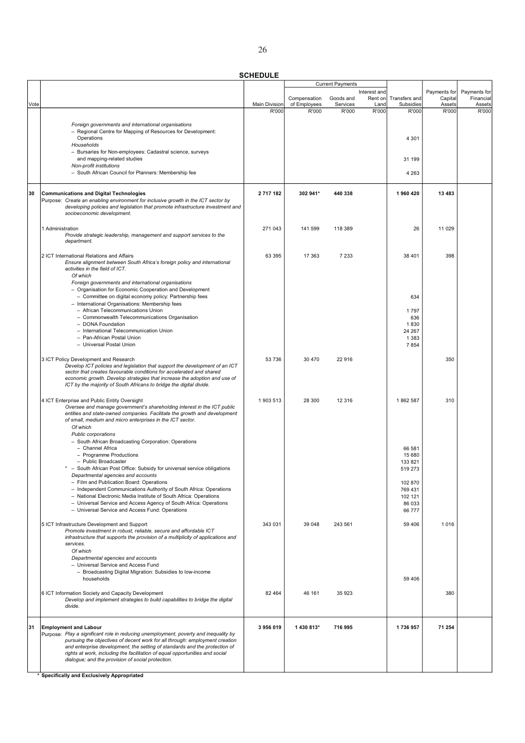SCHEDULE

|      |                                                                                      |                      |              | <b>Current Payments</b> |              |               |              |              |
|------|--------------------------------------------------------------------------------------|----------------------|--------------|-------------------------|--------------|---------------|--------------|--------------|
|      |                                                                                      |                      |              |                         | Interest and |               | Payments for | Payments for |
|      |                                                                                      |                      | Compensation | Goods and               | Rent on      | Transfers and | Capital      | Financial    |
| Vote |                                                                                      | <b>Main Division</b> | of Employees | Services                | Land         | Subsidies     | Assets       | Assets       |
|      |                                                                                      | R'000                | R'000        | R'000                   | R'000        | R'000         | R'000        | R'000        |
|      |                                                                                      |                      |              |                         |              |               |              |              |
|      | Foreign governments and international organisations                                  |                      |              |                         |              |               |              |              |
|      | - Regional Centre for Mapping of Resources for Development:                          |                      |              |                         |              |               |              |              |
|      | Operations                                                                           |                      |              |                         |              | 4 3 0 1       |              |              |
|      | Households                                                                           |                      |              |                         |              |               |              |              |
|      | - Bursaries for Non-employees: Cadastral science, surveys                            |                      |              |                         |              |               |              |              |
|      | and mapping-related studies                                                          |                      |              |                         |              | 31 199        |              |              |
|      | Non-profit institutions                                                              |                      |              |                         |              |               |              |              |
|      | - South African Council for Planners: Membership fee                                 |                      |              |                         |              | 4 2 6 3       |              |              |
|      |                                                                                      |                      |              |                         |              |               |              |              |
|      |                                                                                      |                      |              |                         |              |               |              |              |
| 30   | <b>Communications and Digital Technologies</b>                                       | 2717182              | 302 941*     | 440 338                 |              | 1960 420      | 13 483       |              |
|      | Purpose: Create an enabling environment for inclusive growth in the ICT sector by    |                      |              |                         |              |               |              |              |
|      | developing policies and legislation that promote infrastructure investment and       |                      |              |                         |              |               |              |              |
|      | socioeconomic development.                                                           |                      |              |                         |              |               |              |              |
|      |                                                                                      |                      |              |                         |              |               |              |              |
|      | 1 Administration                                                                     | 271 043              | 141 599      | 118 389                 |              | 26            | 11 0 29      |              |
|      | Provide strategic leadership, management and support services to the                 |                      |              |                         |              |               |              |              |
|      | department.                                                                          |                      |              |                         |              |               |              |              |
|      |                                                                                      |                      |              |                         |              |               |              |              |
|      | 2 ICT International Relations and Affairs                                            | 63 395               | 17 363       | 7 2 3 3                 |              | 38 401        | 398          |              |
|      | Ensure alignment between South Africa's foreign policy and international             |                      |              |                         |              |               |              |              |
|      | activities in the field of ICT.                                                      |                      |              |                         |              |               |              |              |
|      | Of which                                                                             |                      |              |                         |              |               |              |              |
|      | Foreign governments and international organisations                                  |                      |              |                         |              |               |              |              |
|      | - Organisation for Economic Cooperation and Development                              |                      |              |                         |              |               |              |              |
|      | - Committee on digital economy policy: Partnership fees                              |                      |              |                         |              | 634           |              |              |
|      | - International Organisations: Membership fees                                       |                      |              |                         |              |               |              |              |
|      | - African Telecommunications Union                                                   |                      |              |                         |              | 1797          |              |              |
|      | - Commonwealth Telecommunications Organisation                                       |                      |              |                         |              | 636           |              |              |
|      | - DONA Foundation                                                                    |                      |              |                         |              | 1830          |              |              |
|      | - International Telecommunication Union                                              |                      |              |                         |              | 24 267        |              |              |
|      | - Pan-African Postal Union                                                           |                      |              |                         |              | 1 3 8 3       |              |              |
|      | - Universal Postal Union                                                             |                      |              |                         |              | 7854          |              |              |
|      |                                                                                      |                      |              |                         |              |               |              |              |
|      | 3 ICT Policy Development and Research                                                | 53 736               | 30 470       | 22 916                  |              |               | 350          |              |
|      | Develop ICT policies and legislation that support the development of an ICT          |                      |              |                         |              |               |              |              |
|      | sector that creates favourable conditions for accelerated and shared                 |                      |              |                         |              |               |              |              |
|      | economic growth. Develop strategies that increase the adoption and use of            |                      |              |                         |              |               |              |              |
|      | ICT by the majority of South Africans to bridge the digital divide.                  |                      |              |                         |              |               |              |              |
|      |                                                                                      |                      |              |                         |              |               |              |              |
|      | 4 ICT Enterprise and Public Entity Oversight                                         | 1903513              | 28 300       | 12 3 16                 |              | 1862 587      | 310          |              |
|      | Oversee and manage government's shareholding interest in the ICT public              |                      |              |                         |              |               |              |              |
|      | entities and state-owned companies. Facilitate the growth and development            |                      |              |                         |              |               |              |              |
|      | of small, medium and micro enterprises in the ICT sector.                            |                      |              |                         |              |               |              |              |
|      | Of which                                                                             |                      |              |                         |              |               |              |              |
|      | Public corporations                                                                  |                      |              |                         |              |               |              |              |
|      | - South African Broadcasting Corporation: Operations                                 |                      |              |                         |              |               |              |              |
|      | - Channel Africa                                                                     |                      |              |                         |              | 66 581        |              |              |
|      | - Programme Productions                                                              |                      |              |                         |              | 15 680        |              |              |
|      | - Public Broadcaster                                                                 |                      |              |                         |              | 133 821       |              |              |
|      | - South African Post Office: Subsidy for universal service obligations               |                      |              |                         |              | 519 273       |              |              |
|      | Departmental agencies and accounts                                                   |                      |              |                         |              |               |              |              |
|      | - Film and Publication Board: Operations                                             |                      |              |                         |              | 102 870       |              |              |
|      | - Independent Communications Authority of South Africa: Operations                   |                      |              |                         |              | 769 431       |              |              |
|      | - National Electronic Media Institute of South Africa: Operations                    |                      |              |                         |              | 102 121       |              |              |
|      | - Universal Service and Access Agency of South Africa: Operations                    |                      |              |                         |              | 86 033        |              |              |
|      | - Universal Service and Access Fund: Operations                                      |                      |              |                         |              | 66 777        |              |              |
|      |                                                                                      |                      |              |                         |              |               |              |              |
|      | 5 ICT Infrastructure Development and Support                                         | 343 031              | 39 048       | 243 561                 |              | 59 40 6       | 1016         |              |
|      | Promote investment in robust, reliable, secure and affordable ICT                    |                      |              |                         |              |               |              |              |
|      | infrastructure that supports the provision of a multiplicity of applications and     |                      |              |                         |              |               |              |              |
|      | services.                                                                            |                      |              |                         |              |               |              |              |
|      | Of which                                                                             |                      |              |                         |              |               |              |              |
|      | Departmental agencies and accounts                                                   |                      |              |                         |              |               |              |              |
|      | - Universal Service and Access Fund                                                  |                      |              |                         |              |               |              |              |
|      | - Broadcasting Digital Migration: Subsidies to low-income                            |                      |              |                         |              |               |              |              |
|      | households                                                                           |                      |              |                         |              | 59 406        |              |              |
|      |                                                                                      |                      |              |                         |              |               |              |              |
|      | 6 ICT Information Society and Capacity Development                                   | 82 4 64              | 46 161       | 35 923                  |              |               | 380          |              |
|      | Develop and implement strategies to build capabilities to bridge the digital         |                      |              |                         |              |               |              |              |
|      | divide.                                                                              |                      |              |                         |              |               |              |              |
|      |                                                                                      |                      |              |                         |              |               |              |              |
|      |                                                                                      |                      |              |                         |              |               |              |              |
| 31   | <b>Employment and Labour</b>                                                         | 3956019              | 1 430 813*   | 716 995                 |              | 1736957       | 71 254       |              |
|      | Purpose: Play a significant role in reducing unemployment, poverty and inequality by |                      |              |                         |              |               |              |              |
|      | pursuing the objectives of decent work for all through: employment creation          |                      |              |                         |              |               |              |              |
|      | and enterprise development; the setting of standards and the protection of           |                      |              |                         |              |               |              |              |
|      | rights at work, including the facilitation of equal opportunities and social         |                      |              |                         |              |               |              |              |
|      | dialogue; and the provision of social protection.                                    |                      |              |                         |              |               |              |              |
|      |                                                                                      |                      |              |                         |              |               |              |              |
|      |                                                                                      |                      |              |                         |              |               |              |              |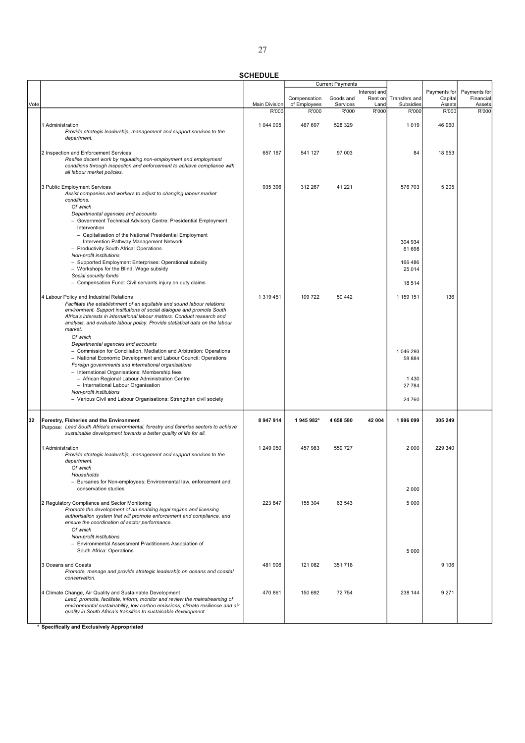|      |                                                                                                                                                              |                      |              | <b>Current Payments</b> |              |               |              |              |
|------|--------------------------------------------------------------------------------------------------------------------------------------------------------------|----------------------|--------------|-------------------------|--------------|---------------|--------------|--------------|
|      |                                                                                                                                                              |                      |              |                         | Interest and |               | Payments for | Payments for |
|      |                                                                                                                                                              |                      | Compensation | Goods and               | Rent on      | Transfers and | Capital      | Financial    |
| Vote |                                                                                                                                                              | <b>Main Division</b> | of Employees | Services                | Land         | Subsidies     | Assets       | Assets       |
|      |                                                                                                                                                              | R'000                | R'000        | R'000                   | R'000        | R'000         | R'000        | R'000        |
|      |                                                                                                                                                              |                      |              |                         |              |               |              |              |
|      | 1 Administration                                                                                                                                             | 1 044 005            | 467 697      | 528 329                 |              | 1019          | 46 960       |              |
|      | Provide strategic leadership, management and support services to the                                                                                         |                      |              |                         |              |               |              |              |
|      | department.                                                                                                                                                  |                      |              |                         |              |               |              |              |
|      |                                                                                                                                                              |                      |              |                         |              |               |              |              |
|      | 2 Inspection and Enforcement Services                                                                                                                        | 657 167              | 541 127      | 97 003                  |              | 84            | 18 953       |              |
|      | Realise decent work by regulating non-employment and employment                                                                                              |                      |              |                         |              |               |              |              |
|      | conditions through inspection and enforcement to achieve compliance with                                                                                     |                      |              |                         |              |               |              |              |
|      | all labour market policies.                                                                                                                                  |                      |              |                         |              |               |              |              |
|      |                                                                                                                                                              |                      |              |                         |              |               |              |              |
|      |                                                                                                                                                              |                      |              |                         |              |               |              |              |
|      | 3 Public Employment Services                                                                                                                                 | 935 396              | 312 267      | 41 221                  |              | 576 703       | 5 2 0 5      |              |
|      | Assist companies and workers to adjust to changing labour market                                                                                             |                      |              |                         |              |               |              |              |
|      | conditions.                                                                                                                                                  |                      |              |                         |              |               |              |              |
|      | Of which                                                                                                                                                     |                      |              |                         |              |               |              |              |
|      | Departmental agencies and accounts                                                                                                                           |                      |              |                         |              |               |              |              |
|      | - Government Technical Advisory Centre: Presidential Employment                                                                                              |                      |              |                         |              |               |              |              |
|      | Intervention                                                                                                                                                 |                      |              |                         |              |               |              |              |
|      | - Capitalisation of the National Presidential Employment                                                                                                     |                      |              |                         |              |               |              |              |
|      | Intervention Pathway Management Network                                                                                                                      |                      |              |                         |              | 304 934       |              |              |
|      | - Productivity South Africa: Operations                                                                                                                      |                      |              |                         |              | 61 698        |              |              |
|      | Non-profit institutions                                                                                                                                      |                      |              |                         |              |               |              |              |
|      | - Supported Employment Enterprises: Operational subsidy                                                                                                      |                      |              |                         |              | 166 486       |              |              |
|      | - Workshops for the Blind: Wage subsidy                                                                                                                      |                      |              |                         |              | 25 0 14       |              |              |
|      | Social security funds                                                                                                                                        |                      |              |                         |              |               |              |              |
|      | - Compensation Fund: Civil servants injury on duty claims                                                                                                    |                      |              |                         |              | 18 5 14       |              |              |
|      |                                                                                                                                                              |                      |              |                         |              |               |              |              |
|      | 4 Labour Policy and Industrial Relations                                                                                                                     | 1 319 451            | 109 722      | 50 442                  |              | 1 159 151     | 136          |              |
|      | Facilitate the establishment of an equitable and sound labour relations                                                                                      |                      |              |                         |              |               |              |              |
|      | environment. Support institutions of social dialogue and promote South                                                                                       |                      |              |                         |              |               |              |              |
|      | Africa's interests in international labour matters. Conduct research and                                                                                     |                      |              |                         |              |               |              |              |
|      | analysis, and evaluate labour policy. Provide statistical data on the labour                                                                                 |                      |              |                         |              |               |              |              |
|      | market.                                                                                                                                                      |                      |              |                         |              |               |              |              |
|      | Of which                                                                                                                                                     |                      |              |                         |              |               |              |              |
|      | Departmental agencies and accounts                                                                                                                           |                      |              |                         |              |               |              |              |
|      | - Commission for Conciliation, Mediation and Arbitration: Operations                                                                                         |                      |              |                         |              |               |              |              |
|      |                                                                                                                                                              |                      |              |                         |              | 1 046 293     |              |              |
|      | - National Economic Development and Labour Council: Operations                                                                                               |                      |              |                         |              | 58 884        |              |              |
|      | Foreign governments and international organisations                                                                                                          |                      |              |                         |              |               |              |              |
|      | - International Organisations: Membership fees                                                                                                               |                      |              |                         |              |               |              |              |
|      | - African Regional Labour Administration Centre                                                                                                              |                      |              |                         |              | 1430          |              |              |
|      | - International Labour Organisation                                                                                                                          |                      |              |                         |              | 27 784        |              |              |
|      | Non-profit institutions                                                                                                                                      |                      |              |                         |              |               |              |              |
|      | - Various Civil and Labour Organisations: Strengthen civil society                                                                                           |                      |              |                         |              | 24 760        |              |              |
|      |                                                                                                                                                              |                      |              |                         |              |               |              |              |
|      |                                                                                                                                                              |                      |              |                         |              |               |              |              |
| 32   | Forestry, Fisheries and the Environment                                                                                                                      | 8 947 914            | 1 945 982*   | 4 658 580               | 42 004       | 1996099       | 305 249      |              |
|      | Purpose: Lead South Africa's environmental, forestry and fisheries sectors to achieve                                                                        |                      |              |                         |              |               |              |              |
|      | sustainable development towards a better quality of life for all.                                                                                            |                      |              |                         |              |               |              |              |
|      |                                                                                                                                                              |                      |              |                         |              |               |              |              |
|      | 1 Administration                                                                                                                                             | 1 249 050            | 457 983      | 559727                  |              | 2 0 0 0       | 229 340      |              |
|      | Provide strategic leadership, management and support services to the                                                                                         |                      |              |                         |              |               |              |              |
|      | department.                                                                                                                                                  |                      |              |                         |              |               |              |              |
|      | Of which                                                                                                                                                     |                      |              |                         |              |               |              |              |
|      | Households                                                                                                                                                   |                      |              |                         |              |               |              |              |
|      | - Bursaries for Non-employees: Environmental law, enforcement and                                                                                            |                      |              |                         |              |               |              |              |
|      | conservation studies                                                                                                                                         |                      |              |                         |              | 2 0 0 0       |              |              |
|      |                                                                                                                                                              |                      |              |                         |              |               |              |              |
|      | 2 Regulatory Compliance and Sector Monitoring                                                                                                                | 223 847              | 155 304      | 63 543                  |              | 5 0 0 0       |              |              |
|      | Promote the development of an enabling legal regime and licensing                                                                                            |                      |              |                         |              |               |              |              |
|      | authorisation system that will promote enforcement and compliance, and                                                                                       |                      |              |                         |              |               |              |              |
|      | ensure the coordination of sector performance.                                                                                                               |                      |              |                         |              |               |              |              |
|      | Of which                                                                                                                                                     |                      |              |                         |              |               |              |              |
|      | Non-profit institutions                                                                                                                                      |                      |              |                         |              |               |              |              |
|      | - Environmental Assessment Practitioners Association of                                                                                                      |                      |              |                         |              |               |              |              |
|      | South Africa: Operations                                                                                                                                     |                      |              |                         |              | 5 0 0 0       |              |              |
|      |                                                                                                                                                              |                      |              |                         |              |               |              |              |
|      | 3 Oceans and Coasts                                                                                                                                          | 481 906              | 121 082      | 351718                  |              |               | 9 1 0 6      |              |
|      | Promote, manage and provide strategic leadership on oceans and coastal                                                                                       |                      |              |                         |              |               |              |              |
|      | conservation.                                                                                                                                                |                      |              |                         |              |               |              |              |
|      |                                                                                                                                                              |                      |              |                         |              |               |              |              |
|      |                                                                                                                                                              | 470 861              | 150 692      | 72 754                  |              | 238 144       | 9 2 7 1      |              |
|      | 4 Climate Change, Air Quality and Sustainable Development                                                                                                    |                      |              |                         |              |               |              |              |
|      | Lead, promote, facilitate, inform, monitor and review the mainstreaming of<br>environmental sustainability, low carbon emissions, climate resilience and air |                      |              |                         |              |               |              |              |
|      | quality in South Africa's transition to sustainable development.                                                                                             |                      |              |                         |              |               |              |              |
|      |                                                                                                                                                              |                      |              |                         |              |               |              |              |
|      |                                                                                                                                                              |                      |              |                         |              |               |              |              |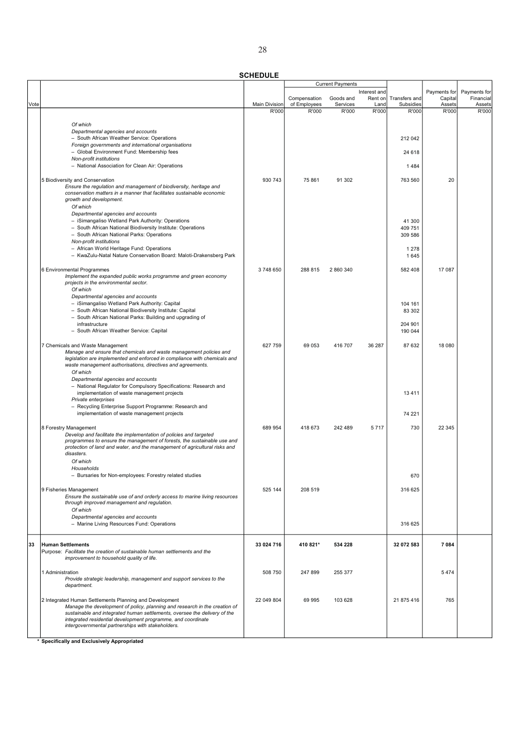|      |                                                                                                                                                         |                               |                       | <b>Current Payments</b> |               |                    |                 |                     |
|------|---------------------------------------------------------------------------------------------------------------------------------------------------------|-------------------------------|-----------------------|-------------------------|---------------|--------------------|-----------------|---------------------|
|      |                                                                                                                                                         |                               |                       |                         | Interest and  |                    | Payments for    | Payments for        |
|      |                                                                                                                                                         |                               | Compensation          | Goods and               | Rent on       | Transfers and      | Capital         | Financial<br>Assets |
| Vote |                                                                                                                                                         | <b>Main Division</b><br>R'000 | of Employees<br>R'000 | Services<br>R'000       | Land<br>R'000 | Subsidies<br>R'000 | Assets<br>R'000 | R'000               |
|      |                                                                                                                                                         |                               |                       |                         |               |                    |                 |                     |
|      | Of which                                                                                                                                                |                               |                       |                         |               |                    |                 |                     |
|      | Departmental agencies and accounts                                                                                                                      |                               |                       |                         |               |                    |                 |                     |
|      | - South African Weather Service: Operations                                                                                                             |                               |                       |                         |               | 212 042            |                 |                     |
|      | Foreign governments and international organisations                                                                                                     |                               |                       |                         |               |                    |                 |                     |
|      | - Global Environment Fund: Membership fees<br>Non-profit institutions                                                                                   |                               |                       |                         |               | 24 618             |                 |                     |
|      | - National Association for Clean Air: Operations                                                                                                        |                               |                       |                         |               | 1484               |                 |                     |
|      |                                                                                                                                                         |                               |                       |                         |               |                    |                 |                     |
|      | 5 Biodiversity and Conservation                                                                                                                         | 930 743                       | 75 861                | 91 302                  |               | 763 560            | 20              |                     |
|      | Ensure the regulation and management of biodiversity, heritage and                                                                                      |                               |                       |                         |               |                    |                 |                     |
|      | conservation matters in a manner that facilitates sustainable economic                                                                                  |                               |                       |                         |               |                    |                 |                     |
|      | growth and development.                                                                                                                                 |                               |                       |                         |               |                    |                 |                     |
|      | Of which<br>Departmental agencies and accounts                                                                                                          |                               |                       |                         |               |                    |                 |                     |
|      | - iSimangaliso Wetland Park Authority: Operations                                                                                                       |                               |                       |                         |               | 41 300             |                 |                     |
|      | - South African National Biodiversity Institute: Operations                                                                                             |                               |                       |                         |               | 409 751            |                 |                     |
|      | - South African National Parks: Operations                                                                                                              |                               |                       |                         |               | 309 586            |                 |                     |
|      | Non-profit institutions                                                                                                                                 |                               |                       |                         |               |                    |                 |                     |
|      | - African World Heritage Fund: Operations                                                                                                               |                               |                       |                         |               | 1 2 7 8            |                 |                     |
|      | - KwaZulu-Natal Nature Conservation Board: Maloti-Drakensberg Park                                                                                      |                               |                       |                         |               | 1645               |                 |                     |
|      | 6 Environmental Programmes                                                                                                                              | 3748650                       | 288 815               | 2 860 340               |               | 582 408            | 17 087          |                     |
|      | Implement the expanded public works programme and green economy                                                                                         |                               |                       |                         |               |                    |                 |                     |
|      | projects in the environmental sector.                                                                                                                   |                               |                       |                         |               |                    |                 |                     |
|      | Of which                                                                                                                                                |                               |                       |                         |               |                    |                 |                     |
|      | Departmental agencies and accounts                                                                                                                      |                               |                       |                         |               |                    |                 |                     |
|      | - iSimangaliso Wetland Park Authority: Capital                                                                                                          |                               |                       |                         |               | 104 161            |                 |                     |
|      | - South African National Biodiversity Institute: Capital<br>- South African National Parks: Building and upgrading of                                   |                               |                       |                         |               | 83 302             |                 |                     |
|      | infrastructure                                                                                                                                          |                               |                       |                         |               | 204 901            |                 |                     |
|      | - South African Weather Service: Capital                                                                                                                |                               |                       |                         |               | 190 044            |                 |                     |
|      |                                                                                                                                                         |                               |                       |                         |               |                    |                 |                     |
|      | 7 Chemicals and Waste Management                                                                                                                        | 627 759                       | 69 053                | 416 707                 | 36 287        | 87 632             | 18 0 8 0        |                     |
|      | Manage and ensure that chemicals and waste management policies and                                                                                      |                               |                       |                         |               |                    |                 |                     |
|      | legislation are implemented and enforced in compliance with chemicals and<br>waste management authorisations, directives and agreements.                |                               |                       |                         |               |                    |                 |                     |
|      | Of which                                                                                                                                                |                               |                       |                         |               |                    |                 |                     |
|      | Departmental agencies and accounts                                                                                                                      |                               |                       |                         |               |                    |                 |                     |
|      | - National Regulator for Compulsory Specifications: Research and                                                                                        |                               |                       |                         |               |                    |                 |                     |
|      | implementation of waste management projects                                                                                                             |                               |                       |                         |               | 13 4 11            |                 |                     |
|      | Private enterprises                                                                                                                                     |                               |                       |                         |               |                    |                 |                     |
|      | - Recycling Enterprise Support Programme: Research and<br>implementation of waste management projects                                                   |                               |                       |                         |               |                    |                 |                     |
|      |                                                                                                                                                         |                               |                       |                         |               | 74 221             |                 |                     |
|      | 8 Forestry Management                                                                                                                                   | 689 954                       | 418 673               | 242 489                 | 5717          | 730                | 22 345          |                     |
|      | Develop and facilitate the implementation of policies and targeted                                                                                      |                               |                       |                         |               |                    |                 |                     |
|      | programmes to ensure the management of forests, the sustainable use and                                                                                 |                               |                       |                         |               |                    |                 |                     |
|      | protection of land and water, and the management of agricultural risks and<br>disasters.                                                                |                               |                       |                         |               |                    |                 |                     |
|      | Of which                                                                                                                                                |                               |                       |                         |               |                    |                 |                     |
|      | Households                                                                                                                                              |                               |                       |                         |               |                    |                 |                     |
|      | Bursaries for Non-employees: Forestry related studies                                                                                                   |                               |                       |                         |               | 670                |                 |                     |
|      |                                                                                                                                                         |                               |                       |                         |               |                    |                 |                     |
|      | 9 Fisheries Management                                                                                                                                  | 525 144                       | 208 519               |                         |               | 316 625            |                 |                     |
|      | Ensure the sustainable use of and orderly access to marine living resources                                                                             |                               |                       |                         |               |                    |                 |                     |
|      | through improved management and regulation.<br>Of which                                                                                                 |                               |                       |                         |               |                    |                 |                     |
|      | Departmental agencies and accounts                                                                                                                      |                               |                       |                         |               |                    |                 |                     |
|      | - Marine Living Resources Fund: Operations                                                                                                              |                               |                       |                         |               | 316 625            |                 |                     |
|      |                                                                                                                                                         |                               |                       |                         |               |                    |                 |                     |
|      |                                                                                                                                                         |                               |                       |                         |               |                    |                 |                     |
| 33   | <b>Human Settlements</b>                                                                                                                                | 33 024 716                    | 410 821*              | 534 228                 |               | 32 072 583         | 7 0 8 4         |                     |
|      | Purpose: Facilitate the creation of sustainable human settlements and the<br>improvement to household quality of life.                                  |                               |                       |                         |               |                    |                 |                     |
|      |                                                                                                                                                         |                               |                       |                         |               |                    |                 |                     |
|      | 1 Administration                                                                                                                                        | 508 750                       | 247 899               | 255 377                 |               |                    | 5474            |                     |
|      | Provide strategic leadership, management and support services to the                                                                                    |                               |                       |                         |               |                    |                 |                     |
|      | department.                                                                                                                                             |                               |                       |                         |               |                    |                 |                     |
|      |                                                                                                                                                         |                               |                       |                         |               |                    |                 |                     |
|      | 2 Integrated Human Settlements Planning and Development                                                                                                 | 22 049 804                    | 69 995                | 103 628                 |               | 21 875 416         | 765             |                     |
|      | Manage the development of policy, planning and research in the creation of<br>sustainable and integrated human settlements, oversee the delivery of the |                               |                       |                         |               |                    |                 |                     |
|      | integrated residential development programme, and coordinate                                                                                            |                               |                       |                         |               |                    |                 |                     |
|      | intergovernmental partnerships with stakeholders.                                                                                                       |                               |                       |                         |               |                    |                 |                     |
|      |                                                                                                                                                         |                               |                       |                         |               |                    |                 |                     |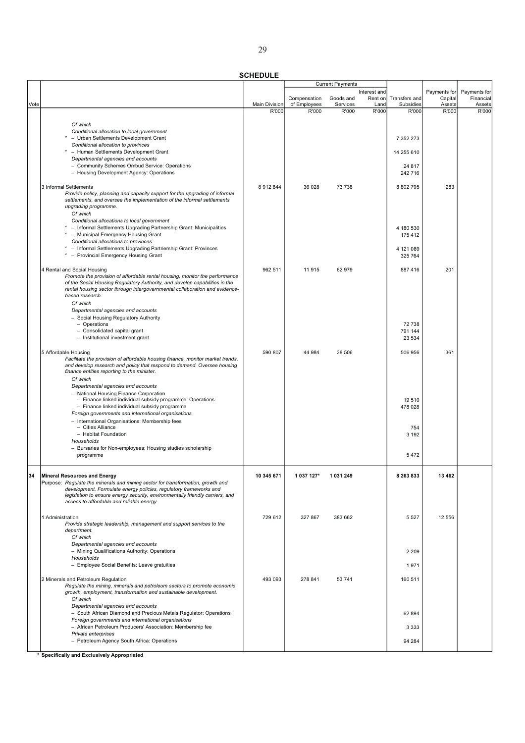|      |                                                                                                                                                                                                                                                                                                                           |                      |              | <b>Current Payments</b> |                         |                   |                         |                           |
|------|---------------------------------------------------------------------------------------------------------------------------------------------------------------------------------------------------------------------------------------------------------------------------------------------------------------------------|----------------------|--------------|-------------------------|-------------------------|-------------------|-------------------------|---------------------------|
|      |                                                                                                                                                                                                                                                                                                                           |                      | Compensation | Goods and               | Interest and<br>Rent on | Transfers and     | Payments for<br>Capital | Payments for<br>Financial |
| Vote |                                                                                                                                                                                                                                                                                                                           | <b>Main Division</b> | of Employees | Services                | Land                    | Subsidies         | Assets                  | Assets                    |
|      |                                                                                                                                                                                                                                                                                                                           | R'000                | R'000        | R'000                   | R'000                   | R'000             | R'000                   | R'000                     |
|      | Of which                                                                                                                                                                                                                                                                                                                  |                      |              |                         |                         |                   |                         |                           |
|      | Conditional allocation to local government                                                                                                                                                                                                                                                                                |                      |              |                         |                         |                   |                         |                           |
|      | - Urban Settlements Development Grant<br>Conditional allocation to provinces                                                                                                                                                                                                                                              |                      |              |                         |                         | 7 352 273         |                         |                           |
|      | - Human Settlements Development Grant                                                                                                                                                                                                                                                                                     |                      |              |                         |                         | 14 255 610        |                         |                           |
|      | Departmental agencies and accounts                                                                                                                                                                                                                                                                                        |                      |              |                         |                         |                   |                         |                           |
|      | - Community Schemes Ombud Service: Operations<br>- Housing Development Agency: Operations                                                                                                                                                                                                                                 |                      |              |                         |                         | 24 817<br>242 716 |                         |                           |
|      |                                                                                                                                                                                                                                                                                                                           |                      |              |                         |                         |                   |                         |                           |
|      | 3 Informal Settlements<br>Provide policy, planning and capacity support for the upgrading of informal<br>settlements, and oversee the implementation of the informal settlements<br>upgrading programme.<br>Of which                                                                                                      | 8 9 1 2 8 4 4        | 36 028       | 73 738                  |                         | 8 802 795         | 283                     |                           |
|      | Conditional allocations to local government                                                                                                                                                                                                                                                                               |                      |              |                         |                         |                   |                         |                           |
|      | - Informal Settlements Upgrading Partnership Grant: Municipalities                                                                                                                                                                                                                                                        |                      |              |                         |                         | 4 180 530         |                         |                           |
|      | - Municipal Emergency Housing Grant<br>Conditional allocations to provinces                                                                                                                                                                                                                                               |                      |              |                         |                         | 175 412           |                         |                           |
|      | - Informal Settlements Upgrading Partnership Grant: Provinces                                                                                                                                                                                                                                                             |                      |              |                         |                         | 4 121 089         |                         |                           |
|      | - Provincial Emergency Housing Grant                                                                                                                                                                                                                                                                                      |                      |              |                         |                         | 325 764           |                         |                           |
|      | 4 Rental and Social Housing<br>Promote the provision of affordable rental housing, monitor the performance<br>of the Social Housing Regulatory Authority, and develop capabilities in the<br>rental housing sector through intergovernmental collaboration and evidence-                                                  | 962 511              | 11915        | 62 979                  |                         | 887 416           | 201                     |                           |
|      | based research.<br>Of which                                                                                                                                                                                                                                                                                               |                      |              |                         |                         |                   |                         |                           |
|      | Departmental agencies and accounts                                                                                                                                                                                                                                                                                        |                      |              |                         |                         |                   |                         |                           |
|      | - Social Housing Regulatory Authority                                                                                                                                                                                                                                                                                     |                      |              |                         |                         |                   |                         |                           |
|      | - Operations<br>- Consolidated capital grant                                                                                                                                                                                                                                                                              |                      |              |                         |                         | 72 738<br>791 144 |                         |                           |
|      | - Institutional investment grant                                                                                                                                                                                                                                                                                          |                      |              |                         |                         | 23 5 34           |                         |                           |
|      | 5 Affordable Housing                                                                                                                                                                                                                                                                                                      | 590 807              | 44 984       | 38 506                  |                         | 506 956           | 361                     |                           |
|      | Facilitate the provision of affordable housing finance, monitor market trends,<br>and develop research and policy that respond to demand. Oversee housing<br>finance entities reporting to the minister.<br>Of which                                                                                                      |                      |              |                         |                         |                   |                         |                           |
|      | Departmental agencies and accounts<br>- National Housing Finance Corporation<br>- Finance linked individual subsidy programme: Operations<br>- Finance linked individual subsidy programme<br>Foreign governments and international organisations                                                                         |                      |              |                         |                         | 19510<br>478 028  |                         |                           |
|      | - International Organisations: Membership fees<br>- Cities Alliance                                                                                                                                                                                                                                                       |                      |              |                         |                         | 754               |                         |                           |
|      | - Habitat Foundation                                                                                                                                                                                                                                                                                                      |                      |              |                         |                         | 3 1 9 2           |                         |                           |
|      | Households                                                                                                                                                                                                                                                                                                                |                      |              |                         |                         |                   |                         |                           |
|      | - Bursaries for Non-employees: Housing studies scholarship<br>programme                                                                                                                                                                                                                                                   |                      |              |                         |                         | 5472              |                         |                           |
|      |                                                                                                                                                                                                                                                                                                                           |                      |              |                         |                         |                   |                         |                           |
|      | <b>Mineral Resources and Energy</b><br>Purpose: Regulate the minerals and mining sector for transformation, growth and<br>development. Formulate energy policies, regulatory frameworks and<br>legislation to ensure energy security, environmentally friendly carriers, and<br>access to affordable and reliable energy. | 10 345 671           | 1 037 127*   | 1 031 249               |                         | 8 263 833         | 13 4 62                 |                           |
|      |                                                                                                                                                                                                                                                                                                                           |                      |              |                         |                         |                   |                         |                           |
|      | 1 Administration<br>Provide strategic leadership, management and support services to the<br>department.<br>Of which                                                                                                                                                                                                       | 729 612              | 327 867      | 383 662                 |                         | 5 5 2 7           | 12 556                  |                           |
|      | Departmental agencies and accounts                                                                                                                                                                                                                                                                                        |                      |              |                         |                         |                   |                         |                           |
|      | - Mining Qualifications Authority: Operations                                                                                                                                                                                                                                                                             |                      |              |                         |                         | 2 2 0 9           |                         |                           |
|      | Households<br>- Employee Social Benefits: Leave gratuities                                                                                                                                                                                                                                                                |                      |              |                         |                         | 1971              |                         |                           |
|      |                                                                                                                                                                                                                                                                                                                           |                      |              |                         |                         |                   |                         |                           |
|      | 2 Minerals and Petroleum Regulation<br>Regulate the mining, minerals and petroleum sectors to promote economic<br>growth, employment, transformation and sustainable development.<br>Of which                                                                                                                             | 493 093              | 278 841      | 53 741                  |                         | 160 511           |                         |                           |
|      | Departmental agencies and accounts                                                                                                                                                                                                                                                                                        |                      |              |                         |                         |                   |                         |                           |
|      | - South African Diamond and Precious Metals Regulator: Operations<br>Foreign governments and international organisations                                                                                                                                                                                                  |                      |              |                         |                         | 62 894            |                         |                           |
|      | - African Petroleum Producers' Association: Membership fee                                                                                                                                                                                                                                                                |                      |              |                         |                         | 3 3 3 3           |                         |                           |
|      | Private enterprises<br>- Petroleum Agency South Africa: Operations                                                                                                                                                                                                                                                        |                      |              |                         |                         | 94 284            |                         |                           |
|      |                                                                                                                                                                                                                                                                                                                           |                      |              |                         |                         |                   |                         |                           |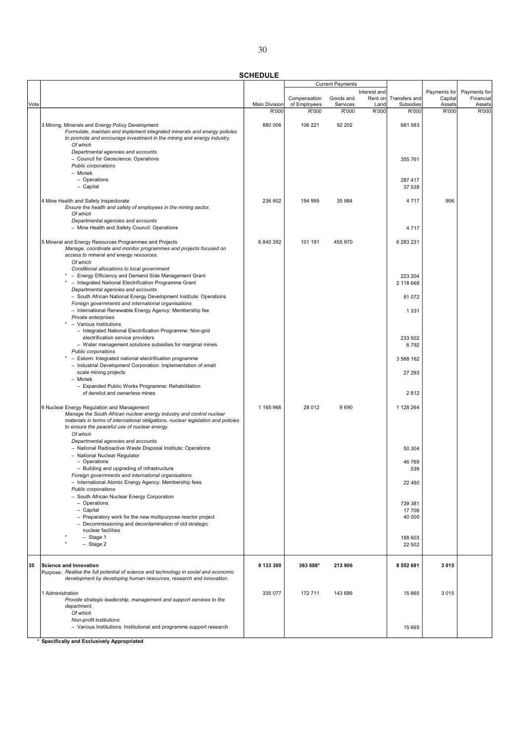SCHEDULE

|      |                                                                                                                               |               |              | <b>Current Payments</b> |              |               |              |              |
|------|-------------------------------------------------------------------------------------------------------------------------------|---------------|--------------|-------------------------|--------------|---------------|--------------|--------------|
|      |                                                                                                                               |               |              |                         | Interest and |               | Payments for | Payments for |
|      |                                                                                                                               |               | Compensation | Goods and               | Rent on      | Transfers and | Capital      | Financial    |
| Vote |                                                                                                                               | Main Division | of Employees | Services                | Land         | Subsidies     | Assets       | Assets       |
|      |                                                                                                                               | R'000         | R'000        | R'000                   | R'000        | R'000         | R'000        | R'000        |
|      |                                                                                                                               | 880 006       | 106 221      | 92 202                  |              | 681 583       |              |              |
|      | 3 Mining, Minerals and Energy Policy Development<br>Formulate, maintain and implement integrated minerals and energy policies |               |              |                         |              |               |              |              |
|      | to promote and encourage investment in the mining and energy industry.                                                        |               |              |                         |              |               |              |              |
|      | Of which                                                                                                                      |               |              |                         |              |               |              |              |
|      | Departmental agencies and accounts                                                                                            |               |              |                         |              |               |              |              |
|      | - Council for Geoscience: Operations                                                                                          |               |              |                         |              | 355 761       |              |              |
|      | Public corporations                                                                                                           |               |              |                         |              |               |              |              |
|      | - Mintek                                                                                                                      |               |              |                         |              |               |              |              |
|      | - Operations                                                                                                                  |               |              |                         |              | 287 417       |              |              |
|      | - Capital                                                                                                                     |               |              |                         |              | 37 538        |              |              |
|      |                                                                                                                               |               |              |                         |              |               |              |              |
|      | 4 Mine Health and Safety Inspectorate                                                                                         | 236 602       | 194 995      | 35 984                  |              | 4717          | 906          |              |
|      | Ensure the health and safety of employees in the mining sector.                                                               |               |              |                         |              |               |              |              |
|      | Of which                                                                                                                      |               |              |                         |              |               |              |              |
|      | Departmental agencies and accounts                                                                                            |               |              |                         |              |               |              |              |
|      | - Mine Health and Safety Council: Operations                                                                                  |               |              |                         |              | 4717          |              |              |
|      |                                                                                                                               |               |              |                         |              |               |              |              |
|      | 5 Mineral and Energy Resources Programmes and Projects                                                                        | 6 840 392     | 101 191      | 455 970                 |              | 6 283 231     |              |              |
|      | Manage, coordinate and monitor programmes and projects focused on                                                             |               |              |                         |              |               |              |              |
|      | access to mineral and energy resources.                                                                                       |               |              |                         |              |               |              |              |
|      | Of which                                                                                                                      |               |              |                         |              |               |              |              |
|      | Conditional allocations to local government                                                                                   |               |              |                         |              |               |              |              |
|      | - Energy Efficiency and Demand Side Management Grant                                                                          |               |              |                         |              | 223 204       |              |              |
|      | - Integrated National Electrification Programme Grant                                                                         |               |              |                         |              | 2 118 668     |              |              |
|      | Departmental agencies and accounts                                                                                            |               |              |                         |              |               |              |              |
|      | - South African National Energy Development Institute: Operations                                                             |               |              |                         |              | 81 072        |              |              |
|      | Foreign governments and international organisations                                                                           |               |              |                         |              |               |              |              |
|      | - International Renewable Energy Agency: Membership fee                                                                       |               |              |                         |              | 1 3 3 1       |              |              |
|      | Private enterprises                                                                                                           |               |              |                         |              |               |              |              |
|      | - Various Institutions                                                                                                        |               |              |                         |              |               |              |              |
|      | - Integrated National Electrification Programme: Non-grid                                                                     |               |              |                         |              |               |              |              |
|      | electrification service providers                                                                                             |               |              |                         |              | 233 502       |              |              |
|      | - Water management solutions subsidies for marginal mines                                                                     |               |              |                         |              | 6792          |              |              |
|      | Public corporations                                                                                                           |               |              |                         |              |               |              |              |
|      | * - Eskom: Integrated national electrification programme                                                                      |               |              |                         |              | 3 588 162     |              |              |
|      | - Industrial Development Corporation: Implementation of small                                                                 |               |              |                         |              |               |              |              |
|      | scale mining projects                                                                                                         |               |              |                         |              | 27 293        |              |              |
|      | - Mintek                                                                                                                      |               |              |                         |              |               |              |              |
|      | - Expanded Public Works Programme: Rehabilitation                                                                             |               |              |                         |              |               |              |              |
|      | of derelict and ownerless mines                                                                                               |               |              |                         |              | 2812          |              |              |
|      |                                                                                                                               |               |              |                         |              |               |              |              |
|      | 6 Nuclear Energy Regulation and Management                                                                                    | 1 165 966     | 28 012       | 9690                    |              | 1 128 264     |              |              |
|      | Manage the South African nuclear energy industry and control nuclear                                                          |               |              |                         |              |               |              |              |
|      | materials in terms of international obligations, nuclear legislation and policies                                             |               |              |                         |              |               |              |              |
|      | to ensure the peaceful use of nuclear energy.                                                                                 |               |              |                         |              |               |              |              |
|      | Of which                                                                                                                      |               |              |                         |              |               |              |              |
|      | Departmental agencies and accounts                                                                                            |               |              |                         |              |               |              |              |
|      | - National Radioactive Waste Disposal Institute: Operations                                                                   |               |              |                         |              | 50 304        |              |              |
|      | - National Nuclear Regulator                                                                                                  |               |              |                         |              |               |              |              |
|      | - Operations                                                                                                                  |               |              |                         |              | 46 769        |              |              |
|      | - Building and upgrading of infrastructure                                                                                    |               |              |                         |              | 539           |              |              |
|      | Foreign governments and international organisations                                                                           |               |              |                         |              |               |              |              |
|      | - International Atomic Energy Agency: Membership fees                                                                         |               |              |                         |              | 22 460        |              |              |
|      | Public corporations                                                                                                           |               |              |                         |              |               |              |              |
|      | - South African Nuclear Energy Corporation                                                                                    |               |              |                         |              |               |              |              |
|      | - Operations                                                                                                                  |               |              |                         |              | 739 381       |              |              |
|      | - Capital                                                                                                                     |               |              |                         |              | 17 706        |              |              |
|      | - Preparatory work for the new multipurpose reactor project                                                                   |               |              |                         |              | 40 000        |              |              |
|      | - Decommissioning and decontamination of old strategic                                                                        |               |              |                         |              |               |              |              |
|      | nuclear facilities                                                                                                            |               |              |                         |              |               |              |              |
|      | $-$ Stage 1                                                                                                                   |               |              |                         |              | 188 603       |              |              |
|      | - Stage 2                                                                                                                     |               |              |                         |              | 22 502        |              |              |
|      |                                                                                                                               |               |              |                         |              |               |              |              |
|      |                                                                                                                               |               |              |                         |              |               |              |              |
| 35   | <b>Science and Innovation</b>                                                                                                 | 9 133 300     | 363 688*     | 213 906                 |              | 8 5 5 2 6 9 1 | 3015         |              |
|      | Purpose: Realise the full potential of science and technology in social and economic                                          |               |              |                         |              |               |              |              |
|      | development by developing human resources, research and innovation.                                                           |               |              |                         |              |               |              |              |
|      |                                                                                                                               |               |              |                         |              |               |              |              |
|      | 1 Administration                                                                                                              | 335 077       | 172 711      | 143 686                 |              | 15 665        | 3015         |              |
|      | Provide strategic leadership, management and support services to the                                                          |               |              |                         |              |               |              |              |
|      | department.                                                                                                                   |               |              |                         |              |               |              |              |
|      | Of which                                                                                                                      |               |              |                         |              |               |              |              |
|      | Non-profit institutions                                                                                                       |               |              |                         |              |               |              |              |
|      | - Various Institutions: Institutional and programme support research                                                          |               |              |                         |              | 15 665        |              |              |
|      |                                                                                                                               |               |              |                         |              |               |              |              |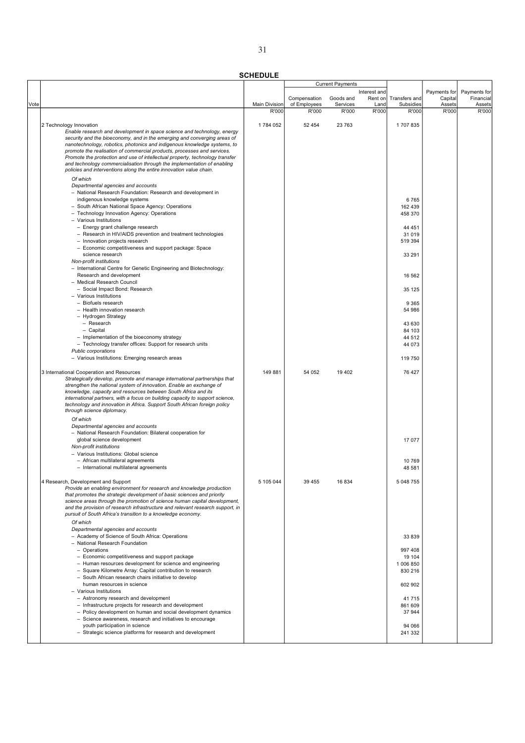| ٠<br>o.          |  |
|------------------|--|
| I<br>٧<br>×<br>v |  |

|      |                                                                                                                                                     |                               |                       | <b>Current Payments</b> |               |                    |                 |                 |
|------|-----------------------------------------------------------------------------------------------------------------------------------------------------|-------------------------------|-----------------------|-------------------------|---------------|--------------------|-----------------|-----------------|
|      |                                                                                                                                                     |                               |                       |                         | Interest and  |                    | Payments for    | Payments for    |
|      |                                                                                                                                                     |                               | Compensation          | Goods and               | Rent on       | Transfers and      | Capital         | Financial       |
| Vote |                                                                                                                                                     | <b>Main Division</b><br>R'000 | of Employees<br>R'000 | Services<br>R'000       | Land<br>R'000 | Subsidies<br>R'000 | Assets<br>R'000 | Assets<br>R'000 |
|      |                                                                                                                                                     |                               |                       |                         |               |                    |                 |                 |
|      | 2 Technology Innovation                                                                                                                             | 1784 052                      | 52 4 54               | 23 763                  |               | 1707835            |                 |                 |
|      | Enable research and development in space science and technology, energy                                                                             |                               |                       |                         |               |                    |                 |                 |
|      | security and the bioeconomy, and in the emerging and converging areas of                                                                            |                               |                       |                         |               |                    |                 |                 |
|      | nanotechnology, robotics, photonics and indigenous knowledge systems, to                                                                            |                               |                       |                         |               |                    |                 |                 |
|      | promote the realisation of commercial products, processes and services.                                                                             |                               |                       |                         |               |                    |                 |                 |
|      | Promote the protection and use of intellectual property, technology transfer                                                                        |                               |                       |                         |               |                    |                 |                 |
|      | and technology commercialisation through the implementation of enabling<br>policies and interventions along the entire innovation value chain.      |                               |                       |                         |               |                    |                 |                 |
|      |                                                                                                                                                     |                               |                       |                         |               |                    |                 |                 |
|      | Of which                                                                                                                                            |                               |                       |                         |               |                    |                 |                 |
|      | Departmental agencies and accounts                                                                                                                  |                               |                       |                         |               |                    |                 |                 |
|      | - National Research Foundation: Research and development in<br>indigenous knowledge systems                                                         |                               |                       |                         |               | 6765               |                 |                 |
|      | - South African National Space Agency: Operations                                                                                                   |                               |                       |                         |               | 162 439            |                 |                 |
|      | - Technology Innovation Agency: Operations                                                                                                          |                               |                       |                         |               | 458 370            |                 |                 |
|      | - Various Institutions                                                                                                                              |                               |                       |                         |               |                    |                 |                 |
|      | - Energy grant challenge research                                                                                                                   |                               |                       |                         |               | 44 451             |                 |                 |
|      | - Research in HIV/AIDS prevention and treatment technologies                                                                                        |                               |                       |                         |               | 31 019             |                 |                 |
|      | - Innovation projects research                                                                                                                      |                               |                       |                         |               | 519 394            |                 |                 |
|      | - Economic competitiveness and support package: Space                                                                                               |                               |                       |                         |               |                    |                 |                 |
|      | science research                                                                                                                                    |                               |                       |                         |               | 33 291             |                 |                 |
|      | Non-profit institutions                                                                                                                             |                               |                       |                         |               |                    |                 |                 |
|      | - International Centre for Genetic Engineering and Biotechnology:                                                                                   |                               |                       |                         |               |                    |                 |                 |
|      | Research and development                                                                                                                            |                               |                       |                         |               | 16 562             |                 |                 |
|      | - Medical Research Council                                                                                                                          |                               |                       |                         |               |                    |                 |                 |
|      | - Social Impact Bond: Research                                                                                                                      |                               |                       |                         |               | 35 125             |                 |                 |
|      | - Various Institutions<br>- Biofuels research                                                                                                       |                               |                       |                         |               |                    |                 |                 |
|      | - Health innovation research                                                                                                                        |                               |                       |                         |               | 9 3 6 5<br>54 986  |                 |                 |
|      | - Hydrogen Strategy                                                                                                                                 |                               |                       |                         |               |                    |                 |                 |
|      | - Research                                                                                                                                          |                               |                       |                         |               | 43 630             |                 |                 |
|      | - Capital                                                                                                                                           |                               |                       |                         |               | 84 103             |                 |                 |
|      | - Implementation of the bioeconomy strategy                                                                                                         |                               |                       |                         |               | 44 512             |                 |                 |
|      | - Technology transfer offices: Support for research units                                                                                           |                               |                       |                         |               | 44 073             |                 |                 |
|      | Public corporations                                                                                                                                 |                               |                       |                         |               |                    |                 |                 |
|      | - Various Institutions: Emerging research areas                                                                                                     |                               |                       |                         |               | 119 750            |                 |                 |
|      |                                                                                                                                                     |                               |                       |                         |               |                    |                 |                 |
|      | 3 International Cooperation and Resources                                                                                                           | 149881                        | 54 052                | 19 402                  |               | 76 427             |                 |                 |
|      | Strategically develop, promote and manage international partnerships that                                                                           |                               |                       |                         |               |                    |                 |                 |
|      | strengthen the national system of innovation. Enable an exchange of                                                                                 |                               |                       |                         |               |                    |                 |                 |
|      | knowledge, capacity and resources between South Africa and its<br>international partners, with a focus on building capacity to support science,     |                               |                       |                         |               |                    |                 |                 |
|      | technology and innovation in Africa. Support South African foreign policy                                                                           |                               |                       |                         |               |                    |                 |                 |
|      | through science diplomacy.                                                                                                                          |                               |                       |                         |               |                    |                 |                 |
|      | Of which                                                                                                                                            |                               |                       |                         |               |                    |                 |                 |
|      | Departmental agencies and accounts                                                                                                                  |                               |                       |                         |               |                    |                 |                 |
|      | - National Research Foundation: Bilateral cooperation for                                                                                           |                               |                       |                         |               |                    |                 |                 |
|      | global science development                                                                                                                          |                               |                       |                         |               | 17 077             |                 |                 |
|      | Non-profit institutions                                                                                                                             |                               |                       |                         |               |                    |                 |                 |
|      | - Various Institutions: Global science                                                                                                              |                               |                       |                         |               |                    |                 |                 |
|      | - African multilateral agreements                                                                                                                   |                               |                       |                         |               | 10769              |                 |                 |
|      | - International multilateral agreements                                                                                                             |                               |                       |                         |               | 48 581             |                 |                 |
|      |                                                                                                                                                     |                               |                       |                         |               |                    |                 |                 |
|      | 4 Research, Development and Support                                                                                                                 | 5 105 044                     | 39 455                | 16 834                  |               | 5 048 755          |                 |                 |
|      | Provide an enabling environment for research and knowledge production                                                                               |                               |                       |                         |               |                    |                 |                 |
|      | that promotes the strategic development of basic sciences and priority<br>science areas through the promotion of science human capital development, |                               |                       |                         |               |                    |                 |                 |
|      | and the provision of research infrastructure and relevant research support, in                                                                      |                               |                       |                         |               |                    |                 |                 |
|      | pursuit of South Africa's transition to a knowledge economy.                                                                                        |                               |                       |                         |               |                    |                 |                 |
|      | Of which                                                                                                                                            |                               |                       |                         |               |                    |                 |                 |
|      | Departmental agencies and accounts                                                                                                                  |                               |                       |                         |               |                    |                 |                 |
|      | - Academy of Science of South Africa: Operations                                                                                                    |                               |                       |                         |               | 33 839             |                 |                 |
|      | - National Research Foundation                                                                                                                      |                               |                       |                         |               |                    |                 |                 |
|      | - Operations                                                                                                                                        |                               |                       |                         |               | 997 408            |                 |                 |
|      | - Economic competitiveness and support package                                                                                                      |                               |                       |                         |               | 19 104             |                 |                 |
|      | - Human resources development for science and engineering                                                                                           |                               |                       |                         |               | 1 006 850          |                 |                 |
|      | - Square Kilometre Array: Capital contribution to research                                                                                          |                               |                       |                         |               | 830 216            |                 |                 |
|      | - South African research chairs initiative to develop                                                                                               |                               |                       |                         |               |                    |                 |                 |
|      | human resources in science                                                                                                                          |                               |                       |                         |               | 602 902            |                 |                 |
|      | - Various Institutions                                                                                                                              |                               |                       |                         |               |                    |                 |                 |
|      | - Astronomy research and development                                                                                                                |                               |                       |                         |               | 41715              |                 |                 |
|      | - Infrastructure projects for research and development                                                                                              |                               |                       |                         |               | 861 609            |                 |                 |
|      | - Policy development on human and social development dynamics<br>- Science awareness, research and initiatives to encourage                         |                               |                       |                         |               | 37 944             |                 |                 |
|      | youth participation in science                                                                                                                      |                               |                       |                         |               | 94 066             |                 |                 |
|      | - Strategic science platforms for research and development                                                                                          |                               |                       |                         |               | 241 332            |                 |                 |
|      |                                                                                                                                                     |                               |                       |                         |               |                    |                 |                 |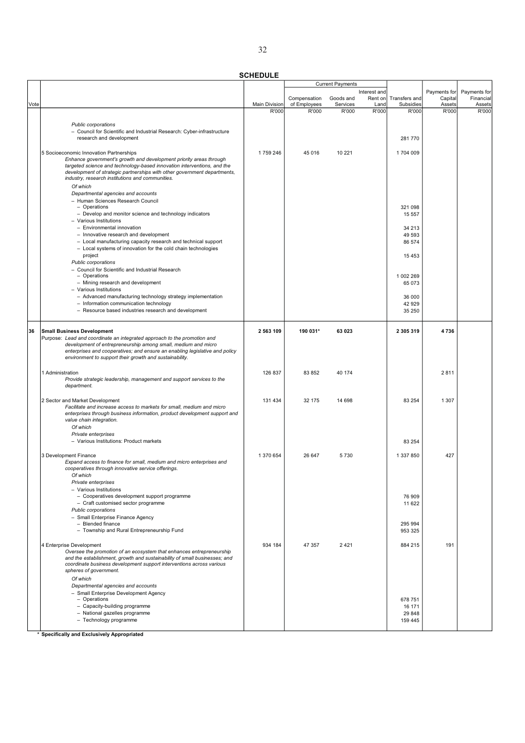SCHEDULE

|      |                                                                                                                                                   |                               |                       | <b>Current Payments</b> |               |                    |                 |                 |
|------|---------------------------------------------------------------------------------------------------------------------------------------------------|-------------------------------|-----------------------|-------------------------|---------------|--------------------|-----------------|-----------------|
|      |                                                                                                                                                   |                               |                       |                         | Interest and  |                    | Payments for    | Payments for    |
|      |                                                                                                                                                   |                               | Compensation          | Goods and               | Rent on       | Transfers and      | Capital         | Financial       |
| Vote |                                                                                                                                                   | <b>Main Division</b><br>R'000 | of Employees<br>R'000 | Services<br>R'000       | Land<br>R'000 | Subsidies<br>R'000 | Assets<br>R'000 | Assets<br>R'000 |
|      |                                                                                                                                                   |                               |                       |                         |               |                    |                 |                 |
|      | <b>Public corporations</b>                                                                                                                        |                               |                       |                         |               |                    |                 |                 |
|      | - Council for Scientific and Industrial Research: Cyber-infrastructure                                                                            |                               |                       |                         |               |                    |                 |                 |
|      | research and development                                                                                                                          |                               |                       |                         |               | 281 770            |                 |                 |
|      |                                                                                                                                                   |                               |                       |                         |               |                    |                 |                 |
|      | 5 Socioeconomic Innovation Partnerships                                                                                                           | 1759 246                      | 45 016                | 10 221                  |               | 1704 009           |                 |                 |
|      | Enhance government's growth and development priority areas through                                                                                |                               |                       |                         |               |                    |                 |                 |
|      | targeted science and technology-based innovation interventions, and the                                                                           |                               |                       |                         |               |                    |                 |                 |
|      | development of strategic partnerships with other government departments,                                                                          |                               |                       |                         |               |                    |                 |                 |
|      | industry, research institutions and communities.                                                                                                  |                               |                       |                         |               |                    |                 |                 |
|      | Of which                                                                                                                                          |                               |                       |                         |               |                    |                 |                 |
|      | Departmental agencies and accounts                                                                                                                |                               |                       |                         |               |                    |                 |                 |
|      | - Human Sciences Research Council                                                                                                                 |                               |                       |                         |               |                    |                 |                 |
|      | - Operations<br>- Develop and monitor science and technology indicators                                                                           |                               |                       |                         |               | 321 098<br>15 557  |                 |                 |
|      | - Various Institutions                                                                                                                            |                               |                       |                         |               |                    |                 |                 |
|      | - Environmental innovation                                                                                                                        |                               |                       |                         |               | 34 213             |                 |                 |
|      | - Innovative research and development                                                                                                             |                               |                       |                         |               | 49 593             |                 |                 |
|      | - Local manufacturing capacity research and technical support                                                                                     |                               |                       |                         |               | 86 574             |                 |                 |
|      | - Local systems of innovation for the cold chain technologies                                                                                     |                               |                       |                         |               |                    |                 |                 |
|      | project                                                                                                                                           |                               |                       |                         |               | 15 4 53            |                 |                 |
|      | Public corporations                                                                                                                               |                               |                       |                         |               |                    |                 |                 |
|      | - Council for Scientific and Industrial Research                                                                                                  |                               |                       |                         |               |                    |                 |                 |
|      | - Operations                                                                                                                                      |                               |                       |                         |               | 1 002 269          |                 |                 |
|      | - Mining research and development                                                                                                                 |                               |                       |                         |               | 65 073             |                 |                 |
|      | - Various Institutions                                                                                                                            |                               |                       |                         |               |                    |                 |                 |
|      | - Advanced manufacturing technology strategy implementation                                                                                       |                               |                       |                         |               | 36 000             |                 |                 |
|      | - Information communication technology                                                                                                            |                               |                       |                         |               | 42 929             |                 |                 |
|      | - Resource based industries research and development                                                                                              |                               |                       |                         |               | 35 250             |                 |                 |
|      |                                                                                                                                                   |                               |                       |                         |               |                    |                 |                 |
| 36   | <b>Small Business Development</b>                                                                                                                 | 2 563 109                     | 190 031*              | 63 023                  |               | 2 305 319          | 4736            |                 |
|      | Purpose: Lead and coordinate an integrated approach to the promotion and                                                                          |                               |                       |                         |               |                    |                 |                 |
|      | development of entrepreneurship among small, medium and micro                                                                                     |                               |                       |                         |               |                    |                 |                 |
|      | enterprises and cooperatives; and ensure an enabling legislative and policy                                                                       |                               |                       |                         |               |                    |                 |                 |
|      | environment to support their growth and sustainability.                                                                                           |                               |                       |                         |               |                    |                 |                 |
|      |                                                                                                                                                   |                               |                       |                         |               |                    |                 |                 |
|      | 1 Administration                                                                                                                                  | 126 837                       | 83 852                | 40 174                  |               |                    | 2811            |                 |
|      | Provide strategic leadership, management and support services to the                                                                              |                               |                       |                         |               |                    |                 |                 |
|      | department.                                                                                                                                       |                               |                       |                         |               |                    |                 |                 |
|      |                                                                                                                                                   |                               |                       |                         |               |                    |                 |                 |
|      | 2 Sector and Market Development                                                                                                                   | 131 434                       | 32 175                | 14 698                  |               | 83 254             | 1 3 0 7         |                 |
|      | Facilitate and increase access to markets for small, medium and micro                                                                             |                               |                       |                         |               |                    |                 |                 |
|      | enterprises through business information, product development support and                                                                         |                               |                       |                         |               |                    |                 |                 |
|      | value chain integration.<br>Of which                                                                                                              |                               |                       |                         |               |                    |                 |                 |
|      | Private enterprises                                                                                                                               |                               |                       |                         |               |                    |                 |                 |
|      | - Various Institutions: Product markets                                                                                                           |                               |                       |                         |               | 83 254             |                 |                 |
|      |                                                                                                                                                   |                               |                       |                         |               |                    |                 |                 |
|      | 3 Development Finance                                                                                                                             | 1 370 654                     | 26 647                | 5730                    |               | 1 337 850          | 427             |                 |
|      | Expand access to finance for small, medium and micro enterprises and                                                                              |                               |                       |                         |               |                    |                 |                 |
|      | cooperatives through innovative service offerings.                                                                                                |                               |                       |                         |               |                    |                 |                 |
|      | Of which                                                                                                                                          |                               |                       |                         |               |                    |                 |                 |
|      | Private enterprises                                                                                                                               |                               |                       |                         |               |                    |                 |                 |
|      | - Various Institutions                                                                                                                            |                               |                       |                         |               |                    |                 |                 |
|      | - Cooperatives development support programme                                                                                                      |                               |                       |                         |               | 76 909             |                 |                 |
|      | - Craft customised sector programme                                                                                                               |                               |                       |                         |               | 11 622             |                 |                 |
|      | Public corporations                                                                                                                               |                               |                       |                         |               |                    |                 |                 |
|      | - Small Enterprise Finance Agency                                                                                                                 |                               |                       |                         |               |                    |                 |                 |
|      | - Blended finance                                                                                                                                 |                               |                       |                         |               | 295 994            |                 |                 |
|      | - Township and Rural Entrepreneurship Fund                                                                                                        |                               |                       |                         |               | 953 325            |                 |                 |
|      |                                                                                                                                                   |                               |                       |                         |               |                    |                 |                 |
|      | 4 Enterprise Development                                                                                                                          | 934 184                       | 47 357                | 2421                    |               | 884 215            | 191             |                 |
|      | Oversee the promotion of an ecosystem that enhances entrepreneurship<br>and the establishment, growth and sustainability of small businesses; and |                               |                       |                         |               |                    |                 |                 |
|      | coordinate business development support interventions across various                                                                              |                               |                       |                         |               |                    |                 |                 |
|      | spheres of government.                                                                                                                            |                               |                       |                         |               |                    |                 |                 |
|      | Of which                                                                                                                                          |                               |                       |                         |               |                    |                 |                 |
|      | Departmental agencies and accounts                                                                                                                |                               |                       |                         |               |                    |                 |                 |
|      | - Small Enterprise Development Agency                                                                                                             |                               |                       |                         |               |                    |                 |                 |
|      | - Operations                                                                                                                                      |                               |                       |                         |               | 678 751            |                 |                 |
|      | - Capacity-building programme                                                                                                                     |                               |                       |                         |               | 16 171             |                 |                 |
|      | - National gazelles programme                                                                                                                     |                               |                       |                         |               | 29 848             |                 |                 |
|      | - Technology programme                                                                                                                            |                               |                       |                         |               | 159 445            |                 |                 |
|      |                                                                                                                                                   |                               |                       |                         |               |                    |                 |                 |

<u>kere</u><br>\* Specifically and Exclusively Appropriated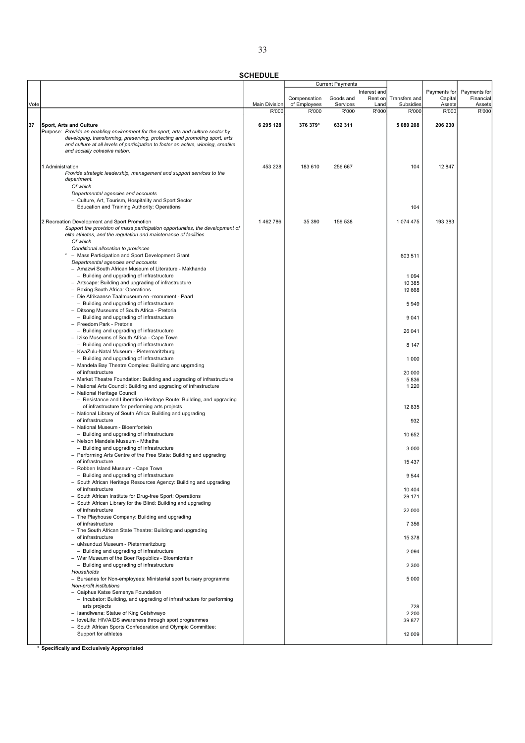|      |                                                                                                                                                                 |                      |                              | <b>Current Payments</b> |                 |                            |                   |                     |
|------|-----------------------------------------------------------------------------------------------------------------------------------------------------------------|----------------------|------------------------------|-------------------------|-----------------|----------------------------|-------------------|---------------------|
|      |                                                                                                                                                                 |                      |                              |                         | Interest and    |                            | Payments for      | Payments for        |
| Vote |                                                                                                                                                                 | <b>Main Division</b> | Compensation<br>of Employees | Goods and<br>Services   | Rent on<br>Land | Transfers and<br>Subsidies | Capital<br>Assets | Financial<br>Assets |
|      |                                                                                                                                                                 | R'000                | R'000                        | R'000                   | R'000           | R'000                      | R'000             | R'000               |
|      |                                                                                                                                                                 |                      |                              |                         |                 |                            |                   |                     |
| 37   | Sport, Arts and Culture                                                                                                                                         | 6 295 128            | 376 379*                     | 632 311                 |                 | 5 080 208                  | 206 230           |                     |
|      | Purpose: Provide an enabling environment for the sport, arts and culture sector by                                                                              |                      |                              |                         |                 |                            |                   |                     |
|      | developing, transforming, preserving, protecting and promoting sport, arts<br>and culture at all levels of participation to foster an active, winning, creative |                      |                              |                         |                 |                            |                   |                     |
|      | and socially cohesive nation.                                                                                                                                   |                      |                              |                         |                 |                            |                   |                     |
|      |                                                                                                                                                                 |                      |                              |                         |                 |                            |                   |                     |
|      | 1 Administration                                                                                                                                                | 453 228              | 183 610                      | 256 667                 |                 | 104                        | 12 847            |                     |
|      | Provide strategic leadership, management and support services to the                                                                                            |                      |                              |                         |                 |                            |                   |                     |
|      | department.                                                                                                                                                     |                      |                              |                         |                 |                            |                   |                     |
|      | Of which                                                                                                                                                        |                      |                              |                         |                 |                            |                   |                     |
|      | Departmental agencies and accounts<br>- Culture, Art, Tourism, Hospitality and Sport Sector                                                                     |                      |                              |                         |                 |                            |                   |                     |
|      | Education and Training Authority: Operations                                                                                                                    |                      |                              |                         |                 | 104                        |                   |                     |
|      |                                                                                                                                                                 |                      |                              |                         |                 |                            |                   |                     |
|      | 2 Recreation Development and Sport Promotion                                                                                                                    | 1462786              | 35 390                       | 159 538                 |                 | 1074 475                   | 193 383           |                     |
|      | Support the provision of mass participation opportunities, the development of                                                                                   |                      |                              |                         |                 |                            |                   |                     |
|      | elite athletes, and the regulation and maintenance of facilities.                                                                                               |                      |                              |                         |                 |                            |                   |                     |
|      | Of which<br>Conditional allocation to provinces                                                                                                                 |                      |                              |                         |                 |                            |                   |                     |
|      | * - Mass Participation and Sport Development Grant                                                                                                              |                      |                              |                         |                 | 603 511                    |                   |                     |
|      | Departmental agencies and accounts                                                                                                                              |                      |                              |                         |                 |                            |                   |                     |
|      | - Amazwi South African Museum of Literature - Makhanda                                                                                                          |                      |                              |                         |                 |                            |                   |                     |
|      | - Building and upgrading of infrastructure                                                                                                                      |                      |                              |                         |                 | 1 0 9 4                    |                   |                     |
|      | - Artscape: Building and upgrading of infrastructure                                                                                                            |                      |                              |                         |                 | 10 385                     |                   |                     |
|      | - Boxing South Africa: Operations<br>- Die Afrikaanse Taalmuseum en -monument - Paarl                                                                           |                      |                              |                         |                 | 19 668                     |                   |                     |
|      | - Building and upgrading of infrastructure                                                                                                                      |                      |                              |                         |                 | 5949                       |                   |                     |
|      | - Ditsong Museums of South Africa - Pretoria                                                                                                                    |                      |                              |                         |                 |                            |                   |                     |
|      | - Building and upgrading of infrastructure                                                                                                                      |                      |                              |                         |                 | 9 0 4 1                    |                   |                     |
|      | - Freedom Park - Pretoria                                                                                                                                       |                      |                              |                         |                 |                            |                   |                     |
|      | - Building and upgrading of infrastructure                                                                                                                      |                      |                              |                         |                 | 26 041                     |                   |                     |
|      | - Iziko Museums of South Africa - Cape Town<br>- Building and upgrading of infrastructure                                                                       |                      |                              |                         |                 | 8 1 4 7                    |                   |                     |
|      | - KwaZulu-Natal Museum - Pietermaritzburg                                                                                                                       |                      |                              |                         |                 |                            |                   |                     |
|      | - Building and upgrading of infrastructure                                                                                                                      |                      |                              |                         |                 | 1 0 0 0                    |                   |                     |
|      | - Mandela Bay Theatre Complex: Building and upgrading                                                                                                           |                      |                              |                         |                 |                            |                   |                     |
|      | of infrastructure                                                                                                                                               |                      |                              |                         |                 | 20 000                     |                   |                     |
|      | - Market Theatre Foundation: Building and upgrading of infrastructure                                                                                           |                      |                              |                         |                 | 5836                       |                   |                     |
|      | - National Arts Council: Building and upgrading of infrastructure<br>- National Heritage Council                                                                |                      |                              |                         |                 | 1 2 2 0                    |                   |                     |
|      | - Resistance and Liberation Heritage Route: Building, and upgrading                                                                                             |                      |                              |                         |                 |                            |                   |                     |
|      | of infrastructure for performing arts projects                                                                                                                  |                      |                              |                         |                 | 12 8 35                    |                   |                     |
|      | - National Library of South Africa: Building and upgrading                                                                                                      |                      |                              |                         |                 |                            |                   |                     |
|      | of infrastructure                                                                                                                                               |                      |                              |                         |                 | 932                        |                   |                     |
|      | - National Museum - Bloemfontein<br>- Building and upgrading of infrastructure                                                                                  |                      |                              |                         |                 | 10 652                     |                   |                     |
|      | - Nelson Mandela Museum - Mthatha                                                                                                                               |                      |                              |                         |                 |                            |                   |                     |
|      | - Building and upgrading of infrastructure                                                                                                                      |                      |                              |                         |                 | 3 0 0 0                    |                   |                     |
|      | - Performing Arts Centre of the Free State: Building and upgrading                                                                                              |                      |                              |                         |                 |                            |                   |                     |
|      | of infrastructure                                                                                                                                               |                      |                              |                         |                 | 15 4 37                    |                   |                     |
|      | - Robben Island Museum - Cape Town<br>Building and upgrading of infrastructure                                                                                  |                      |                              |                         |                 | 9544                       |                   |                     |
|      | - South African Heritage Resources Agency: Building and upgrading                                                                                               |                      |                              |                         |                 |                            |                   |                     |
|      | of infrastructure                                                                                                                                               |                      |                              |                         |                 | 10 404                     |                   |                     |
|      | - South African Institute for Drug-free Sport: Operations                                                                                                       |                      |                              |                         |                 | 29 171                     |                   |                     |
|      | - South African Library for the Blind: Building and upgrading                                                                                                   |                      |                              |                         |                 |                            |                   |                     |
|      | of infrastructure                                                                                                                                               |                      |                              |                         |                 | 22 000                     |                   |                     |
|      | - The Playhouse Company: Building and upgrading<br>of infrastructure                                                                                            |                      |                              |                         |                 | 7 3 5 6                    |                   |                     |
|      | - The South African State Theatre: Building and upgrading                                                                                                       |                      |                              |                         |                 |                            |                   |                     |
|      | of infrastructure                                                                                                                                               |                      |                              |                         |                 | 15 378                     |                   |                     |
|      | - uMsunduzi Museum - Pietermaritzburg                                                                                                                           |                      |                              |                         |                 |                            |                   |                     |
|      | - Building and upgrading of infrastructure                                                                                                                      |                      |                              |                         |                 | 2 0 9 4                    |                   |                     |
|      | - War Museum of the Boer Republics - Bloemfontein                                                                                                               |                      |                              |                         |                 |                            |                   |                     |
|      | - Building and upgrading of infrastructure<br>Households                                                                                                        |                      |                              |                         |                 | 2 3 0 0                    |                   |                     |
|      | - Bursaries for Non-employees: Ministerial sport bursary programme                                                                                              |                      |                              |                         |                 | 5 0 0 0                    |                   |                     |
|      | Non-profit institutions                                                                                                                                         |                      |                              |                         |                 |                            |                   |                     |
|      | - Caiphus Katse Semenya Foundation                                                                                                                              |                      |                              |                         |                 |                            |                   |                     |
|      | - Incubator: Building, and upgrading of infrastructure for performing                                                                                           |                      |                              |                         |                 |                            |                   |                     |
|      | arts projects                                                                                                                                                   |                      |                              |                         |                 | 728                        |                   |                     |
|      | - Isandlwana: Statue of King Cetshwayo<br>- loveLife: HIV/AIDS awareness through sport programmes                                                               |                      |                              |                         |                 | 2 2 0 0<br>39 877          |                   |                     |
|      | - South African Sports Confederation and Olympic Committee:                                                                                                     |                      |                              |                         |                 |                            |                   |                     |
|      | Support for athletes                                                                                                                                            |                      |                              |                         |                 | 12 009                     |                   |                     |
|      |                                                                                                                                                                 |                      |                              |                         |                 |                            |                   |                     |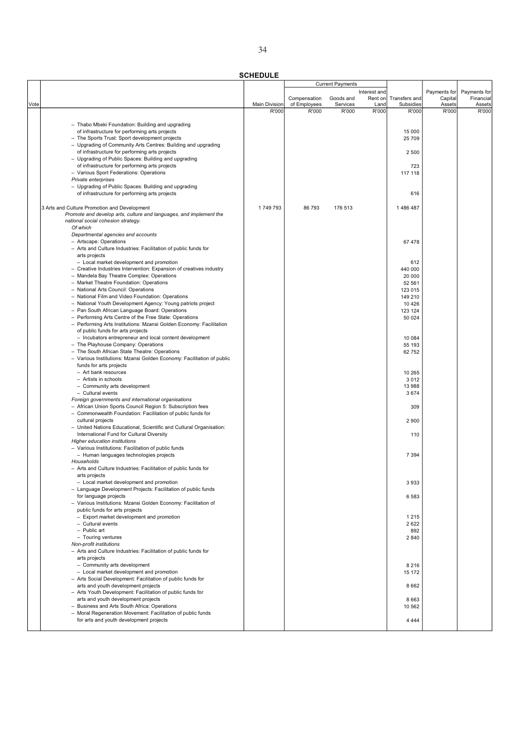|      |                                                                       |                      |              | <b>Current Payments</b> |              |               |              |              |
|------|-----------------------------------------------------------------------|----------------------|--------------|-------------------------|--------------|---------------|--------------|--------------|
|      |                                                                       |                      |              |                         | Interest and |               | Payments for | Payments for |
|      |                                                                       |                      | Compensation | Goods and               | Rent on      | Transfers and | Capital      | Financial    |
| Vote |                                                                       | <b>Main Division</b> | of Employees | Services                | Land         | Subsidies     | Assets       | Assets       |
|      |                                                                       | R'000                | R'000        | R'000                   | R'000        | R'000         | R'000        | R'000        |
|      | - Thabo Mbeki Foundation: Building and upgrading                      |                      |              |                         |              |               |              |              |
|      | of infrastructure for performing arts projects                        |                      |              |                         |              | 15 000        |              |              |
|      | - The Sports Trust: Sport development projects                        |                      |              |                         |              | 25 709        |              |              |
|      | - Upgrading of Community Arts Centres: Building and upgrading         |                      |              |                         |              |               |              |              |
|      | of infrastructure for performing arts projects                        |                      |              |                         |              | 2 500         |              |              |
|      | - Upgrading of Public Spaces: Building and upgrading                  |                      |              |                         |              |               |              |              |
|      | of infrastructure for performing arts projects                        |                      |              |                         |              | 723           |              |              |
|      | - Various Sport Federations: Operations                               |                      |              |                         |              | 117 118       |              |              |
|      | Private enterprises                                                   |                      |              |                         |              |               |              |              |
|      | - Upgrading of Public Spaces: Building and upgrading                  |                      |              |                         |              |               |              |              |
|      | of infrastructure for performing arts projects                        |                      |              |                         |              | 616           |              |              |
|      |                                                                       |                      |              |                         |              |               |              |              |
|      | 3 Arts and Culture Promotion and Development                          | 1749793              | 86 793       | 176 513                 |              | 1486487       |              |              |
|      | Promote and develop arts, culture and languages, and implement the    |                      |              |                         |              |               |              |              |
|      | national social cohesion strategy.                                    |                      |              |                         |              |               |              |              |
|      | Of which                                                              |                      |              |                         |              |               |              |              |
|      | Departmental agencies and accounts                                    |                      |              |                         |              |               |              |              |
|      | - Artscape: Operations                                                |                      |              |                         |              | 67478         |              |              |
|      | - Arts and Culture Industries: Facilitation of public funds for       |                      |              |                         |              |               |              |              |
|      | arts projects                                                         |                      |              |                         |              |               |              |              |
|      | - Local market development and promotion                              |                      |              |                         |              | 612           |              |              |
|      | - Creative Industries Intervention: Expansion of creatives industry   |                      |              |                         |              | 440 000       |              |              |
|      | - Mandela Bay Theatre Complex: Operations                             |                      |              |                         |              | 20 000        |              |              |
|      | - Market Theatre Foundation: Operations                               |                      |              |                         |              | 52 561        |              |              |
|      | - National Arts Council: Operations                                   |                      |              |                         |              | 123 015       |              |              |
|      | - National Film and Video Foundation: Operations                      |                      |              |                         |              | 149 210       |              |              |
|      | - National Youth Development Agency: Young patriots project           |                      |              |                         |              | 10 4 26       |              |              |
|      | - Pan South African Language Board: Operations                        |                      |              |                         |              | 123 124       |              |              |
|      | - Performing Arts Centre of the Free State: Operations                |                      |              |                         |              | 50 024        |              |              |
|      | - Performing Arts Institutions: Mzansi Golden Economy: Facilitation   |                      |              |                         |              |               |              |              |
|      | of public funds for arts projects                                     |                      |              |                         |              |               |              |              |
|      | - Incubators entrepreneur and local content development               |                      |              |                         |              | 10 084        |              |              |
|      |                                                                       |                      |              |                         |              |               |              |              |
|      | - The Playhouse Company: Operations                                   |                      |              |                         |              | 55 193        |              |              |
|      | - The South African State Theatre: Operations                         |                      |              |                         |              | 62 752        |              |              |
|      | - Various Institutions: Mzansi Golden Economy: Facilitation of public |                      |              |                         |              |               |              |              |
|      | funds for arts projects                                               |                      |              |                         |              |               |              |              |
|      | - Art bank resources                                                  |                      |              |                         |              | 10 265        |              |              |
|      | - Artists in schools                                                  |                      |              |                         |              | 3 0 1 2       |              |              |
|      | - Community arts development                                          |                      |              |                         |              | 13 988        |              |              |
|      | - Cultural events                                                     |                      |              |                         |              | 3674          |              |              |
|      | Foreign governments and international organisations                   |                      |              |                         |              |               |              |              |
|      | - African Union Sports Council Region 5: Subscription fees            |                      |              |                         |              | 309           |              |              |
|      | - Commonwealth Foundation: Facilitation of public funds for           |                      |              |                         |              |               |              |              |
|      | cultural projects                                                     |                      |              |                         |              | 2 9 0 0       |              |              |
|      | - United Nations Educational, Scientific and Cultural Organisation:   |                      |              |                         |              |               |              |              |
|      | International Fund for Cultural Diversity                             |                      |              |                         |              | 110           |              |              |
|      | Higher education institutions                                         |                      |              |                         |              |               |              |              |
|      | - Various Institutions: Facilitation of public funds                  |                      |              |                         |              |               |              |              |
|      | - Human languages technologies projects                               |                      |              |                         |              | 7 3 9 4       |              |              |
|      | Households                                                            |                      |              |                         |              |               |              |              |
|      | - Arts and Culture Industries: Facilitation of public funds for       |                      |              |                         |              |               |              |              |
|      | arts projects                                                         |                      |              |                         |              |               |              |              |
|      | - Local market development and promotion                              |                      |              |                         |              | 3933          |              |              |
|      | - Language Development Projects: Facilitation of public funds         |                      |              |                         |              |               |              |              |
|      | for language projects                                                 |                      |              |                         |              | 6583          |              |              |
|      | - Various Institutions: Mzansi Golden Economy: Facilitation of        |                      |              |                         |              |               |              |              |
|      | public funds for arts projects                                        |                      |              |                         |              |               |              |              |
|      | - Export market development and promotion                             |                      |              |                         |              | 1 2 1 5       |              |              |
|      | - Cultural events                                                     |                      |              |                         |              | 2622          |              |              |
|      | - Public art                                                          |                      |              |                         |              | 892           |              |              |
|      | - Touring ventures                                                    |                      |              |                         |              | 2840          |              |              |
|      | Non-profit institutions                                               |                      |              |                         |              |               |              |              |
|      | - Arts and Culture Industries: Facilitation of public funds for       |                      |              |                         |              |               |              |              |
|      | arts projects                                                         |                      |              |                         |              |               |              |              |
|      | - Community arts development                                          |                      |              |                         |              | 8 2 1 6       |              |              |
|      | - Local market development and promotion                              |                      |              |                         |              | 15 172        |              |              |
|      | - Arts Social Development: Facilitation of public funds for           |                      |              |                         |              |               |              |              |
|      | arts and youth development projects                                   |                      |              |                         |              | 8662          |              |              |
|      | - Arts Youth Development: Facilitation of public funds for            |                      |              |                         |              |               |              |              |
|      | arts and youth development projects                                   |                      |              |                         |              | 8 6 6 3       |              |              |
|      | - Business and Arts South Africa: Operations                          |                      |              |                         |              | 10 562        |              |              |
|      | - Moral Regeneration Movement: Facilitation of public funds           |                      |              |                         |              |               |              |              |
|      | for arts and youth development projects                               |                      |              |                         |              | 4 4 4 4       |              |              |
|      |                                                                       |                      |              |                         |              |               |              |              |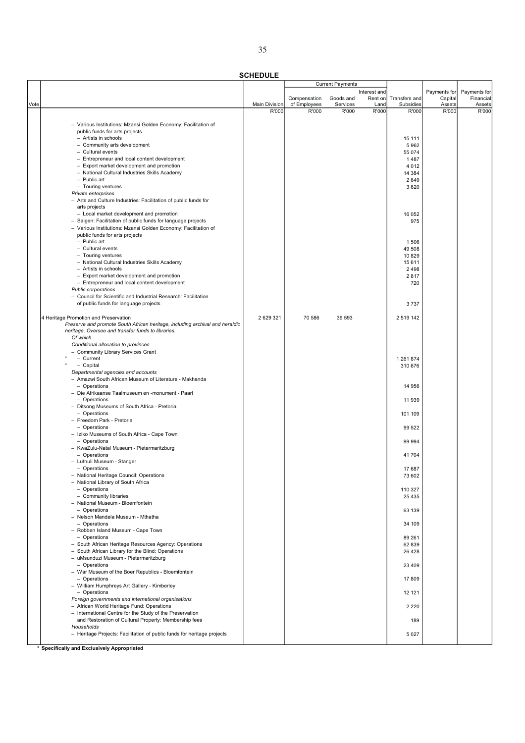SCHEDULE

|      |                                                                              |               |              | <b>Current Payments</b> |              |               |              |              |
|------|------------------------------------------------------------------------------|---------------|--------------|-------------------------|--------------|---------------|--------------|--------------|
|      |                                                                              |               |              |                         | Interest and |               | Payments for | Payments for |
|      |                                                                              |               | Compensation | Goods and               | Rent on      | Transfers and | Capital      | Financial    |
| Vote |                                                                              | Main Division | of Employees | Services                | Land         | Subsidies     | Assets       | Assets       |
|      |                                                                              | R'000         | R'000        | R'000                   | R'000        | R'000         | R'000        | R'000        |
|      | - Various Institutions: Mzansi Golden Economy: Facilitation of               |               |              |                         |              |               |              |              |
|      | public funds for arts projects                                               |               |              |                         |              |               |              |              |
|      | - Artists in schools                                                         |               |              |                         |              | 15 111        |              |              |
|      |                                                                              |               |              |                         |              |               |              |              |
|      | - Community arts development                                                 |               |              |                         |              | 5962          |              |              |
|      | - Cultural events                                                            |               |              |                         |              | 55 074        |              |              |
|      | - Entrepreneur and local content development                                 |               |              |                         |              | 1487          |              |              |
|      | - Export market development and promotion                                    |               |              |                         |              | 4 0 1 2       |              |              |
|      | - National Cultural Industries Skills Academy                                |               |              |                         |              | 14 384        |              |              |
|      | - Public art                                                                 |               |              |                         |              | 2649          |              |              |
|      | - Touring ventures                                                           |               |              |                         |              | 3620          |              |              |
|      | Private enterprises                                                          |               |              |                         |              |               |              |              |
|      | - Arts and Culture Industries: Facilitation of public funds for              |               |              |                         |              |               |              |              |
|      | arts projects                                                                |               |              |                         |              |               |              |              |
|      | - Local market development and promotion                                     |               |              |                         |              | 16 052        |              |              |
|      | - Saigen: Facilitation of public funds for language projects                 |               |              |                         |              | 975           |              |              |
|      | - Various Institutions: Mzansi Golden Economy: Facilitation of               |               |              |                         |              |               |              |              |
|      | public funds for arts projects                                               |               |              |                         |              |               |              |              |
|      | - Public art                                                                 |               |              |                         |              | 1506          |              |              |
|      | - Cultural events                                                            |               |              |                         |              | 49 508        |              |              |
|      | - Touring ventures                                                           |               |              |                         |              | 10829         |              |              |
|      | - National Cultural Industries Skills Academy                                |               |              |                         |              | 15 611        |              |              |
|      | - Artists in schools                                                         |               |              |                         |              | 2 4 9 8       |              |              |
|      |                                                                              |               |              |                         |              | 2817          |              |              |
|      | - Export market development and promotion                                    |               |              |                         |              |               |              |              |
|      | - Entrepreneur and local content development                                 |               |              |                         |              | 720           |              |              |
|      | Public corporations                                                          |               |              |                         |              |               |              |              |
|      | - Council for Scientific and Industrial Research: Facilitation               |               |              |                         |              |               |              |              |
|      | of public funds for language projects                                        |               |              |                         |              | 3737          |              |              |
|      |                                                                              |               |              |                         |              |               |              |              |
|      | 4 Heritage Promotion and Preservation                                        | 2 629 321     | 70 586       | 39 593                  |              | 2 519 142     |              |              |
|      | Preserve and promote South African heritage, including archival and heraldic |               |              |                         |              |               |              |              |
|      | heritage. Oversee and transfer funds to libraries.                           |               |              |                         |              |               |              |              |
|      | Of which                                                                     |               |              |                         |              |               |              |              |
|      | Conditional allocation to provinces                                          |               |              |                         |              |               |              |              |
|      | - Community Library Services Grant                                           |               |              |                         |              |               |              |              |
|      | - Current                                                                    |               |              |                         |              | 1 261 874     |              |              |
|      | - Capital                                                                    |               |              |                         |              | 310 676       |              |              |
|      | Departmental agencies and accounts                                           |               |              |                         |              |               |              |              |
|      | - Amazwi South African Museum of Literature - Makhanda                       |               |              |                         |              |               |              |              |
|      | - Operations                                                                 |               |              |                         |              | 14 956        |              |              |
|      | - Die Afrikaanse Taalmuseum en -monument - Paarl                             |               |              |                         |              |               |              |              |
|      | - Operations                                                                 |               |              |                         |              | 11 939        |              |              |
|      | - Ditsong Museums of South Africa - Pretoria                                 |               |              |                         |              |               |              |              |
|      | - Operations                                                                 |               |              |                         |              | 101 109       |              |              |
|      | - Freedom Park - Pretoria                                                    |               |              |                         |              |               |              |              |
|      | - Operations                                                                 |               |              |                         |              |               |              |              |
|      |                                                                              |               |              |                         |              | 99 522        |              |              |
|      | - Iziko Museums of South Africa - Cape Town                                  |               |              |                         |              |               |              |              |
|      | - Operations                                                                 |               |              |                         |              | 99 994        |              |              |
|      | - KwaZulu-Natal Museum - Pietermaritzburg                                    |               |              |                         |              |               |              |              |
|      | - Operations                                                                 |               |              |                         |              | 41 704        |              |              |
|      | - Luthuli Museum - Stanger                                                   |               |              |                         |              |               |              |              |
|      | - Operations                                                                 |               |              |                         |              | 17687         |              |              |
|      | - National Heritage Council: Operations                                      |               |              |                         |              | 73 602        |              |              |
|      | - National Library of South Africa                                           |               |              |                         |              |               |              |              |
|      | - Operations                                                                 |               |              |                         |              | 110 327       |              |              |
|      | - Community libraries                                                        |               |              |                         |              | 25 4 35       |              |              |
|      | - National Museum - Bloemfontein                                             |               |              |                         |              |               |              |              |
|      | - Operations                                                                 |               |              |                         |              | 63 139        |              |              |
|      | - Nelson Mandela Museum - Mthatha                                            |               |              |                         |              |               |              |              |
|      | - Operations                                                                 |               |              |                         |              | 34 109        |              |              |
|      | - Robben Island Museum - Cape Town                                           |               |              |                         |              |               |              |              |
|      | - Operations                                                                 |               |              |                         |              | 89 261        |              |              |
|      | - South African Heritage Resources Agency: Operations                        |               |              |                         |              | 62 839        |              |              |
|      | - South African Library for the Blind: Operations                            |               |              |                         |              | 26 4 28       |              |              |
|      | - uMsunduzi Museum - Pietermaritzburg                                        |               |              |                         |              |               |              |              |
|      | - Operations                                                                 |               |              |                         |              |               |              |              |
|      | - War Museum of the Boer Republics - Bloemfontein                            |               |              |                         |              | 23 4 09       |              |              |
|      |                                                                              |               |              |                         |              |               |              |              |
|      | - Operations                                                                 |               |              |                         |              | 17809         |              |              |
|      | - William Humphreys Art Gallery - Kimberley                                  |               |              |                         |              |               |              |              |
|      | - Operations                                                                 |               |              |                         |              | 12 121        |              |              |
|      | Foreign governments and international organisations                          |               |              |                         |              |               |              |              |
|      | - African World Heritage Fund: Operations                                    |               |              |                         |              | 2 2 2 0       |              |              |
|      | - International Centre for the Study of the Preservation                     |               |              |                         |              |               |              |              |
|      | and Restoration of Cultural Property: Membership fees                        |               |              |                         |              | 189           |              |              |
|      | Households                                                                   |               |              |                         |              |               |              |              |
|      | - Heritage Projects: Facilitation of public funds for heritage projects      |               |              |                         |              | 5 0 2 7       |              |              |
|      |                                                                              |               |              |                         |              |               |              |              |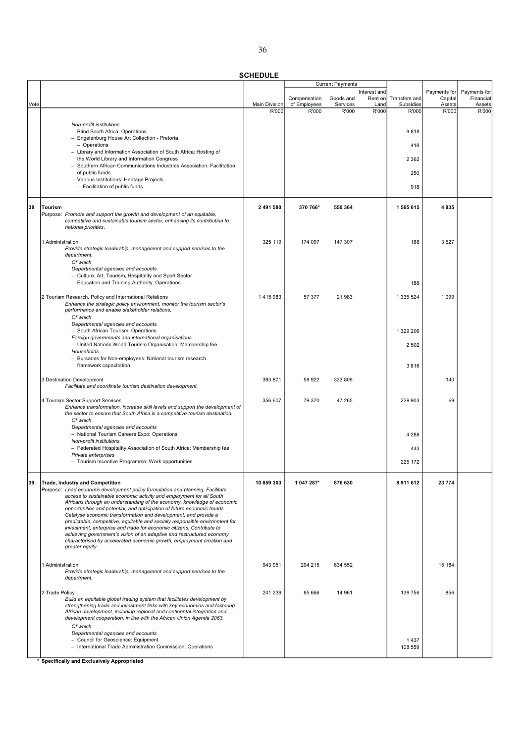|      |                                                                                                                                                      |                      | <b>Current Payments</b>      |                       |                 |                            |                   |                     |
|------|------------------------------------------------------------------------------------------------------------------------------------------------------|----------------------|------------------------------|-----------------------|-----------------|----------------------------|-------------------|---------------------|
|      |                                                                                                                                                      |                      |                              |                       | Interest and    |                            | Payments for      | Payments for        |
| Vote |                                                                                                                                                      | <b>Main Division</b> | Compensation<br>of Employees | Goods and<br>Services | Rent on<br>Land | Transfers and<br>Subsidies | Capital<br>Assets | Financial<br>Assets |
|      |                                                                                                                                                      | R'000                | R'000                        | R'000                 | R'000           | R'000                      | R'000             | R'000               |
|      | Non-profit institutions                                                                                                                              |                      |                              |                       |                 |                            |                   |                     |
|      | - Blind South Africa: Operations<br>- Engelenburg House Art Collection - Pretoria                                                                    |                      |                              |                       |                 | 9818                       |                   |                     |
|      | - Operations                                                                                                                                         |                      |                              |                       |                 | 418                        |                   |                     |
|      | - Library and Information Association of South Africa: Hosting of                                                                                    |                      |                              |                       |                 |                            |                   |                     |
|      | the World Library and Information Congress<br>- Southern African Communications Industries Association: Facilitation                                 |                      |                              |                       |                 | 2 3 6 2                    |                   |                     |
|      | of public funds                                                                                                                                      |                      |                              |                       |                 | 250                        |                   |                     |
|      | - Various Institutions: Heritage Projects<br>- Facilitation of public funds                                                                          |                      |                              |                       |                 | 918                        |                   |                     |
|      |                                                                                                                                                      |                      |                              |                       |                 |                            |                   |                     |
| 38   | Tourism                                                                                                                                              | 2 491 580            | 370 766*                     | 550 364               |                 | 1 565 615                  | 4835              |                     |
|      | Purpose: Promote and support the growth and development of an equitable,                                                                             |                      |                              |                       |                 |                            |                   |                     |
|      | competitive and sustainable tourism sector, enhancing its contribution to<br>national priorities.                                                    |                      |                              |                       |                 |                            |                   |                     |
|      |                                                                                                                                                      |                      |                              |                       |                 |                            |                   |                     |
|      | 1 Administration                                                                                                                                     | 325 119              | 174 097                      | 147 307               |                 | 188                        | 3527              |                     |
|      | Provide strategic leadership, management and support services to the<br>department.                                                                  |                      |                              |                       |                 |                            |                   |                     |
|      | Of which                                                                                                                                             |                      |                              |                       |                 |                            |                   |                     |
|      | Departmental agencies and accounts<br>- Culture, Art, Tourism, Hospitality and Sport Sector                                                          |                      |                              |                       |                 |                            |                   |                     |
|      | Education and Training Authority: Operations                                                                                                         |                      |                              |                       |                 | 188                        |                   |                     |
|      | 2 Tourism Research, Policy and International Relations                                                                                               | 1415983              | 57 377                       | 21 983                |                 | 1 335 524                  | 1 0 9 9           |                     |
|      | Enhance the strategic policy environment, monitor the tourism sector's                                                                               |                      |                              |                       |                 |                            |                   |                     |
|      | performance and enable stakeholder relations.<br>Of which                                                                                            |                      |                              |                       |                 |                            |                   |                     |
|      | Departmental agencies and accounts                                                                                                                   |                      |                              |                       |                 |                            |                   |                     |
|      | - South African Tourism: Operations<br>Foreign governments and international organisations                                                           |                      |                              |                       |                 | 1 329 206                  |                   |                     |
|      | - United Nations World Tourism Organisation: Membership fee                                                                                          |                      |                              |                       |                 | 2 5 0 2                    |                   |                     |
|      | Households                                                                                                                                           |                      |                              |                       |                 |                            |                   |                     |
|      | - Bursaries for Non-employees: National tourism research<br>framework capacitation                                                                   |                      |                              |                       |                 | 3816                       |                   |                     |
|      |                                                                                                                                                      |                      |                              |                       |                 |                            |                   |                     |
|      | 3 Destination Development<br>Facilitate and coordinate tourism destination development.                                                              | 393 871              | 59 922                       | 333 809               |                 |                            | 140               |                     |
|      |                                                                                                                                                      |                      |                              |                       |                 |                            |                   |                     |
|      | 4 Tourism Sector Support Services<br>Enhance transformation, increase skill levels and support the development of                                    | 356 607              | 79 370                       | 47 265                |                 | 229 903                    | 69                |                     |
|      | the sector to ensure that South Africa is a competitive tourism destination.                                                                         |                      |                              |                       |                 |                            |                   |                     |
|      | Of which<br>Departmental agencies and accounts                                                                                                       |                      |                              |                       |                 |                            |                   |                     |
|      | - National Tourism Careers Expo: Operations                                                                                                          |                      |                              |                       |                 | 4 2 8 8                    |                   |                     |
|      | Non-profit institutions<br>- Federated Hospitality Association of South Africa: Membership fee                                                       |                      |                              |                       |                 | 443                        |                   |                     |
|      | Private enterprises                                                                                                                                  |                      |                              |                       |                 |                            |                   |                     |
|      | - Tourism Incentive Programme: Work opportunities                                                                                                    |                      |                              |                       |                 | 225 172                    |                   |                     |
|      |                                                                                                                                                      |                      |                              |                       |                 |                            |                   |                     |
| 39   | <b>Trade, Industry and Competition</b><br>Purpose: Lead economic development policy formulation and planning. Facilitate                             | 10 859 303           | 1 047 287*                   | 876 630               |                 | 8911612                    | 23 774            |                     |
|      | access to sustainable economic activity and employment for all South                                                                                 |                      |                              |                       |                 |                            |                   |                     |
|      | Africans through an understanding of the economy, knowledge of economic<br>opportunities and potential, and anticipation of future economic trends.  |                      |                              |                       |                 |                            |                   |                     |
|      | Catalyse economic transformation and development, and provide a<br>predictable, competitive, equitable and socially responsible environment for      |                      |                              |                       |                 |                            |                   |                     |
|      | investment, enterprise and trade for economic citizens. Contribute to                                                                                |                      |                              |                       |                 |                            |                   |                     |
|      | achieving government's vision of an adaptive and restructured economy<br>characterised by accelerated economic growth, employment creation and       |                      |                              |                       |                 |                            |                   |                     |
|      | greater equity.                                                                                                                                      |                      |                              |                       |                 |                            |                   |                     |
|      |                                                                                                                                                      |                      |                              |                       |                 |                            |                   |                     |
|      | 1 Administration<br>Provide strategic leadership, management and support services to the                                                             | 943 951              | 294 215                      | 634 552               |                 |                            | 15 184            |                     |
|      | department.                                                                                                                                          |                      |                              |                       |                 |                            |                   |                     |
|      | 2 Trade Policy                                                                                                                                       | 241 239              | 85 666                       | 14 961                |                 | 139 756                    | 856               |                     |
|      | Build an equitable global trading system that facilitates development by                                                                             |                      |                              |                       |                 |                            |                   |                     |
|      | strengthening trade and investment links with key economies and fostering<br>African development, including regional and continental integration and |                      |                              |                       |                 |                            |                   |                     |
|      | development cooperation, in line with the African Union Agenda 2063.                                                                                 |                      |                              |                       |                 |                            |                   |                     |
|      | Of which<br>Departmental agencies and accounts                                                                                                       |                      |                              |                       |                 |                            |                   |                     |
|      | - Council for Geoscience: Equipment                                                                                                                  |                      |                              |                       |                 | 1437                       |                   |                     |
|      | - International Trade Administration Commission: Operations                                                                                          |                      |                              |                       |                 | 108 559                    |                   |                     |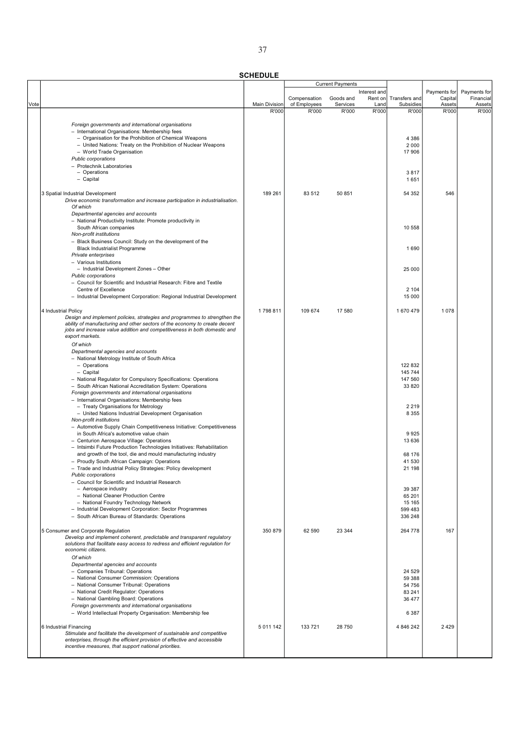|      |                                                                                                                                                         |                      | <b>Current Payments</b>      |                       |                 |                            |                   |                     |
|------|---------------------------------------------------------------------------------------------------------------------------------------------------------|----------------------|------------------------------|-----------------------|-----------------|----------------------------|-------------------|---------------------|
|      |                                                                                                                                                         |                      |                              |                       | Interest and    |                            | Payments for      | Payments for        |
| Vote |                                                                                                                                                         | <b>Main Division</b> | Compensation<br>of Employees | Goods and<br>Services | Rent on<br>Land | Transfers and<br>Subsidies | Capital<br>Assets | Financial<br>Assets |
|      |                                                                                                                                                         | R'000                | R'000                        | R'000                 | R'000           | R'000                      | R'000             | R'000               |
|      |                                                                                                                                                         |                      |                              |                       |                 |                            |                   |                     |
|      | Foreign governments and international organisations                                                                                                     |                      |                              |                       |                 |                            |                   |                     |
|      | - International Organisations: Membership fees<br>- Organisation for the Prohibition of Chemical Weapons                                                |                      |                              |                       |                 | 4 3 8 6                    |                   |                     |
|      | - United Nations: Treaty on the Prohibition of Nuclear Weapons                                                                                          |                      |                              |                       |                 | 2 0 0 0                    |                   |                     |
|      | - World Trade Organisation                                                                                                                              |                      |                              |                       |                 | 17 906                     |                   |                     |
|      | Public corporations                                                                                                                                     |                      |                              |                       |                 |                            |                   |                     |
|      | - Protechnik Laboratories                                                                                                                               |                      |                              |                       |                 |                            |                   |                     |
|      | - Operations                                                                                                                                            |                      |                              |                       |                 | 3817                       |                   |                     |
|      | - Capital                                                                                                                                               |                      |                              |                       |                 | 1651                       |                   |                     |
|      |                                                                                                                                                         |                      |                              |                       |                 |                            |                   |                     |
|      | 3 Spatial Industrial Development                                                                                                                        | 189 261              | 83 512                       | 50 851                |                 | 54 352                     | 546               |                     |
|      | Drive economic transformation and increase participation in industrialisation.                                                                          |                      |                              |                       |                 |                            |                   |                     |
|      | Of which                                                                                                                                                |                      |                              |                       |                 |                            |                   |                     |
|      | Departmental agencies and accounts                                                                                                                      |                      |                              |                       |                 |                            |                   |                     |
|      | - National Productivity Institute: Promote productivity in                                                                                              |                      |                              |                       |                 |                            |                   |                     |
|      | South African companies                                                                                                                                 |                      |                              |                       |                 | 10 558                     |                   |                     |
|      | Non-profit institutions                                                                                                                                 |                      |                              |                       |                 |                            |                   |                     |
|      | - Black Business Council: Study on the development of the                                                                                               |                      |                              |                       |                 |                            |                   |                     |
|      | <b>Black Industrialist Programme</b>                                                                                                                    |                      |                              |                       |                 | 1690                       |                   |                     |
|      | Private enterprises                                                                                                                                     |                      |                              |                       |                 |                            |                   |                     |
|      | - Various Institutions                                                                                                                                  |                      |                              |                       |                 |                            |                   |                     |
|      | - Industrial Development Zones - Other                                                                                                                  |                      |                              |                       |                 | 25 000                     |                   |                     |
|      | <b>Public corporations</b>                                                                                                                              |                      |                              |                       |                 |                            |                   |                     |
|      | - Council for Scientific and Industrial Research: Fibre and Textile                                                                                     |                      |                              |                       |                 |                            |                   |                     |
|      | Centre of Excellence                                                                                                                                    |                      |                              |                       |                 | 2 104                      |                   |                     |
|      | - Industrial Development Corporation: Regional Industrial Development                                                                                   |                      |                              |                       |                 | 15 000                     |                   |                     |
|      |                                                                                                                                                         |                      |                              |                       |                 |                            |                   |                     |
|      | 4 Industrial Policy                                                                                                                                     | 1798811              | 109 674                      | 17 580                |                 | 1670479                    | 1078              |                     |
|      | Design and implement policies, strategies and programmes to strengthen the                                                                              |                      |                              |                       |                 |                            |                   |                     |
|      | ability of manufacturing and other sectors of the economy to create decent<br>jobs and increase value addition and competitiveness in both domestic and |                      |                              |                       |                 |                            |                   |                     |
|      | export markets.                                                                                                                                         |                      |                              |                       |                 |                            |                   |                     |
|      | Of which                                                                                                                                                |                      |                              |                       |                 |                            |                   |                     |
|      | Departmental agencies and accounts                                                                                                                      |                      |                              |                       |                 |                            |                   |                     |
|      | - National Metrology Institute of South Africa                                                                                                          |                      |                              |                       |                 |                            |                   |                     |
|      | - Operations                                                                                                                                            |                      |                              |                       |                 | 122 832                    |                   |                     |
|      | - Capital                                                                                                                                               |                      |                              |                       |                 | 145 744                    |                   |                     |
|      | - National Regulator for Compulsory Specifications: Operations                                                                                          |                      |                              |                       |                 | 147 560                    |                   |                     |
|      | - South African National Accreditation System: Operations                                                                                               |                      |                              |                       |                 | 33 820                     |                   |                     |
|      | Foreign governments and international organisations                                                                                                     |                      |                              |                       |                 |                            |                   |                     |
|      | - International Organisations: Membership fees                                                                                                          |                      |                              |                       |                 |                            |                   |                     |
|      | - Treaty Organisations for Metrology                                                                                                                    |                      |                              |                       |                 | 2 2 1 9                    |                   |                     |
|      | - United Nations Industrial Development Organisation                                                                                                    |                      |                              |                       |                 | 8 3 5 5                    |                   |                     |
|      | Non-profit institutions                                                                                                                                 |                      |                              |                       |                 |                            |                   |                     |
|      | - Automotive Supply Chain Competitiveness Initiative: Competitiveness                                                                                   |                      |                              |                       |                 |                            |                   |                     |
|      | in South Africa's automotive value chain                                                                                                                |                      |                              |                       |                 | 9925                       |                   |                     |
|      | - Centurion Aerospace Village: Operations                                                                                                               |                      |                              |                       |                 | 13 636                     |                   |                     |
|      | - Intsimbi Future Production Technologies Initiatives: Rehabilitation                                                                                   |                      |                              |                       |                 |                            |                   |                     |
|      | and growth of the tool, die and mould manufacturing industry                                                                                            |                      |                              |                       |                 | 68 176                     |                   |                     |
|      | - Proudly South African Campaign: Operations                                                                                                            |                      |                              |                       |                 | 41 530                     |                   |                     |
|      | - Trade and Industrial Policy Strategies: Policy development                                                                                            |                      |                              |                       |                 | 21 198                     |                   |                     |
|      | Public corporations                                                                                                                                     |                      |                              |                       |                 |                            |                   |                     |
|      | - Council for Scientific and Industrial Research                                                                                                        |                      |                              |                       |                 |                            |                   |                     |
|      | - Aerospace industry<br>- National Cleaner Production Centre                                                                                            |                      |                              |                       |                 | 39 387<br>65 201           |                   |                     |
|      | - National Foundry Technology Network                                                                                                                   |                      |                              |                       |                 | 15 165                     |                   |                     |
|      | - Industrial Development Corporation: Sector Programmes                                                                                                 |                      |                              |                       |                 | 599 483                    |                   |                     |
|      | - South African Bureau of Standards: Operations                                                                                                         |                      |                              |                       |                 | 336 248                    |                   |                     |
|      |                                                                                                                                                         |                      |                              |                       |                 |                            |                   |                     |
|      | 5 Consumer and Corporate Regulation                                                                                                                     | 350 879              | 62 590                       | 23 344                |                 | 264 778                    | 167               |                     |
|      | Develop and implement coherent, predictable and transparent regulatory                                                                                  |                      |                              |                       |                 |                            |                   |                     |
|      | solutions that facilitate easy access to redress and efficient regulation for                                                                           |                      |                              |                       |                 |                            |                   |                     |
|      | economic citizens.                                                                                                                                      |                      |                              |                       |                 |                            |                   |                     |
|      | Of which                                                                                                                                                |                      |                              |                       |                 |                            |                   |                     |
|      | Departmental agencies and accounts                                                                                                                      |                      |                              |                       |                 |                            |                   |                     |
|      | - Companies Tribunal: Operations                                                                                                                        |                      |                              |                       |                 | 24 5 29                    |                   |                     |
|      | - National Consumer Commission: Operations                                                                                                              |                      |                              |                       |                 | 59 388                     |                   |                     |
|      | - National Consumer Tribunal: Operations                                                                                                                |                      |                              |                       |                 | 54 756                     |                   |                     |
|      | - National Credit Regulator: Operations                                                                                                                 |                      |                              |                       |                 | 83 241                     |                   |                     |
|      | - National Gambling Board: Operations                                                                                                                   |                      |                              |                       |                 | 36 477                     |                   |                     |
|      | Foreign governments and international organisations                                                                                                     |                      |                              |                       |                 |                            |                   |                     |
|      | - World Intellectual Property Organisation: Membership fee                                                                                              |                      |                              |                       |                 | 6 3 8 7                    |                   |                     |
|      |                                                                                                                                                         |                      |                              |                       |                 |                            |                   |                     |
|      | 6 Industrial Financing                                                                                                                                  | 5 011 142            | 133 721                      | 28 750                |                 | 4 846 242                  | 2 4 2 9           |                     |
|      | Stimulate and facilitate the development of sustainable and competitive<br>enterprises, through the efficient provision of effective and accessible     |                      |                              |                       |                 |                            |                   |                     |
|      | incentive measures, that support national priorities.                                                                                                   |                      |                              |                       |                 |                            |                   |                     |
|      |                                                                                                                                                         |                      |                              |                       |                 |                            |                   |                     |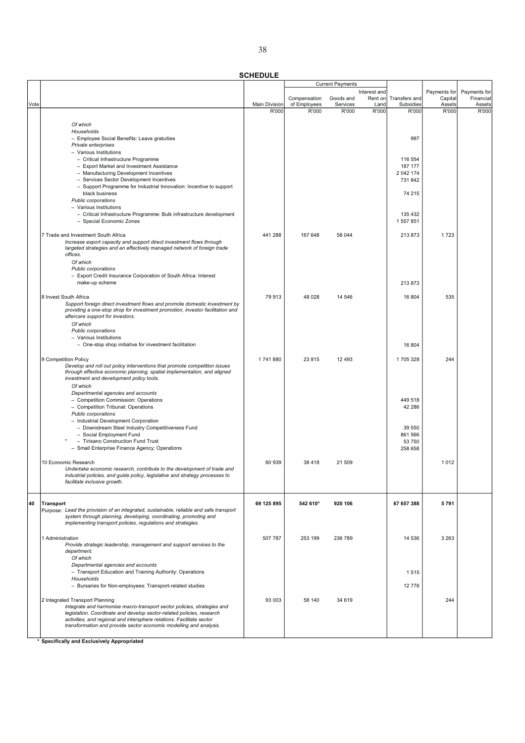|      |                                                                                                                                                       |                      | Current Payments      |                       |               |                            |                   |                     |
|------|-------------------------------------------------------------------------------------------------------------------------------------------------------|----------------------|-----------------------|-----------------------|---------------|----------------------------|-------------------|---------------------|
|      |                                                                                                                                                       |                      |                       |                       | Interest and  |                            | Payments for      | Payments for        |
|      |                                                                                                                                                       | <b>Main Division</b> | Compensation          | Goods and<br>Services | Rent on       | Transfers and<br>Subsidies | Capital<br>Assets | Financial<br>Assets |
| Vote |                                                                                                                                                       | R'000                | of Employees<br>R'000 | R'000                 | Land<br>R'000 | R'000                      | R'000             | R'000               |
|      |                                                                                                                                                       |                      |                       |                       |               |                            |                   |                     |
|      | Of which                                                                                                                                              |                      |                       |                       |               |                            |                   |                     |
|      | Households                                                                                                                                            |                      |                       |                       |               |                            |                   |                     |
|      | - Employee Social Benefits: Leave gratuities                                                                                                          |                      |                       |                       |               | 997                        |                   |                     |
|      | Private enterprises<br>- Various Institutions                                                                                                         |                      |                       |                       |               |                            |                   |                     |
|      | - Critical Infrastructure Programme                                                                                                                   |                      |                       |                       |               | 116 554                    |                   |                     |
|      | - Export Market and Investment Assistance                                                                                                             |                      |                       |                       |               | 187 177                    |                   |                     |
|      | - Manufacturing Development Incentives                                                                                                                |                      |                       |                       |               | 2 042 174                  |                   |                     |
|      | - Services Sector Development Incentives                                                                                                              |                      |                       |                       |               | 731842                     |                   |                     |
|      | - Support Programme for Industrial Innovation: Incentive to support                                                                                   |                      |                       |                       |               |                            |                   |                     |
|      | black business<br>Public corporations                                                                                                                 |                      |                       |                       |               | 74 215                     |                   |                     |
|      | - Various Institutions                                                                                                                                |                      |                       |                       |               |                            |                   |                     |
|      | - Critical Infrastructure Programme: Bulk infrastructure development                                                                                  |                      |                       |                       |               | 135 432                    |                   |                     |
|      | - Special Economic Zones                                                                                                                              |                      |                       |                       |               | 1 557 851                  |                   |                     |
|      |                                                                                                                                                       |                      |                       |                       |               |                            |                   |                     |
|      | 7 Trade and Investment South Africa                                                                                                                   | 441 288              | 167 648               | 58 044                |               | 213 873                    | 1723              |                     |
|      | Increase export capacity and support direct investment flows through<br>targeted strategies and an effectively managed network of foreign trade       |                      |                       |                       |               |                            |                   |                     |
|      | offices.                                                                                                                                              |                      |                       |                       |               |                            |                   |                     |
|      | Of which                                                                                                                                              |                      |                       |                       |               |                            |                   |                     |
|      | Public corporations                                                                                                                                   |                      |                       |                       |               |                            |                   |                     |
|      | - Export Credit Insurance Corporation of South Africa: Interest                                                                                       |                      |                       |                       |               |                            |                   |                     |
|      | make-up scheme                                                                                                                                        |                      |                       |                       |               | 213873                     |                   |                     |
|      | 8 Invest South Africa                                                                                                                                 | 79 913               | 48 0 28               | 14 546                |               | 16 804                     | 535               |                     |
|      | Support foreign direct investment flows and promote domestic investment by                                                                            |                      |                       |                       |               |                            |                   |                     |
|      | providing a one-stop shop for investment promotion, investor facilitation and                                                                         |                      |                       |                       |               |                            |                   |                     |
|      | aftercare support for investors.                                                                                                                      |                      |                       |                       |               |                            |                   |                     |
|      | Of which                                                                                                                                              |                      |                       |                       |               |                            |                   |                     |
|      | Public corporations<br>- Various Institutions                                                                                                         |                      |                       |                       |               |                            |                   |                     |
|      | - One-stop shop initiative for investment facilitation                                                                                                |                      |                       |                       |               | 16 804                     |                   |                     |
|      |                                                                                                                                                       |                      |                       |                       |               |                            |                   |                     |
|      | 9 Competition Policy                                                                                                                                  | 1741880              | 23 815                | 12 4 9 3              |               | 1705328                    | 244               |                     |
|      | Develop and roll out policy interventions that promote competition issues<br>through effective economic planning, spatial implementation, and aligned |                      |                       |                       |               |                            |                   |                     |
|      | investment and development policy tools.                                                                                                              |                      |                       |                       |               |                            |                   |                     |
|      | Of which                                                                                                                                              |                      |                       |                       |               |                            |                   |                     |
|      | Departmental agencies and accounts                                                                                                                    |                      |                       |                       |               |                            |                   |                     |
|      | - Competition Commission: Operations                                                                                                                  |                      |                       |                       |               | 449 518                    |                   |                     |
|      | - Competition Tribunal: Operations                                                                                                                    |                      |                       |                       |               | 42 286                     |                   |                     |
|      | Public corporations<br>- Industrial Development Corporation                                                                                           |                      |                       |                       |               |                            |                   |                     |
|      | - Downstream Steel Industry Competitiveness Fund                                                                                                      |                      |                       |                       |               | 39 550                     |                   |                     |
|      | - Social Employment Fund                                                                                                                              |                      |                       |                       |               | 861 566                    |                   |                     |
|      | - Tirisano Construction Fund Trust                                                                                                                    |                      |                       |                       |               | 53 750                     |                   |                     |
|      | - Small Enterprise Finance Agency: Operations                                                                                                         |                      |                       |                       |               | 258 658                    |                   |                     |
|      | 10 Economic Research                                                                                                                                  | 60 939               |                       |                       |               |                            | 1012              |                     |
|      | Undertake economic research, contribute to the development of trade and                                                                               |                      | 38 4 18               | 21 509                |               |                            |                   |                     |
|      | industrial policies, and guide policy, legislative and strategy processes to                                                                          |                      |                       |                       |               |                            |                   |                     |
|      | facilitate inclusive growth.                                                                                                                          |                      |                       |                       |               |                            |                   |                     |
|      |                                                                                                                                                       |                      |                       |                       |               |                            |                   |                     |
| 40   | <b>Transport</b>                                                                                                                                      | 69 125 895           | 542 610*              | 920 106               |               | 67 657 388                 | 5791              |                     |
|      | Purpose: Lead the provision of an integrated, sustainable, reliable and safe transport                                                                |                      |                       |                       |               |                            |                   |                     |
|      | system through planning, developing, coordinating, promoting and                                                                                      |                      |                       |                       |               |                            |                   |                     |
|      | implementing transport policies, regulations and strategies.                                                                                          |                      |                       |                       |               |                            |                   |                     |
|      | 1 Administration                                                                                                                                      | 507 787              | 253 199               | 236 789               |               | 14 536                     | 3 2 6 3           |                     |
|      | Provide strategic leadership, management and support services to the                                                                                  |                      |                       |                       |               |                            |                   |                     |
|      | department.                                                                                                                                           |                      |                       |                       |               |                            |                   |                     |
|      | Of which                                                                                                                                              |                      |                       |                       |               |                            |                   |                     |
|      | Departmental agencies and accounts                                                                                                                    |                      |                       |                       |               |                            |                   |                     |
|      | - Transport Education and Training Authority: Operations                                                                                              |                      |                       |                       |               | 1515                       |                   |                     |
|      | Households<br>- Bursaries for Non-employees: Transport-related studies                                                                                |                      |                       |                       |               | 12776                      |                   |                     |
|      |                                                                                                                                                       |                      |                       |                       |               |                            |                   |                     |
|      | 2 Integrated Transport Planning                                                                                                                       | 93 003               | 58 140                | 34 619                |               |                            | 244               |                     |
|      | Integrate and harmonise macro-transport sector policies, strategies and                                                                               |                      |                       |                       |               |                            |                   |                     |
|      | legislation. Coordinate and develop sector-related policies, research<br>activities, and regional and intersphere relations. Facilitate sector        |                      |                       |                       |               |                            |                   |                     |
|      | transformation and provide sector economic modelling and analysis.                                                                                    |                      |                       |                       |               |                            |                   |                     |
|      |                                                                                                                                                       |                      |                       |                       |               |                            |                   |                     |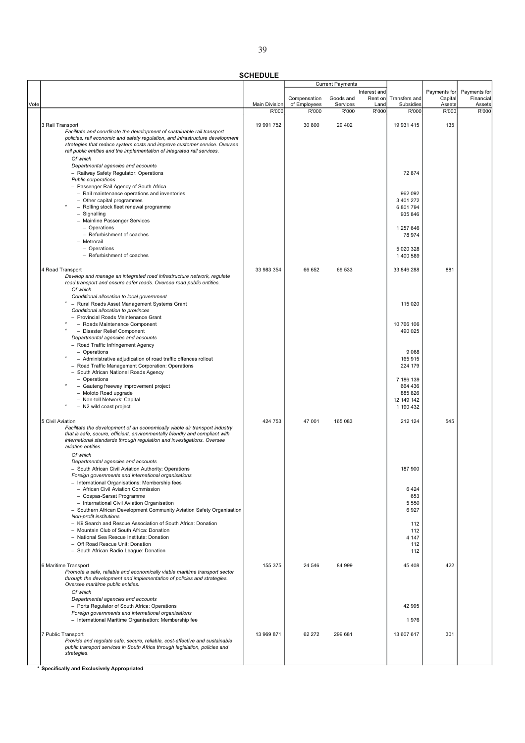|      |                                                                                                                                                            |                               | <b>Current Payments</b> |                   |               |                       |                 |                 |
|------|------------------------------------------------------------------------------------------------------------------------------------------------------------|-------------------------------|-------------------------|-------------------|---------------|-----------------------|-----------------|-----------------|
|      |                                                                                                                                                            |                               |                         |                   | Interest and  |                       | Payments for    | Payments for    |
|      |                                                                                                                                                            |                               | Compensation            | Goods and         | Rent on       | Transfers and         | Capital         | Financial       |
| Vote |                                                                                                                                                            | <b>Main Division</b><br>R'000 | of Employees<br>R'000   | Services<br>R'000 | Land<br>R'000 | Subsidies<br>R'000    | Assets<br>R'000 | Assets<br>R'000 |
|      |                                                                                                                                                            |                               |                         |                   |               |                       |                 |                 |
|      | 3 Rail Transport                                                                                                                                           | 19 991 752                    | 30 800                  | 29 4 0 2          |               | 19 931 415            | 135             |                 |
|      | Facilitate and coordinate the development of sustainable rail transport                                                                                    |                               |                         |                   |               |                       |                 |                 |
|      | policies, rail economic and safety regulation, and infrastructure development                                                                              |                               |                         |                   |               |                       |                 |                 |
|      | strategies that reduce system costs and improve customer service. Oversee                                                                                  |                               |                         |                   |               |                       |                 |                 |
|      | rail public entities and the implementation of integrated rail services.                                                                                   |                               |                         |                   |               |                       |                 |                 |
|      | Of which                                                                                                                                                   |                               |                         |                   |               |                       |                 |                 |
|      | Departmental agencies and accounts                                                                                                                         |                               |                         |                   |               |                       |                 |                 |
|      | - Railway Safety Regulator: Operations                                                                                                                     |                               |                         |                   |               | 72 874                |                 |                 |
|      | Public corporations                                                                                                                                        |                               |                         |                   |               |                       |                 |                 |
|      | - Passenger Rail Agency of South Africa                                                                                                                    |                               |                         |                   |               |                       |                 |                 |
|      | - Rail maintenance operations and inventories                                                                                                              |                               |                         |                   |               | 962 092               |                 |                 |
|      | - Other capital programmes<br>- Rolling stock fleet renewal programme                                                                                      |                               |                         |                   |               | 3 401 272             |                 |                 |
|      | $-$ Signalling                                                                                                                                             |                               |                         |                   |               | 6 801 794<br>935 846  |                 |                 |
|      | - Mainline Passenger Services                                                                                                                              |                               |                         |                   |               |                       |                 |                 |
|      | - Operations                                                                                                                                               |                               |                         |                   |               | 1 257 646             |                 |                 |
|      | - Refurbishment of coaches                                                                                                                                 |                               |                         |                   |               | 78 974                |                 |                 |
|      | - Metrorail                                                                                                                                                |                               |                         |                   |               |                       |                 |                 |
|      | - Operations                                                                                                                                               |                               |                         |                   |               | 5 020 328             |                 |                 |
|      | - Refurbishment of coaches                                                                                                                                 |                               |                         |                   |               | 1 400 589             |                 |                 |
|      |                                                                                                                                                            |                               |                         |                   |               |                       |                 |                 |
|      | 4 Road Transport                                                                                                                                           | 33 983 354                    | 66 652                  | 69 533            |               | 33 846 288            | 881             |                 |
|      | Develop and manage an integrated road infrastructure network, regulate                                                                                     |                               |                         |                   |               |                       |                 |                 |
|      | road transport and ensure safer roads. Oversee road public entities.                                                                                       |                               |                         |                   |               |                       |                 |                 |
|      | Of which                                                                                                                                                   |                               |                         |                   |               |                       |                 |                 |
|      | Conditional allocation to local government                                                                                                                 |                               |                         |                   |               |                       |                 |                 |
|      | * - Rural Roads Asset Management Systems Grant<br>Conditional allocation to provinces                                                                      |                               |                         |                   |               | 115 020               |                 |                 |
|      | - Provincial Roads Maintenance Grant                                                                                                                       |                               |                         |                   |               |                       |                 |                 |
|      | - Roads Maintenance Component                                                                                                                              |                               |                         |                   |               | 10 766 106            |                 |                 |
|      | - Disaster Relief Component                                                                                                                                |                               |                         |                   |               | 490 025               |                 |                 |
|      | Departmental agencies and accounts                                                                                                                         |                               |                         |                   |               |                       |                 |                 |
|      | - Road Traffic Infringement Agency                                                                                                                         |                               |                         |                   |               |                       |                 |                 |
|      | - Operations                                                                                                                                               |                               |                         |                   |               | 9 0 6 8               |                 |                 |
|      | - Administrative adjudication of road traffic offences rollout                                                                                             |                               |                         |                   |               | 165 915               |                 |                 |
|      | - Road Traffic Management Corporation: Operations                                                                                                          |                               |                         |                   |               | 224 179               |                 |                 |
|      | - South African National Roads Agency                                                                                                                      |                               |                         |                   |               |                       |                 |                 |
|      | - Operations                                                                                                                                               |                               |                         |                   |               | 7 186 139             |                 |                 |
|      | - Gauteng freeway improvement project                                                                                                                      |                               |                         |                   |               | 664 436               |                 |                 |
|      | - Moloto Road upgrade<br>- Non-toll Network: Capital                                                                                                       |                               |                         |                   |               | 885 826<br>12 149 142 |                 |                 |
|      | - N2 wild coast project                                                                                                                                    |                               |                         |                   |               | 1 190 432             |                 |                 |
|      |                                                                                                                                                            |                               |                         |                   |               |                       |                 |                 |
|      | 5 Civil Aviation                                                                                                                                           | 424 753                       | 47 001                  | 165 083           |               | 212 124               | 545             |                 |
|      | Facilitate the development of an economically viable air transport industry                                                                                |                               |                         |                   |               |                       |                 |                 |
|      | that is safe, secure, efficient, environmentally friendly and compliant with                                                                               |                               |                         |                   |               |                       |                 |                 |
|      | international standards through regulation and investigations. Oversee                                                                                     |                               |                         |                   |               |                       |                 |                 |
|      | aviation entities.                                                                                                                                         |                               |                         |                   |               |                       |                 |                 |
|      | Of which                                                                                                                                                   |                               |                         |                   |               |                       |                 |                 |
|      | Departmental agencies and accounts                                                                                                                         |                               |                         |                   |               |                       |                 |                 |
|      | - South African Civil Aviation Authority: Operations                                                                                                       |                               |                         |                   |               | 187 900               |                 |                 |
|      | Foreign governments and international organisations                                                                                                        |                               |                         |                   |               |                       |                 |                 |
|      | - International Organisations: Membership fees<br>- African Civil Aviation Commission                                                                      |                               |                         |                   |               | 6424                  |                 |                 |
|      | - Cospas-Sarsat Programme                                                                                                                                  |                               |                         |                   |               | 653                   |                 |                 |
|      | - International Civil Aviation Organisation                                                                                                                |                               |                         |                   |               | 5 5 5 0               |                 |                 |
|      | - Southern African Development Community Aviation Safety Organisation                                                                                      |                               |                         |                   |               | 6927                  |                 |                 |
|      | Non-profit institutions                                                                                                                                    |                               |                         |                   |               |                       |                 |                 |
|      | - K9 Search and Rescue Association of South Africa: Donation                                                                                               |                               |                         |                   |               | 112                   |                 |                 |
|      | - Mountain Club of South Africa: Donation                                                                                                                  |                               |                         |                   |               | 112                   |                 |                 |
|      | - National Sea Rescue Institute: Donation                                                                                                                  |                               |                         |                   |               | 4 1 4 7               |                 |                 |
|      | - Off Road Rescue Unit: Donation                                                                                                                           |                               |                         |                   |               | 112                   |                 |                 |
|      | - South African Radio League: Donation                                                                                                                     |                               |                         |                   |               | 112                   |                 |                 |
|      |                                                                                                                                                            |                               |                         |                   |               |                       |                 |                 |
|      | 6 Maritime Transport<br>Promote a safe, reliable and economically viable maritime transport sector                                                         | 155 375                       | 24 546                  | 84 999            |               | 45 408                | 422             |                 |
|      | through the development and implementation of policies and strategies.                                                                                     |                               |                         |                   |               |                       |                 |                 |
|      | Oversee maritime public entities.                                                                                                                          |                               |                         |                   |               |                       |                 |                 |
|      | Of which                                                                                                                                                   |                               |                         |                   |               |                       |                 |                 |
|      | Departmental agencies and accounts                                                                                                                         |                               |                         |                   |               |                       |                 |                 |
|      | - Ports Regulator of South Africa: Operations                                                                                                              |                               |                         |                   |               | 42 995                |                 |                 |
|      | Foreign governments and international organisations                                                                                                        |                               |                         |                   |               |                       |                 |                 |
|      | - International Maritime Organisation: Membership fee                                                                                                      |                               |                         |                   |               | 1976                  |                 |                 |
|      |                                                                                                                                                            |                               |                         |                   |               |                       |                 |                 |
|      | 7 Public Transport                                                                                                                                         | 13 969 871                    | 62 272                  | 299 681           |               | 13 607 617            | 301             |                 |
|      | Provide and regulate safe, secure, reliable, cost-effective and sustainable<br>public transport services in South Africa through legislation, policies and |                               |                         |                   |               |                       |                 |                 |
|      | strategies.                                                                                                                                                |                               |                         |                   |               |                       |                 |                 |
|      |                                                                                                                                                            |                               |                         |                   |               |                       |                 |                 |